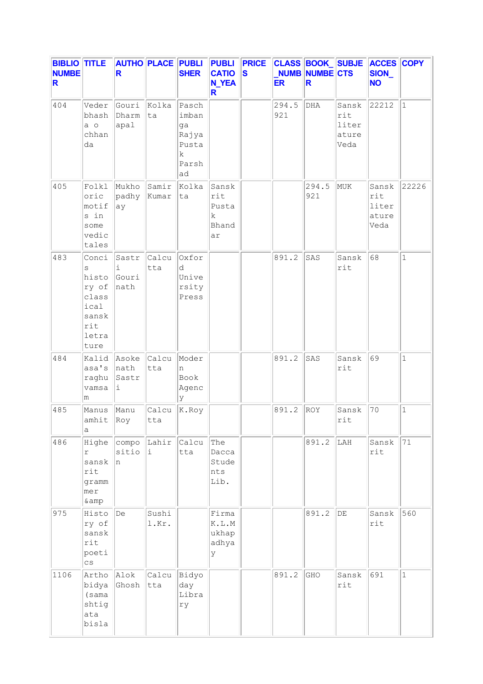| <b>BIBLIO TITLE</b><br><b>NUMBE</b><br>R. |                                                                                | <b>AUTHO PLACE PUBLI PUBLI</b><br>R |                    | <b>SHER</b>                                                | <b>CATIO</b><br><b>N_YEA</b><br>R.        | <b>PRICE</b><br>$\vert$ S | <b>ER</b>    | <b>NUMB NUMBE CTS</b><br>R. |                                        | CLASS BOOK SUBJE ACCES COPY<br>SION_<br><b>NO</b> |              |
|-------------------------------------------|--------------------------------------------------------------------------------|-------------------------------------|--------------------|------------------------------------------------------------|-------------------------------------------|---------------------------|--------------|-----------------------------|----------------------------------------|---------------------------------------------------|--------------|
| 404                                       | Veder<br>bhash<br>a o<br>chhan<br>da                                           | Gouri<br>Dharm<br>apal              | Kolka<br> ta       | Pasch<br>imban<br>ga<br>Rajya<br>Pusta<br>k<br>Parsh<br>ad |                                           |                           | 294.5<br>921 | DHA                         | Sansk<br>rit<br>liter<br>ature<br>Veda | 22212                                             | $\vert$ 1    |
| 405                                       | Folkl<br>oric<br>motif<br>s in<br>some<br>vedic<br>tales                       | Mukho<br>padhy<br>ay                | Samir<br>Kumar     | Kolka<br>ta                                                | Sansk<br>rit<br>Pusta<br>k<br>Bhand<br>ar |                           |              | 294.5<br>921                | MUK                                    | Sansk<br>rit<br>liter<br>ature<br>Veda            | 22226        |
| 483                                       | Conci<br>S<br>histo<br>ry of<br>class<br>ical<br>sansk<br>rit<br>letra<br>ture | Sastr<br>i<br>Gouri<br>nath         | Calcu<br>tta       | Oxfor<br>d<br>Unive<br>rsity<br>Press                      |                                           |                           | 891.2        | SAS                         | Sansk<br>rit                           | 68                                                | $\mathbf{1}$ |
| 484                                       | Kalid<br>asa's<br>raghu<br>vamsa<br>m                                          | Asoke<br>nath<br>Sastr<br>i         | Calcu<br>tta       | Moder<br>n<br>Book<br>Agenc<br>y                           |                                           |                           | 891.2        | SAS                         | Sansk<br>rit                           | 69                                                | $\mathbf{1}$ |
| 485                                       | Manus<br>$amhit$ $ Roy $<br>а                                                  | Manu                                | Calcu<br>tta       | K.Roy                                                      |                                           |                           | 891.2        | ROY                         | Sansk<br>rit                           | 70                                                | $\mathbf{1}$ |
| 486                                       | Highe<br>r<br>sansk<br>rit<br>gramm<br>mer<br>& amp                            | compo <br>sitio<br>In.              | Lahir Calcu<br>Ŀ.  | tta                                                        | The<br>Dacca<br>Stude<br>nts<br>Lib.      |                           |              | 891.2                       | LAH                                    | Sansk<br>rit                                      | 71           |
| 975                                       | Histo<br>ry of<br>sansk<br>rit<br>poeti<br>$\mathsf{cs}$                       | De                                  | Sushi<br>l.Kr.     |                                                            | Firma<br>K.L.M<br>ukhap<br>adhya<br>У     |                           |              | 891.2                       | $\rm DE$                               | Sansk<br>rit                                      | 560          |
| 1106                                      | Artho<br>bidya<br>(sama<br>shtig<br>ata<br>bisla                               | Alok<br>Ghosh                       | Calcu Bidyo<br>tta | day<br>Libra<br>ry                                         |                                           |                           | 891.2        | GHO                         | Sansk<br>rit                           | 691                                               | $\mathbf{1}$ |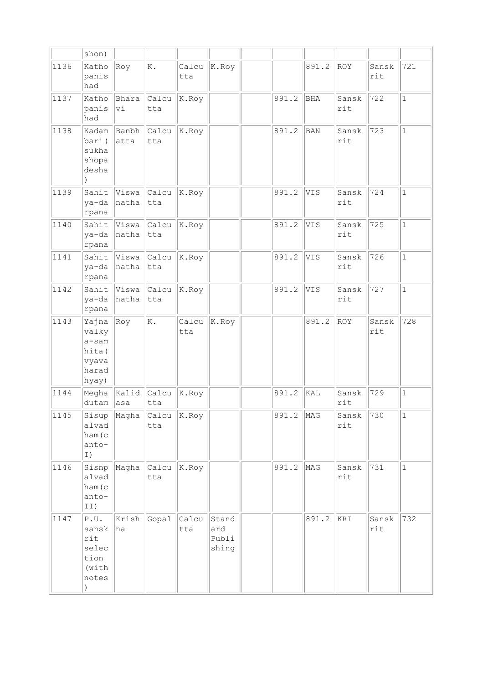|      | shon)                                                                        |                  |                                      |              |                                |       |       |              |                         |              |
|------|------------------------------------------------------------------------------|------------------|--------------------------------------|--------------|--------------------------------|-------|-------|--------------|-------------------------|--------------|
| 1136 | Katho<br>panis<br>had                                                        | Roy              | K.                                   | Calcu<br>tta | K.Roy                          |       | 891.2 | ROY          | Sansk<br>rit            | 721          |
| 1137 | Katho<br>panis<br>had                                                        | Bhara<br>Vi      | Calcu<br>tta                         | K.Roy        |                                | 891.2 | BHA   | Sansk<br>rit | 722                     | $\mathbf{1}$ |
| 1138 | Kadam<br>bari(<br>sukha<br>shopa<br>desha                                    | Banbh<br>atta    | $ $ Calcu $ $ K.Roy<br>tta           |              |                                | 891.2 | BAN   | Sansk<br>rit | 723                     | $\mathbf{1}$ |
| 1139 | Sahit<br>ya-da<br>rpana                                                      | Viswa<br>natha   | Calcu<br> tta                        | K.Roy        |                                | 891.2 | VIS   | Sansk<br>rit | 724                     | $\mathbf{1}$ |
| 1140 | Sahit<br>ya-da<br>rpana                                                      | natha            | Viswa Calcu<br> tta                  | K.Roy        |                                | 891.2 | VIS   | Sansk<br>rit | 725                     | $\mathbf{1}$ |
| 1141 | Sahit<br>ya-da<br>rpana                                                      | Viswa<br>natha   | $ $ Calcu $ $<br>tta                 | K.Roy        |                                | 891.2 | VIS   | Sansk<br>rit | 726                     | $\mathbf{1}$ |
| 1142 | Sahit<br>ya-da<br>rpana                                                      | Viswa<br>natha   | $\vert$ Calcu $\vert$ K. Roy<br> tta |              |                                | 891.2 | VIS   | Sansk<br>rit | 727                     | $\mathbf{1}$ |
| 1143 | Yajna<br>valky<br>a-sam<br>hita (<br>vyava<br>harad<br>hyay)                 | Roy              | K.                                   | Calcu<br>tta | K.Roy                          |       | 891.2 | ROY          | Sansk<br>rit            | 728          |
| 1144 | Megha<br>dutam                                                               | Kalid<br>$ $ asa | Calcu<br>tta                         | K.Roy        |                                | 891.2 | KAL   | Sansk<br>rit | 729                     | $\mathbf{1}$ |
| 1145 | Sisup<br>alvad<br>ham (c<br>anto-<br>I)                                      | Magha            | $ $ Calcu $ $ K. Roy<br>tta          |              |                                | 891.2 | MAG   | Sansk<br>rit | 730                     | $1\,$        |
| 1146 | Sisnp<br>alvad<br>ham (c<br>anto-<br>II)                                     | Magha            | $\vert$ Calcu $\vert$<br>tta         | K.Roy        |                                | 891.2 | MAG   | Sansk<br>rit | 731                     | $\mathbf 1$  |
| 1147 | ${\tt P.U.}$<br>sansk<br>rit<br>selec<br>tion<br>(with<br>notes<br>$\lambda$ | Krish<br>na      | Gopal                                | Calcu<br>tta | Stand<br>ard<br>Publi<br>shing |       | 891.2 | KRI          | Sansk<br>$\texttt{rit}$ | 732          |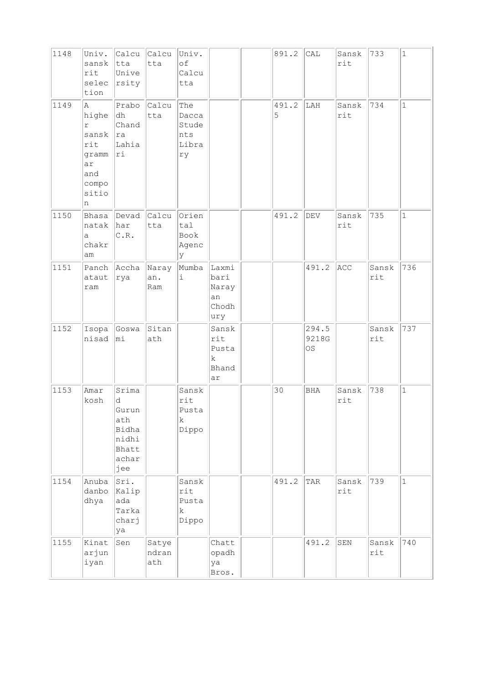| 1148 | Univ.<br>sansk<br>rit<br>selec<br>tion                                         | Calcu<br>tta<br>Unive<br>rsity                                        | Calcu Univ.<br>tta    | of<br>Calcu<br>tta                            |                                              | 891.2      | CAL                  | Sansk<br>rit | 733          | $\mathbf 1$  |
|------|--------------------------------------------------------------------------------|-----------------------------------------------------------------------|-----------------------|-----------------------------------------------|----------------------------------------------|------------|----------------------|--------------|--------------|--------------|
| 1149 | la.<br>highe<br>r<br>sansk<br>rit<br>gramm<br>ar<br>and<br>compo<br>sitio<br>n | Prabo<br>dh<br>Chand<br> ra<br>Lahia<br>ri                            | Calcu<br>tta          | The<br>Dacca<br>Stude<br>nts<br>Libra<br>ry   |                                              | 491.2<br>5 | LAH                  | Sansk<br>rit | 734          | $\mathbf{1}$ |
| 1150 | Bhasa<br>natak<br>a<br>chakr<br>am                                             | Devad<br>har<br>C.R.                                                  | Calcu Orien<br>tta    | tal<br>Book<br>Agenc<br>lУ                    |                                              | 491.2      | DEV                  | Sansk<br>rit | 735          | $\mathbf{1}$ |
| 1151 | Panch<br>ataut<br>ram                                                          | Accha<br>rya                                                          | Naray<br>an.<br>Ram   | Mumba<br>i                                    | Laxmi<br>bari<br>Naray<br>an<br>Chodh<br>ury |            | 491.2                | ACC          | Sansk<br>rit | 736          |
| 1152 | Isopa<br>nisad                                                                 | Goswa<br>mi                                                           | Sitan<br>ath          |                                               | Sansk<br>rit<br>Pusta<br>k<br>Bhand<br>ar    |            | 294.5<br>9218G<br>0S |              | Sansk<br>rit | 737          |
| 1153 | Amar<br>kosh                                                                   | Srima<br>d<br>Gurun<br>ath<br>Bidha<br>nidhi<br>Bhatt<br>achar<br>jee |                       | Sansk<br>rit<br>Pusta<br>$\mathbf k$<br>Dippo |                                              | 30         | BHA                  | Sansk<br>rit | 738          | $\mathbf{1}$ |
| 1154 | Anuba<br>danbo<br>dhya                                                         | Sri.<br>Kalip<br>ada<br>Tarka<br>charj<br>ya                          |                       | Sansk<br>rit<br>Pusta<br>k<br>Dippo           |                                              | 491.2      | TAR                  | Sansk<br>rit | 739          | $\mathbf 1$  |
| 1155 | Kinat<br>arjun<br>iyan                                                         | Sen                                                                   | Satye<br>ndran<br>ath |                                               | Chatt<br>opadh<br>ya<br>Bros.                |            | 491.2                | SEN          | Sansk<br>rit | 740          |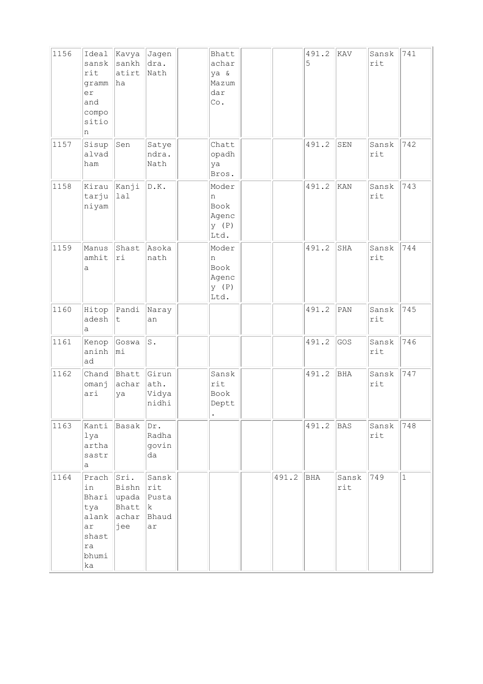| 1156 | Ideal<br>sansk<br>rit<br>gramm<br>er<br>and<br>compo<br>sitio<br>n | Kavya<br>sankh<br>atirt<br> ha                                   | Jagen<br>dra.<br>Nath           | Bhatt<br>achar<br>ya &<br>Mazum<br>dar<br>Co.       |       | 491.2<br>5 | KAV          | Sansk<br>rit | 741          |
|------|--------------------------------------------------------------------|------------------------------------------------------------------|---------------------------------|-----------------------------------------------------|-------|------------|--------------|--------------|--------------|
| 1157 | Sisup<br>alvad<br>ham                                              | Sen                                                              | Satye<br>ndra.<br>Nath          | Chatt<br>opadh<br>ya<br>Bros.                       |       | 491.2      | SEN          | Sansk<br>rit | 742          |
| 1158 | Kirau<br>tarju<br>niyam                                            | Kanji<br> 1a1                                                    | D.K.                            | Moder<br>n<br>Book<br>Agenc<br>y (P)<br>Ltd.        |       | 491.2      | KAN          | Sansk<br>rit | 743          |
| 1159 | Manus<br>amhit<br>a                                                | Shast<br>ri                                                      | Asoka<br>nath                   | Moder<br>n<br><b>Book</b><br>Agenc<br>y (P)<br>Ltd. |       | 491.2      | SHA          | Sansk<br>rit | 744          |
| 1160 | Hitop<br>adesh<br>а                                                | Pandi<br>t                                                       | Naray<br>an                     |                                                     |       | 491.2      | PAN          | Sansk<br>rit | 745          |
| 1161 | Kenop<br>aninh<br>ad                                               | Goswa<br>mi                                                      | s.                              |                                                     |       | 491.2      | GOS          | Sansk<br>rit | 746          |
| 1162 | Chand<br>omanj<br>ari                                              | Bhatt<br>achar<br>ya                                             | Girun<br>ath.<br>Vidya<br>nidhi | Sansk<br>rit<br>Book<br>Deptt                       |       | 491.2      | BHA          | Sansk<br>rit | 747          |
| 1163 | Kanti<br>$1$ ya<br>artha<br>sastr<br>а                             | Basak Dr.                                                        | Radha<br>govin<br>da            |                                                     |       | 491.2      | BAS          | Sansk<br>rit | 748          |
| 1164 | $Prach$ $Sri.$<br>in<br>tya<br>ar<br>shast<br>ra<br>bhumi<br>ka    | Bishn rit<br>Bhari upada Pusta<br>Bhatt k<br>alank achar<br> jee | Sansk<br>Bhaud<br>ar            |                                                     | 491.2 | BHA        | Sansk<br>rit | 749          | $\mathbf{1}$ |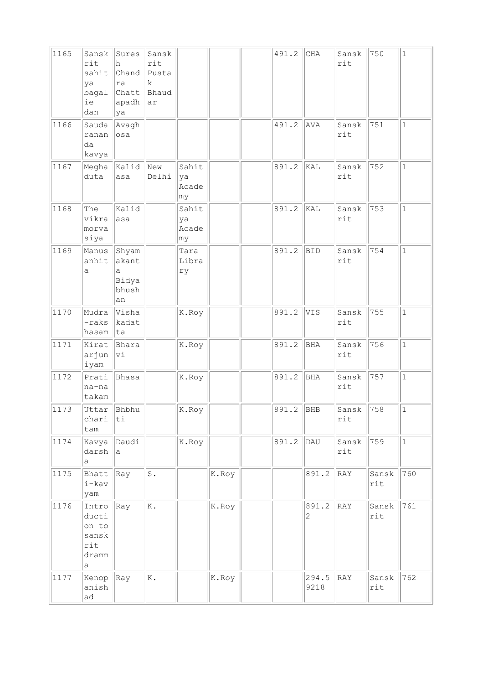| 1165 | Sansk<br>rit<br>sahit<br>ya<br>bagal<br>ie<br>dan     | Sures<br>h<br>ra<br>Chatt Bhaud<br>apadh<br>ya | Sansk<br>rit<br>Chand Pusta<br>k<br> ar |                            |       | 491.2 | CHA           | Sansk<br>rit | 750          | $\mathbf{1}$ |
|------|-------------------------------------------------------|------------------------------------------------|-----------------------------------------|----------------------------|-------|-------|---------------|--------------|--------------|--------------|
| 1166 | Sauda<br>ranan<br>da<br>kavya                         | Avagh<br>osa                                   |                                         |                            |       | 491.2 | AVA           | Sansk<br>rit | 751          | $\mathbf{1}$ |
| 1167 | Megha<br>duta                                         | Kalid New<br>asa                               | Delhi                                   | Sahit<br>ya<br>Acade<br>my |       | 891.2 | KAL           | Sansk<br>rit | 752          | $\mathbf{1}$ |
| 1168 | The<br>vikra<br>morva<br>siya                         | Kalid<br>asa                                   |                                         | Sahit<br>ya<br>Acade<br>my |       | 891.2 | kal           | Sansk<br>rit | 753          | $\mathbf{1}$ |
| 1169 | Manus<br>anhit<br>а                                   | Shyam<br>akant<br>а<br>Bidya<br>bhush<br>an    |                                         | Tara<br>Libra<br>ry        |       | 891.2 | BID           | Sansk<br>rit | 754          | $\mathbf{1}$ |
| 1170 | Mudra<br>-raks<br>hasam                               | Visha<br>kadat<br>ta                           |                                         | K.Roy                      |       | 891.2 | VIS           | Sansk<br>rit | 755          | $\mathbf{1}$ |
| 1171 | Kirat<br>arjun<br>iyam                                | Bhara<br>Vi                                    |                                         | K.Roy                      |       | 891.2 | BHA           | Sansk<br>rit | 756          | $\mathbf{1}$ |
| 1172 | Prati<br>na-na<br>takam                               | Bhasa                                          |                                         | K.Roy                      |       | 891.2 | BHA           | Sansk<br>rit | 757          | $\mathbf{1}$ |
| 1173 | chari<br>tam                                          | Uttar Bhbhu<br>ti                              |                                         | K.Roy                      |       | 891.2 | BHB           | Sansk<br>rit | 758          | 1            |
| 1174 | Kavya<br>darsh<br>а                                   | Daudi<br>a                                     |                                         | K.Roy                      |       | 891.2 | DAU           | Sansk<br>rit | 759          | $\mathbf{1}$ |
| 1175 | Bhatt<br>i-kav<br>yam                                 | Ray                                            | $\mathtt{S}$ .                          |                            | K.Roy |       | 891.2         | RAY          | Sansk<br>rit | 760          |
| 1176 | Intro<br>ducti<br>on to<br>sansk<br>rit<br>dramm<br>a | Ray                                            | $\mathbb K$ .                           |                            | K.Roy |       | 891.2<br>2    | RAY          | Sansk<br>rit | 761          |
| 1177 | Kenop<br>anish<br>ad                                  | $ {\rm Ray} $                                  | K.                                      |                            | K.Roy |       | 294.5<br>9218 | RAY          | Sansk<br>rit | 762          |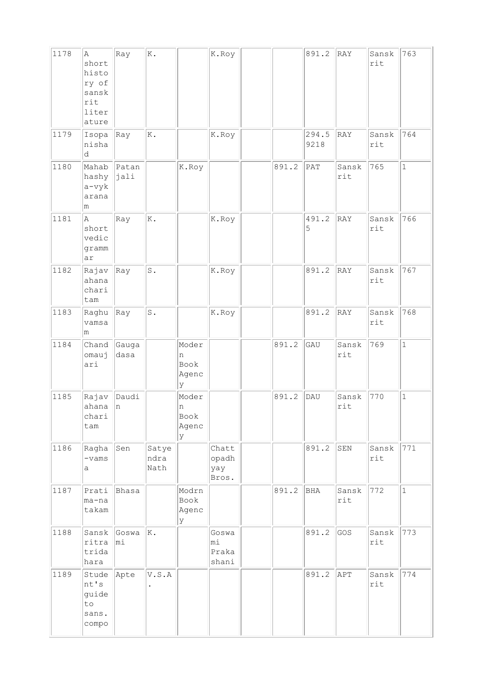| 1178 | Α<br>short<br>histo<br>ry of<br>sansk<br>rit<br>liter<br>ature | Ray           | Κ.                    |                                  | K.Roy                          |       | 891.2         | RAY          | Sansk<br>rit | 763          |
|------|----------------------------------------------------------------|---------------|-----------------------|----------------------------------|--------------------------------|-------|---------------|--------------|--------------|--------------|
| 1179 | Isopa<br>nisha<br>d                                            | Ray           | K.                    |                                  | K.Roy                          |       | 294.5<br>9218 | RAY          | Sansk<br>rit | 764          |
| 1180 | Mahab<br>hashy<br>$a$ -vyk<br>arana<br>m                       | Patan<br>jali |                       | K.Roy                            |                                | 891.2 | PAT           | Sansk<br>rit | 765          | $\mathbf{1}$ |
| 1181 | $\mathbb{A}$<br>short<br>vedic<br>gramm<br>ar                  | Ray           | Κ.                    |                                  | K.Roy                          |       | 491.2<br>5    | RAY          | Sansk<br>rit | 766          |
| 1182 | Rajav<br>ahana<br>chari<br>tam                                 | Ray           | $\texttt{S}$ .        |                                  | K.Roy                          |       | 891.2         | RAY          | Sansk<br>rit | 767          |
| 1183 | Raghu<br>vamsa<br>m                                            | Ray           | $\texttt{S}$ .        |                                  | K.Roy                          |       | 891.2         | RAY          | Sansk<br>rit | 768          |
| 1184 | Chand<br>omauj<br>ari                                          | Gauga<br>dasa |                       | Moder<br>n<br>Book<br>Agenc<br>У |                                | 891.2 | GAU           | Sansk<br>rit | 769          | $\mathbf{1}$ |
| 1185 | Rajav<br>ahana<br>chari<br>tam                                 | Daudi<br> n   |                       | Moder<br>n<br>Book<br>Agenc<br>У |                                | 891.2 | DAU           | Sansk<br>rit | 770          | $\mathbf{1}$ |
| 1186 | Ragha<br>$-vams$<br>а                                          | Sen           | Satye<br>ndra<br>Nath |                                  | Chatt<br>opadh<br>yay<br>Bros. |       | 891.2         | SEN          | Sansk<br>rit | 771          |
| 1187 | Prati<br>ma-na<br>takam                                        | Bhasa         |                       | Modrn<br>Book<br>Agenc<br>У      |                                | 891.2 | BHA           | Sansk<br>rit | 772          | $\mathbf 1$  |
| 1188 | Sansk<br>ritra<br>trida<br>hara                                | Goswa<br>mi   | Ιĸ.                   |                                  | Goswa<br>mi<br>Praka<br>shani  |       | 891.2         | GOS          | Sansk<br>rit | 773          |
| 1189 | Stude<br>nt's<br>guide<br>to<br>sans.<br>compo                 | Apte          | V.S.A                 |                                  |                                |       | 891.2         | APT          | Sansk<br>rit | 774          |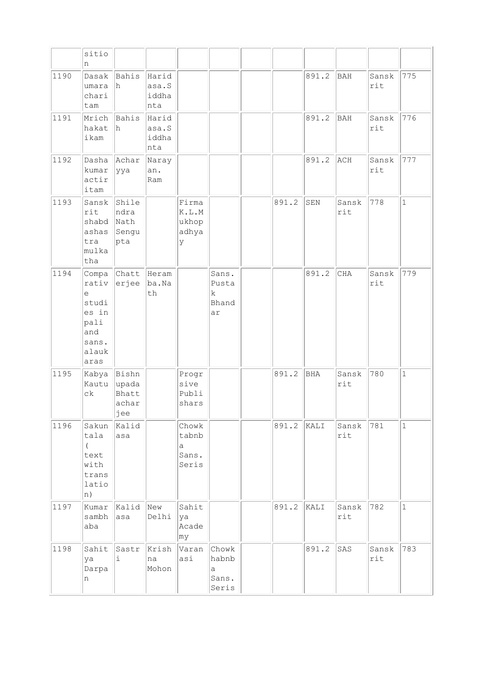|      | sitio<br>n                                                                     |                                         |                                |                                                                         |                                       |       |       |              |              |              |
|------|--------------------------------------------------------------------------------|-----------------------------------------|--------------------------------|-------------------------------------------------------------------------|---------------------------------------|-------|-------|--------------|--------------|--------------|
| 1190 | Dasak<br>umara<br>chari<br>tam                                                 | Bahis<br>lh.                            | Harid<br>asa.S<br>iddha<br>nta |                                                                         |                                       |       | 891.2 | <b>BAH</b>   | Sansk<br>rit | 775          |
| 1191 | Mrich<br>hakat<br>ikam                                                         | Bahis<br>h                              | Harid<br>asa.S<br>iddha<br>nta |                                                                         |                                       |       | 891.2 | <b>BAH</b>   | Sansk<br>rit | 776          |
| 1192 | Dasha<br>kumar<br>actir<br>itam                                                | Achar<br> yya                           | Naray<br>an.<br>Ram            |                                                                         |                                       |       | 891.2 | ACH          | Sansk<br>rit | 777          |
| 1193 | Sansk<br>rit<br>shabd<br>ashas<br>tra<br>mulka<br>tha                          | Shile<br>ndra<br>Nath<br>Sengu<br>pta   |                                | Firma<br>$\mathbb K$ . $\mathbb L$ . $\mathbb M$<br>ukhop<br>adhya<br>У |                                       | 891.2 | SEN   | Sansk<br>rit | 778          | $\mathbf{1}$ |
| 1194 | Compa<br>rativ<br>e<br>studi<br>es in<br>pali<br>and<br>sans.<br>alauk<br>aras | Chatt<br>erjee                          | Heram<br>ba.Na<br>th           |                                                                         | Sans.<br>Pusta<br>k.<br>Bhand<br>ar   |       | 891.2 | <b>CHA</b>   | Sansk<br>rit | 779          |
| 1195 | Kabya<br>Kautu<br>$c\,k$                                                       | Bishn<br>upada<br>Bhatt<br>achar<br>jee |                                | Progr<br>sive<br>Publi<br>shars                                         |                                       | 891.2 | BHA   | Sansk<br>rit | 780          | $\mathbf{1}$ |
| 1196 | Sakun<br>tala<br>$\left($<br>text<br>with<br>trans<br>latio<br> n)             | Kalid<br>asa                            |                                | Chowk<br>tabnb<br>a<br>Sans.<br>Seris                                   |                                       | 891.2 | KALI  | Sansk<br>rit | 781          | $\mathbf{1}$ |
| 1197 | Kumar<br>sambh<br>aba                                                          | Kalid<br>asa                            | New<br>Delhi                   | Sahit<br>ya<br>Acade<br>my                                              |                                       | 891.2 | KALI  | Sansk<br>rit | 782          | $\mathbf{1}$ |
| 1198 | Sahit<br>ya<br>Darpa<br>n                                                      | Sastr<br>i                              | Krish<br>na<br>Mohon           | Varan<br>asi                                                            | Chowk<br>habnb<br>а<br>Sans.<br>Seris |       | 891.2 | SAS          | Sansk<br>rit | 783          |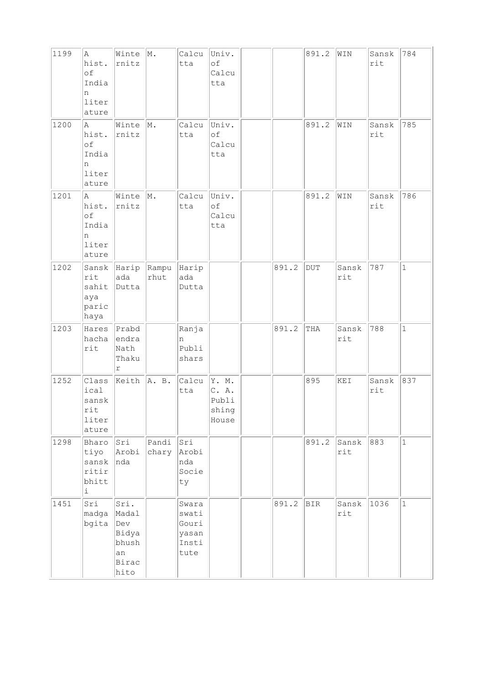| 1199 | A<br>hist.<br>of<br>India<br>n<br>liter<br>ature | Winte $ M$ .<br>rnitz                                         |                     | Calcu<br>tta                                      | Univ.<br>оf<br>Calcu<br>tta               |       | 891.2     | WIN          | Sansk<br>rit | 784          |
|------|--------------------------------------------------|---------------------------------------------------------------|---------------------|---------------------------------------------------|-------------------------------------------|-------|-----------|--------------|--------------|--------------|
| 1200 | A<br>hist.<br>of<br>India<br>n<br>liter<br>ature | Winte<br>rnitz                                                | M.                  | Calcu<br>tta                                      | Univ.<br>оf<br>Calcu<br>tta               |       | 891.2     | WIN          | Sansk<br>rit | 785          |
| 1201 | A<br>hist.<br>of<br>India<br>n<br>liter<br>ature | Winte<br>rnitz                                                | M.                  | Calcu<br>tta                                      | Univ.<br>оf<br>Calcu<br>tta               |       | 891.2     | WIN          | Sansk<br>rit | 786          |
| 1202 | Sansk<br>rit<br>sahit<br>aya<br>paric<br>haya    | ada<br>Dutta                                                  | Harip Rampu<br>rhut | Harip<br>ada<br>Dutta                             |                                           | 891.2 | $\rm DUT$ | Sansk<br>rit | 787          | $\mathbf{1}$ |
| 1203 | Hares<br>hacha<br>$\texttt{rit}$                 | Prabd<br>endra<br>Nath<br>Thaku<br>$\Upsilon$                 |                     | Ranja<br>n<br>Publi<br>shars                      |                                           | 891.2 | THA       | Sansk<br>rit | 788          | $\mathbf{1}$ |
| 1252 | Class<br>ical<br>sansk<br>rit<br>liter<br>ature  | Keith A. B.                                                   |                     | Calcu<br>tta                                      | Y. M.<br>C. A.<br>Publi<br>shing<br>House |       | 895       | KEI          | Sansk<br>rit | 837          |
| 1298 | Bharo<br>tiyo<br>sansk<br>ritir<br>bhitt<br>i    | Sri<br>Arobi<br>nda                                           | Pandi<br>chary      | Sri<br>Arobi<br>nda<br>Socie<br>ty                |                                           |       | 891.2     | Sansk<br>rit | 883          | $\mathbf{1}$ |
| 1451 | Sri<br>madga<br>bgita                            | Sri.<br>Madal<br>Dev<br>Bidya<br>bhush<br>an<br>Birac<br>hito |                     | Swara<br>swati<br>Gouri<br>yasan<br>Insti<br>tute |                                           | 891.2 | BIR       | Sansk<br>rit | 1036         | $\mathbf 1$  |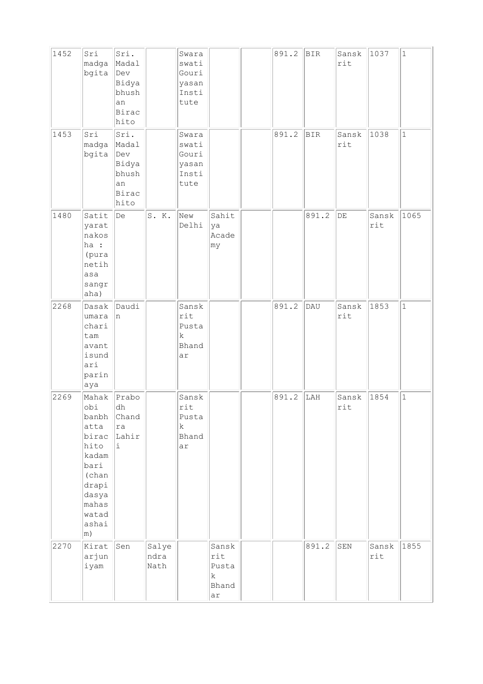| 1452 | Sri<br>madga<br>bgita                                                                                                        | Sri.<br>Madal<br>Dev<br>Bidya<br>bhush<br>an<br>Birac<br>hito  |                       | Swara<br>swati<br>Gouri<br>yasan<br>Insti<br>tute   |                                                     | 891.2 | <b>BIR</b> | Sansk<br>rit | 1037         | $\mathbf 1$  |
|------|------------------------------------------------------------------------------------------------------------------------------|----------------------------------------------------------------|-----------------------|-----------------------------------------------------|-----------------------------------------------------|-------|------------|--------------|--------------|--------------|
| 1453 | Sri<br>madga<br>bgita                                                                                                        | Sri.<br>Madal<br> Dev<br>Bidya<br>bhush<br>an<br>Birac<br>hito |                       | Swara<br>swati<br>Gouri<br>yasan<br>Insti<br>tute   |                                                     | 891.2 | <b>BIR</b> | Sansk<br>rit | 1038         | $\mathbf{1}$ |
| 1480 | Satit<br>yarat<br>nakos<br>ha :<br>(pura<br>netih<br>asa<br>sangr<br>aha)                                                    | $\mathbf{D}\mathbf{e}$                                         | S. K.                 | New<br>Delhi                                        | Sahit<br>ya<br>Acade<br> my                         |       | 891.2      | DE           | Sansk<br>rit | 1065         |
| 2268 | Dasak<br>umara<br>chari<br>tam<br>avant<br>isund<br>ari<br>parin<br>aya                                                      | Daudi<br>n                                                     |                       | Sansk<br>rit<br>Pusta<br>$\mathbf k$<br>Bhand<br>ar |                                                     | 891.2 | DAU        | Sansk<br>rit | 1853         | $\mathbf{1}$ |
| 2269 | Mahak<br>obi<br>banbh<br>atta<br>birac<br>hito<br>kadam<br>bari<br>(chan<br>drapi<br>dasya<br>mahas<br>watad<br>ashai<br> m) | Prabo<br>dh<br>Chand<br>ra<br>Lahir<br>i                       |                       | Sansk<br>rit<br>Pusta<br>$\mathbf k$<br>Bhand<br>ar |                                                     | 891.2 | LAH        | Sansk<br>rit | 1854         | $\mathbf 1$  |
| 2270 | Kirat<br>arjun<br>iyam                                                                                                       | Sen                                                            | Salye<br>ndra<br>Nath |                                                     | Sansk<br>rit<br>Pusta<br>$\mathbf k$<br>Bhand<br>ar |       | 891.2      | SEN          | Sansk<br>rit | 1855         |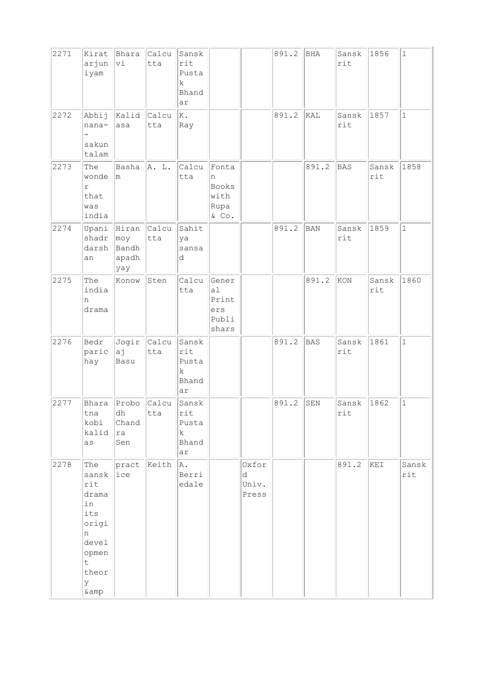| 2271 | Kirat<br>arjun<br>iyam                                                                                | Bhara<br>Vi                                     | Calcu<br>tta | Sansk<br>rit<br>Pusta<br>k<br>Bhand<br>ar           |                                               |                              | 891.2 | BHA        | Sansk<br>rit | 1856         | $1\,$        |
|------|-------------------------------------------------------------------------------------------------------|-------------------------------------------------|--------------|-----------------------------------------------------|-----------------------------------------------|------------------------------|-------|------------|--------------|--------------|--------------|
| 2272 | Abhij<br>nana-<br>sakun<br>talam                                                                      | Kalid<br>asa                                    | Calcu<br>tta | K.<br>Ray                                           |                                               |                              | 891.2 | KAL        | Sansk<br>rit | 1857         | $\mathbf{1}$ |
| 2273 | The<br>wonde<br>$\Gamma$<br>that<br>was<br>india                                                      | Basha<br>m.                                     | A. L.        | Calcu<br>tta                                        | Fonta<br>n<br>Books<br>with<br>Rupa<br>& Co.  |                              |       | 891.2      | <b>BAS</b>   | Sansk<br>rit | 1858         |
| 2274 | Upani<br>shadr<br>darsh<br>an                                                                         | Hiran Calcu<br>$ $ moy<br>Bandh<br>apadh<br>yay | tta          | Sahit<br>ya<br>sansa<br>d                           |                                               |                              | 891.2 | <b>BAN</b> | Sansk<br>rit | 1859         | $\mathbf 1$  |
| 2275 | The<br>india<br>n<br>drama                                                                            | Konow                                           | Sten         | Calcu<br>tta                                        | Gener<br>a1<br>Print<br>ers<br>Publi<br>shars |                              |       | 891.2      | KON          | Sansk<br>rit | 1860         |
| 2276 | Bedr<br>paric<br>hay                                                                                  | Jogir<br>aj<br>Basu                             | Calcu<br>tta | Sansk<br>rit<br>Pusta<br>k<br>Bhand<br>ar           |                                               |                              | 891.2 | BAS        | Sansk<br>rit | 1861         | $\mathbf{1}$ |
| 2277 | Bhara<br>tna<br>kobi<br>kalid<br>as                                                                   | Probo<br>dh<br>Chand<br>ra<br>Sen               | Calcu<br>tta | Sansk<br>rit<br>Pusta<br>$\mathbf k$<br>Bhand<br>ar |                                               |                              | 891.2 | SEN        | Sansk<br>rit | 1862         | $\mathbf{1}$ |
| 2278 | The<br>sansk<br>rit<br>drama<br>in<br>its<br>origi<br>n<br>devel<br>opmen<br>t<br>theor<br>У<br>& amp | pract<br>ice                                    | Keith        | A.<br>Berri<br>edale                                |                                               | Oxfor<br>d<br>Univ.<br>Press |       |            | 891.2        | KEI          | Sansk<br>rit |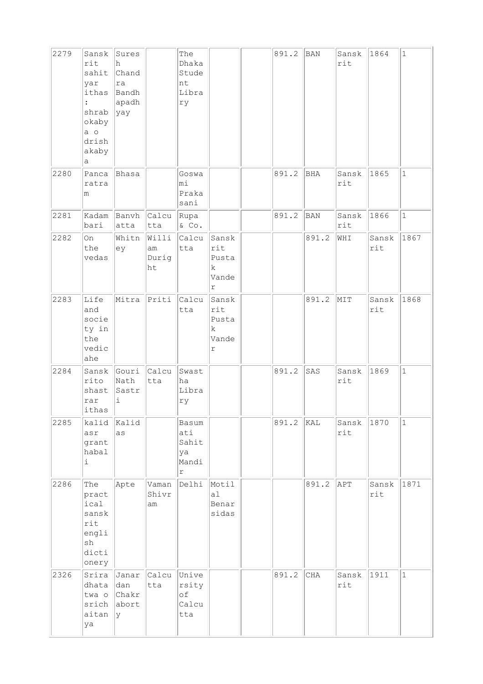| 2279 | Sansk<br>rit<br>sahit<br>yar<br>ithas<br>shrab<br>okaby<br>a o<br>drish<br>akaby<br>а | Sures<br>h<br>Chand<br> ra<br>Bandh<br>apadh<br> yay |                               | The<br>Dhaka<br>Stude<br>nt<br>Libra<br>rу           |                                           | 891.2 | BAN        | Sansk<br>rit | 1864         | $\mathbf{1}$ |
|------|---------------------------------------------------------------------------------------|------------------------------------------------------|-------------------------------|------------------------------------------------------|-------------------------------------------|-------|------------|--------------|--------------|--------------|
| 2280 | Panca<br>ratra<br>m                                                                   | Bhasa                                                |                               | Goswa<br>mi<br>Praka<br>sani                         |                                           | 891.2 | BHA        | Sansk<br>rit | 1865         | $\mathbf 1$  |
| 2281 | bari                                                                                  | atta                                                 | Kadam Banvh Calcu Rupa<br>tta | $\&$ Co.                                             |                                           | 891.2 | <b>BAN</b> | Sansk<br>rit | 1866         | $\mathbf{1}$ |
| 2282 | On<br>the<br>vedas                                                                    | Whitn<br>ey                                          | Willi<br>lam<br>Durig<br>ht   | Calcu<br>tta                                         | Sansk<br>rit<br>Pusta<br>k.<br>Vande<br>r |       | 891.2      | WHI          | Sansk<br>rit | 1867         |
| 2283 | Life<br>and<br>socie<br>ty in<br>the<br>vedic<br>ahe                                  | Mitra                                                | $P$ riti                      | Calcu<br>tta                                         | Sansk<br>rit<br>Pusta<br>k<br>Vande<br>r  |       | 891.2      | MIT          | Sansk<br>rit | 1868         |
| 2284 | rito<br>shast<br>rar<br>$ \text{\it ithas}\ $                                         | Sansk Gouri Calcu<br>Nath<br>Sastr<br>i              | tta                           | Swast<br>ha<br>Libra<br>rу                           |                                           | 891.2 | SAS        | Sansk<br>rit | 1869         | $\mathbf 1$  |
| 2285 | kalid<br>asr<br>grant<br>habal<br>i                                                   | Kalid<br>as                                          |                               | Basum<br>ati<br>Sahit<br>ya<br>Mandi<br>$\mathtt{r}$ |                                           | 891.2 | KAL        | Sansk<br>rit | 1870         | $\mathbf{1}$ |
| 2286 | The<br>pract<br>ical<br>sansk<br>rit<br>engli<br>sh<br>dicti<br>onery                 | Apte                                                 | Vaman<br>Shivr<br>am          | Delhi Motil                                          | al<br>Benar<br>sidas                      |       | 891.2      | APT          | Sansk<br>rit | 1871         |
| 2326 | Srira<br>dhata<br>twa o<br>srich<br>aitan<br>ya                                       | dan<br>Chakr<br>abort<br>lγ                          | Janar Calcu Unive<br>tta      | rsity<br>оf<br>Calcu<br>tta                          |                                           | 891.2 | CHA        | Sansk<br>rit | 1911         | $\mathbf{1}$ |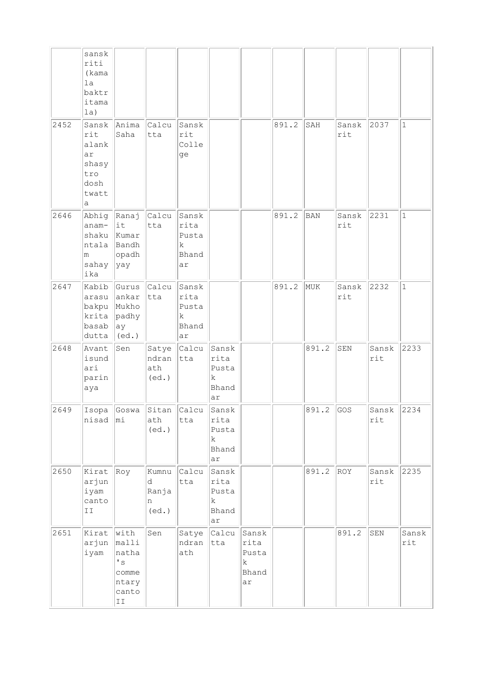|      | sansk<br>riti<br>(kama<br>1a<br>baktr<br>itama<br>la)          |                                                                                                    |                                   |                                            |                                                      |                                            |       |             |              |                       |                         |
|------|----------------------------------------------------------------|----------------------------------------------------------------------------------------------------|-----------------------------------|--------------------------------------------|------------------------------------------------------|--------------------------------------------|-------|-------------|--------------|-----------------------|-------------------------|
| 2452 | rit<br>alank<br>ar<br>shasy<br>tro<br>dosh<br>twatt<br>а       | Sansk Anima<br>Saha                                                                                | Calcu<br>tta                      | Sansk<br>rit<br>Colle<br>ge                |                                                      |                                            | 891.2 | SAH         | Sansk<br>rit | 2037                  | $\mathbf{1}$            |
| 2646 | anam-<br>m<br>sahay<br>ika                                     | Abhig Ranaj<br>$ $ it<br>$shaku$ Kumar<br>ntala Bandh<br>opadh<br> yay                             | Calcu<br>tta                      | Sansk<br>rita<br>Pusta<br>k<br>Bhand<br>ar |                                                      |                                            | 891.2 | BAN         | Sansk<br>rit | 2231                  | $\mathbf{1}$            |
| 2647 | Kabib<br>arasu<br>bakpu<br>krita<br>basab<br>dutta             | $\ Gurus\ $ Calcu $\ $<br>ankar<br>Mukho<br>padhy<br> ay <br>$ $ (ed.)                             | tta                               | Sansk<br>rita<br>Pusta<br>k<br>Bhand<br>ar |                                                      |                                            | 891.2 | MUK         | Sansk<br>rit | 2232                  | $\mathbf{1}$            |
| 2648 | Avant<br>isund<br>ari<br>parin<br>aya                          | Sen                                                                                                | Satye<br>ndran<br>ath<br>(ed.)    | Calcu<br>tta                               | Sansk<br>rita<br>Pusta<br>$\mathbf k$<br>Bhand<br>ar |                                            |       | 891.2       | SEN          | Sansk<br>rit          | 2233                    |
| 2649 | nisad   mi                                                     | Isopa Goswa Sitan Calcu                                                                            | ath<br>(ed.)                      | tta                                        | Sansk<br>rita<br>Pusta<br>k<br>Bhand<br>ar           |                                            |       | $891.2$ GOS |              | Sansk $\ 2234$<br>rit |                         |
| 2650 | Kirat<br>arjun<br>iyam<br>canto<br>$\mathbbm{I}$ $\mathbbm{I}$ | Roy                                                                                                | Kumnu<br>d<br>Ranja<br>n<br>(ed.) | Calcu<br>tta                               | Sansk<br>rita<br>Pusta<br>k<br>Bhand<br>ar           |                                            |       | 891.2       | ROY          | Sansk<br>rit          | 2235                    |
| 2651 | Kirat<br>arjun<br>iyam                                         | $ $ with<br>malli<br>natha<br>$^\prime$ s<br>comme<br>ntary<br>canto<br>$\mathbbm{I}\,\mathbbm{I}$ | Sen                               | Satye<br>ndran<br>ath                      | Calcu<br>tta                                         | Sansk<br>rita<br>Pusta<br>k<br>Bhand<br>ar |       |             | 891.2        | SEN                   | Sansk<br>$\texttt{rit}$ |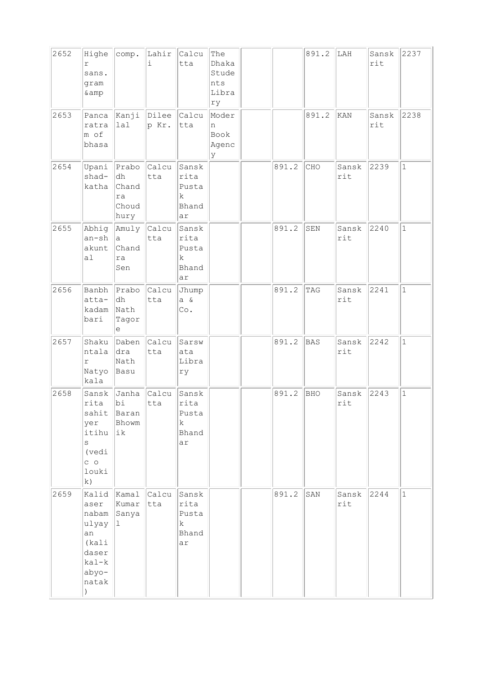| 2652 | Highe<br>r<br>sans.<br>gram<br>& amp                                               | comp.                                       | Lahir  <br>i   | Calcu<br>tta                                          | The<br>Dhaka<br>Stude<br>nts<br>Libra<br>ry |       | 891.2 | LAH          | Sansk<br>rit | 2237         |
|------|------------------------------------------------------------------------------------|---------------------------------------------|----------------|-------------------------------------------------------|---------------------------------------------|-------|-------|--------------|--------------|--------------|
| 2653 | Panca<br>ratra<br>m of<br>bhasa                                                    | Kanji<br>lal                                | Dilee<br>p Kr. | Calcu<br>tta                                          | Moder<br>n<br>Book<br>Agenc<br>У            |       | 891.2 | KAN          | Sansk<br>rit | 2238         |
| 2654 | Upani<br>shad-<br>katha                                                            | Prabo<br>dh<br>Chand<br>ra<br>Choud<br>hury | Calcu<br>tta   | Sansk<br>rita<br>Pusta<br>k<br>Bhand<br>ar            |                                             | 891.2 | CHO   | Sansk<br>rit | 2239         | $\mathbf{1}$ |
| 2655 | Abhig<br>an-sh<br>akunt<br>al                                                      | Amuly Calcu<br>la.<br>Chand<br>ra<br>Sen    | tta            | Sansk<br>rita<br>Pusta<br>k<br>Bhand<br>ar            |                                             | 891.2 | SEN   | Sansk<br>rit | 2240         | $\mathbf{1}$ |
| 2656 | Banbh<br>atta-<br>kadam<br>bari                                                    | Prabo<br>dh<br>Nath<br>Tagor<br>e           | Calcu<br>tta   | Jhump<br>$a \&$<br>$\mathbb{C}\circ$ .                |                                             | 891.2 | TAG   | Sansk<br>rit | 2241         | $\mathbf{1}$ |
| 2657 | Shaku<br>ntala<br>r<br>Natyo<br>kala                                               | Daben<br>dra<br>Nath<br>Basu                | Calcu<br>tta   | Sarsw<br>ata<br>Libra<br>ry                           |                                             | 891.2 | BAS   | Sansk<br>rit | 2242         | $\mathbf{1}$ |
| 2658 | Sansk<br>rita<br>sahit<br>yer<br>itihu<br>S<br>(vedi<br>$C$ 0<br>louki<br>k)       | Janha<br>bi<br>Baran<br>Bhowm<br>ik         | Calcu<br>tta   | Sansk<br>rita<br>Pusta<br>k<br>Bhand<br>ar            |                                             | 891.2 | BHO   | Sansk<br>rit | 2243         | $\mathbf{1}$ |
| 2659 | Kalid<br>aser<br>nabam<br>ulyay<br>an<br>(kali<br>daser<br>kal-k<br>abyo-<br>natak | Kamal<br>Kumar<br>Sanya<br> 1               | Calcu<br>tta   | Sansk<br>rita<br>Pusta<br>$\mathbf{k}$<br>Bhand<br>ar |                                             | 891.2 | SAN   | Sansk<br>rit | 2244         | $\mathbf{1}$ |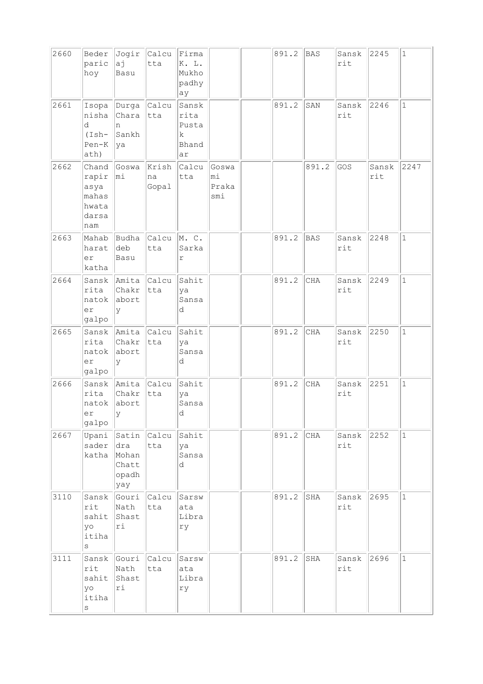| 2660 | Beder<br>paric<br>hoy                                    | aj<br>Basu                                            | Jogir Calcu<br>tta   | Firma<br>K. L.<br>Mukho<br>padhy<br>ay     |                             | 891.2 | <b>BAS</b> | Sansk<br>rit | 2245         | $\mathbf{1}$ |
|------|----------------------------------------------------------|-------------------------------------------------------|----------------------|--------------------------------------------|-----------------------------|-------|------------|--------------|--------------|--------------|
| 2661 | Isopa<br>nisha<br>d<br>$(Ish-$<br>Pen-K<br>ath)          | Durga Calcu<br>Chara<br>n<br>Sankh<br> ya             | tta                  | Sansk<br>rita<br>Pusta<br>k<br>Bhand<br>ar |                             | 891.2 | SAN        | Sansk<br>rit | 2246         | $\mathbf 1$  |
| 2662 | Chand<br>rapir<br>asya<br>mahas<br>hwata<br>darsa<br>nam | Goswa<br>$ m_1$                                       | Krish<br>na<br>Gopal | Calcu<br>tta                               | Goswa<br>mi<br>Praka<br>smi |       | 891.2      | GOS          | Sansk<br>rit | 2247         |
| 2663 | Mahab<br>harat<br>er<br>katha                            | Budha<br>deb<br>Basu                                  | Calcu<br>tta         | M.C.<br>Sarka<br>r                         |                             | 891.2 | BAS        | Sansk<br>rit | 2248         | $\mathbf{1}$ |
| 2664 | rita<br>natok<br>er<br>galpo                             | Sansk Amita Calcu<br>Chakr<br>abort<br>У              | tta                  | Sahit<br>ya<br>Sansa<br>d                  |                             | 891.2 | CHA        | Sansk<br>rit | 2249         | $\mathbf{1}$ |
| 2665 | Sansk<br>rita<br>natok<br>er<br>galpo                    | Amita Calcu<br>Chakr<br>abort<br>У                    | tta                  | Sahit<br>ya<br>Sansa<br>d                  |                             | 891.2 | CHA        | Sansk<br>rit | 2250         | $\mathbf{1}$ |
| 2666 | Sansk<br>rita<br>natok<br>er<br>galpo                    | Amita Calcu<br>Chakr<br>abort<br>lУ                   | tta                  | Sahit<br>ya<br>Sansa<br>d                  |                             | 891.2 | <b>CHA</b> | Sansk<br>rit | 2251         | $\mathbf{1}$ |
| 2667 | Upani<br>sader<br>katha                                  | Satin Calcu<br> dra<br>Mohan<br>Chatt<br>opadh<br>yay | tta                  | Sahit<br>ya<br>Sansa<br>d                  |                             | 891.2 | CHA        | Sansk<br>rit | 2252         | $\vert$ 1    |
| 3110 | Sansk<br>rit<br>sahit<br>yo<br>itiha<br>S                | Nath<br>Shast<br>ri                                   | Gouri Calcu<br>tta   | Sarsw<br>ata<br>Libra<br>rу                |                             | 891.2 | SHA        | Sansk<br>rit | 2695         | $\mathbf 1$  |
| 3111 | Sansk<br>rit<br>sahit<br>yo<br>itiha<br>$\rm S$          | Gouri<br>Nath<br>Shast<br>ri                          | Calcu<br>tta         | Sarsw<br>ata<br>Libra<br>ry                |                             | 891.2 | SHA        | Sansk<br>rit | 2696         | $\mathbf{1}$ |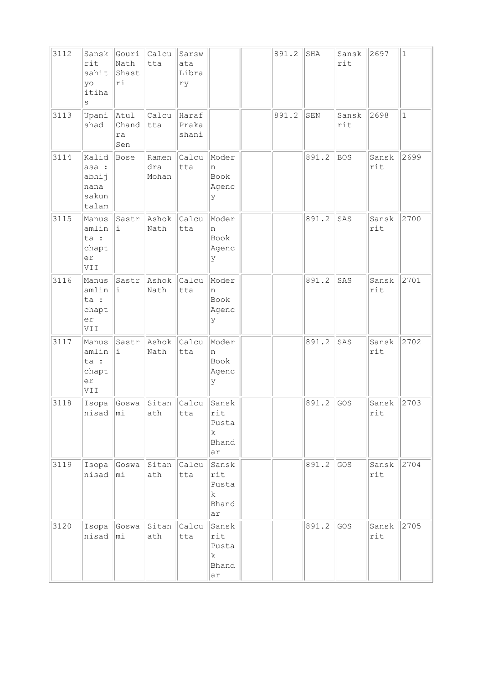| 3112 | Sansk<br>rit<br>sahit<br>yo<br>itiha<br>S           | Gouri<br>Nath<br>Shast<br>ri | Calcu<br>tta          | Sarsw<br>ata<br>Libra<br>ry |                                           | 891.2 | $_{\rm SHA}$ | Sansk<br>rit | 2697         | $1\,$        |
|------|-----------------------------------------------------|------------------------------|-----------------------|-----------------------------|-------------------------------------------|-------|--------------|--------------|--------------|--------------|
| 3113 | Upani<br>shad                                       | Atul<br>Chand<br>ra<br>Sen   | Calcu<br>tta          | Haraf<br>Praka<br>shani     |                                           | 891.2 | SEN          | Sansk<br>rit | 2698         | $\mathbf{1}$ |
| 3114 | Kalid<br>asa :<br>abhij<br>nana<br>sakun<br>talam   | Bose                         | Ramen<br>dra<br>Mohan | Calcu<br>tta                | Moder<br>n<br>Book<br>Agenc<br>У          |       | 891.2        | BOS          | Sansk<br>rit | 2699         |
| 3115 | Manus<br>amlin<br>ta :<br>chapt<br>er<br>VII        | Sastr<br>i.                  | Ashok<br>Nath         | Calcu<br>tta                | Moder<br>n<br>Book<br>Agenc<br>У          |       | 891.2        | SAS          | Sansk<br>rit | 2700         |
| 3116 | Manus<br>amlin<br>ta :<br>chapt<br>er<br><b>IIV</b> | Sastr<br>i.                  | Ashok<br>Nath         | Calcu<br>tta                | Moder<br>n<br>Book<br>Agenc<br>У          |       | 891.2        | SAS          | Sansk<br>rit | 2701         |
| 3117 | Manus<br>amlin<br>ta :<br>chapt<br>er<br>VII        | Sastr<br>i                   | Ashok<br>Nath         | Calcu<br>tta                | Moder<br>n<br>Book<br>Agenc<br>У          |       | 891.2        | SAS          | Sansk<br>rit | 2702         |
| 3118 | Isopa<br>nisad                                      | Goswa<br>∣mi                 | Sitan<br>ath          | Calcu<br>tta                | Sansk<br>rit<br>Pusta<br>k<br>Bhand<br>ar |       | 891.2        | GOS          | Sansk<br>rit | 2703         |
| 3119 | Isopa<br>nisad                                      | Goswa<br>mi                  | Sitan<br>ath          | Calcu<br>tta                | Sansk<br>rit<br>Pusta<br>k<br>Bhand<br>ar |       | 891.2        | GOS          | Sansk<br>rit | 2704         |
| 3120 | Isopa<br>nisad                                      | Goswa<br>mi                  | Sitan<br>ath          | Calcu<br>tta                | Sansk<br>rit<br>Pusta<br>k<br>Bhand<br>ar |       | 891.2        | GOS          | Sansk<br>rit | 2705         |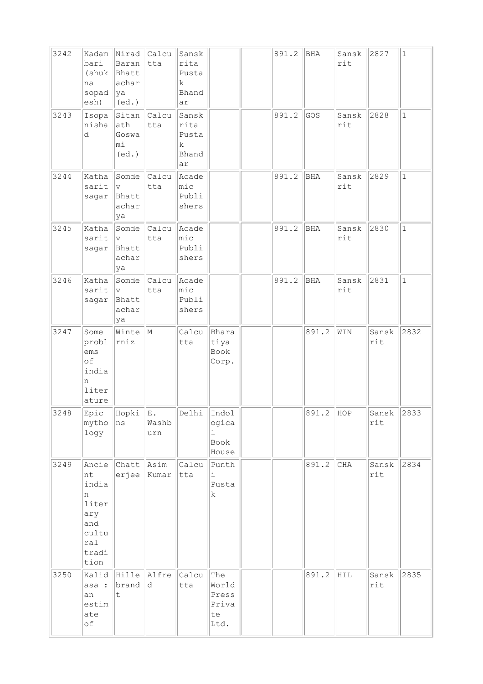| 3242 | Kadam<br>bari<br>(shuk<br>na<br>sopad<br>esh)                                     | Nirad<br>Baran<br>Bhatt<br>achar<br> ya<br>$ $ (ed.)     | Calcu<br>tta             | Sansk<br>rita<br>Pusta<br>k.<br>Bhand<br>ar |                                              | 891.2 | BHA        | Sansk<br>rit | 2827         | $\mathbf 1$  |
|------|-----------------------------------------------------------------------------------|----------------------------------------------------------|--------------------------|---------------------------------------------|----------------------------------------------|-------|------------|--------------|--------------|--------------|
| 3243 | Isopa<br>nisha<br>d                                                               | Sitan Calcu<br>ath<br>Goswa<br>mi<br>(ed.)               | tta                      | Sansk<br>rita<br>Pusta<br>k<br>Bhand<br>ar  |                                              | 891.2 | GOS        | Sansk<br>rit | 2828         | $\mathbf{1}$ |
| 3244 | Katha<br>sarit<br>sagar                                                           | Somde<br>$\overline{\mathrm{v}}$<br>Bhatt<br>achar<br>ya | $ $ Calcu $ $<br>tta     | Acade<br>$ {\tt mic} $<br>Publi<br>shers    |                                              | 891.2 | <b>BHA</b> | Sansk<br>rit | 2829         | $\mathbf{1}$ |
| 3245 | Katha<br>sarit<br>sagar                                                           | v <br>Bhatt<br>achar<br>ya                               | Somde Calcu Acade<br>tta | mic<br>Publi<br>shers                       |                                              | 891.2 | <b>BHA</b> | Sansk<br>rit | 2830         | $\mathbf{1}$ |
| 3246 | Katha<br>sarit<br>sagar                                                           | Somde<br>$ _{\rm V} $<br>Bhatt<br>achar<br>ya            | Calcu Acade<br>tta       | $ $ mic<br>Publi<br>shers                   |                                              | 891.2 | BHA        | Sansk<br>rit | 2831         | $\mathbf{1}$ |
| 3247 | Some<br>probl<br>ems<br>of<br>india<br>n<br>liter<br>ature                        | Winte<br>rniz                                            | $\mathbb{M}$             | Calcu<br>tta                                | Bhara<br>tiya<br>Book<br>Corp.               |       | 891.2      | WIN          | Sansk<br>rit | 2832         |
| 3248 | Epic<br>mytho<br>logy                                                             | Hopki<br>ns                                              | ΙE.<br>Washb<br>urn      | Delhi                                       | Indol<br>ogica<br>ı<br>Book<br>House         |       | 891.2      | HOP          | Sansk<br>rit | 2833         |
| 3249 | Ancie<br>nt<br>india<br>n<br>liter<br>ary<br>and<br>cultu<br>ral<br>tradi<br>tion | Chatt<br>erjee                                           | Asim<br>Kumar            | Calcu<br>tta                                | Punth<br>$\dot{\mathbbm{1}}$<br>Pusta<br>k   |       | 891.2      | CHA          | Sansk<br>rit | 2834         |
| 3250 | Kalid<br>asa :<br>an<br>estim<br>ate<br>of                                        | Hille Alfre<br>brand<br>t.                               | d                        | Calcu<br>tta                                | The<br>World<br>Press<br>Priva<br>te<br>Ltd. |       | 891.2      | HIL          | Sansk<br>rit | 2835         |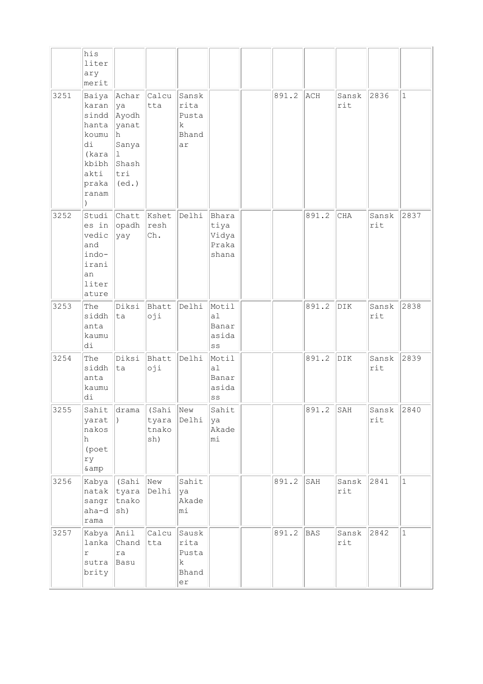|      | his<br>liter<br>ary<br>merit                                                                              |                                                                 |                                                      |                                            |                                          |       |            |                         |                     |              |
|------|-----------------------------------------------------------------------------------------------------------|-----------------------------------------------------------------|------------------------------------------------------|--------------------------------------------|------------------------------------------|-------|------------|-------------------------|---------------------|--------------|
| 3251 | Baiya Achar<br>karan<br>sindd   Ayodh<br>hanta<br>koumu<br>di<br>(kara<br>kbibh<br>akti<br>praka<br>ranam | ya<br>yanat<br>lh.<br>Sanya<br>11.<br>Shash<br>tri<br>$ $ (ed.) | $ $ Calcu<br>tta                                     | Sansk<br>rita<br>Pusta<br>k<br>Bhand<br>ar |                                          | 891.2 | ACH        | Sansk<br>rit            | 2836                | $\mathbf{1}$ |
| 3252 | Studi<br>es in<br>vedic<br>and<br>indo-<br>irani<br>an<br>liter<br>ature                                  | Chatt<br>opadh<br> yay                                          | Kshet<br>resh<br>Ch.                                 | Delhi                                      | Bhara<br>tiya<br>Vidya<br>Praka<br>shana |       | 891.2      | $\rm CHA$               | Sansk<br>rit        | 2837         |
| 3253 | The<br>siddh<br>anta<br>kaumu<br>di                                                                       | Diksi Bhatt<br> ta                                              | oji                                                  | Delhi                                      | Motil<br>a1<br>Banar<br>asida<br>SS      |       | 891.2      | DIK                     | Sansk<br>rit        | 2838         |
| 3254 | The<br>siddh<br>anta<br>kaumu<br>di                                                                       | Diksi<br> ta                                                    | Bhatt<br>oji                                         | Delhi                                      | Motil<br>a1<br>Banar<br>asida<br>SS      |       | 891.2      | DIK                     | Sansk<br>rit        | 2839         |
| 3255 | yarat<br>nakos<br>h<br>(poet<br>ry<br>$\&amp$                                                             | $\vert$ )                                                       | Sahit drama (Sahi New<br>tyara Delhi<br>tnako<br>sh) |                                            | Sahit<br>ya<br>Akade<br>mi               |       | 891.2      | SAH                     | Sansk $2840$<br>rit |              |
| 3256 | Kabya<br>natak<br>sangr<br>aha-d<br>rama                                                                  | $\parallel$ (Sahi<br>tyara<br>tnako<br>sh)                      | New<br>Delhi                                         | Sahit<br>ya<br>Akade<br>mi                 |                                          | 891.2 | SAH        | Sansk<br>rit            | 2841                | $\mathbf 1$  |
| 3257 | Kabya<br>lanka<br>r<br>sutra<br>brity                                                                     | Anil<br>Chand<br>ra<br>Basu                                     | Calcu<br>tta                                         | Sausk<br>rita<br>Pusta<br>k<br>Bhand<br>er |                                          | 891.2 | <b>BAS</b> | Sansk<br>$\texttt{rit}$ | 2842                | $\mathbf{1}$ |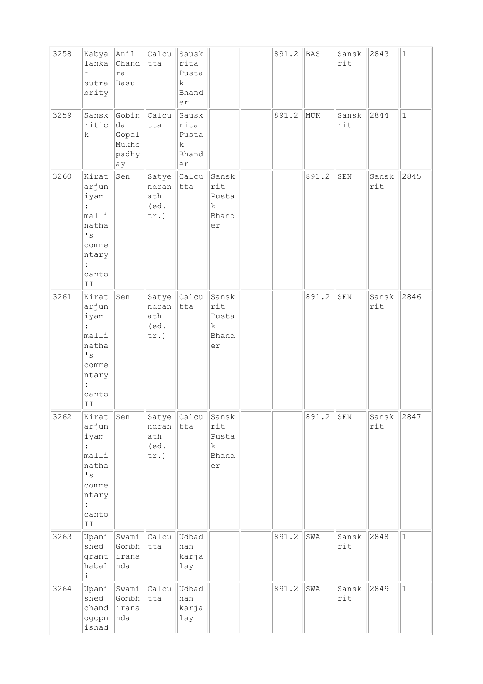| 3258 | Kabya<br>lanka<br>$\Upsilon$<br>sutra<br>brity                                                                                                                | Anil<br>Chand<br>ra<br>Basu                  | Calcu<br>tta                             | Sausk<br>rita<br>Pusta<br>k<br>Bhand<br>er |                                                     | 891.2 | <b>BAS</b> | Sansk<br>rit | 2843         | $\mathbf 1$  |
|------|---------------------------------------------------------------------------------------------------------------------------------------------------------------|----------------------------------------------|------------------------------------------|--------------------------------------------|-----------------------------------------------------|-------|------------|--------------|--------------|--------------|
| 3259 | Sansk<br>ritic<br>$\rm k$                                                                                                                                     | Gobin<br>da<br>Gopal<br>Mukho<br>padhy<br>ay | <b>Calcu</b><br>tta                      | Sausk<br>rita<br>Pusta<br>k<br>Bhand<br>er |                                                     | 891.2 | MUK        | Sansk<br>rit | 2844         | $\mathbf{1}$ |
| 3260 | Kirat<br>arjun<br>iyam<br>malli<br>natha<br>$\mathbf{F}$ s<br>comme<br>ntary<br>canto<br>II                                                                   | Sen                                          | Satye<br>ndran<br>ath<br>(ed.<br>$tr.$ ) | Calcu<br>tta                               | Sansk<br>rit<br>Pusta<br>k<br>Bhand<br>er           |       | 891.2      | ${\tt SEN}$  | Sansk<br>rit | 2845         |
| 3261 | Kirat<br>arjun<br>iyam<br>malli<br>natha<br>$\mathbf{I}$ s<br>comme<br>ntary<br>canto<br>II                                                                   | Sen                                          | Satye<br>ndran<br>ath<br>(ed.<br>$tr.$ ) | Calcu<br>tta                               | Sansk<br>rit<br>Pusta<br>k.<br>Bhand<br>er          |       | 891.2      | ${\tt SEN}$  | Sansk<br>rit | 2846         |
| 3262 | Kirat<br>arjun<br>iyam<br>$\ddot{\cdot}$<br>malli<br>natha<br>$^\prime$ s<br>comme<br>ntary<br>$\ddot{\phantom{a}}$<br>canto<br>$\mbox{\bf I}$ $\mbox{\bf I}$ | Sen                                          | Satye<br>ndran<br>ath<br>(ed.<br>tr.)    | Calcu<br>tta                               | Sansk<br>rit<br>Pusta<br>$\mathbf k$<br>Bhand<br>er |       | 891.2      | ${\tt SEN}$  | Sansk<br>rit | 2847         |
| 3263 | Upani<br>shed<br>grant<br>habal<br>i                                                                                                                          | Swami<br>Gombh<br>lirana<br>nda              | Calcu<br>tta                             | Udbad<br>han<br>karja<br>lay               |                                                     | 891.2 | SWA        | Sansk<br>rit | 2848         | $\mathbf{1}$ |
| 3264 | shed<br>chand<br>ogopn<br>ishad                                                                                                                               | Upani Swami<br>Gombh<br>lirana<br>nda        | Calcu<br>tta                             | Udbad<br>han<br>karja<br>lay               |                                                     | 891.2 | SWA        | Sansk<br>rit | 2849         | $\mathbf{1}$ |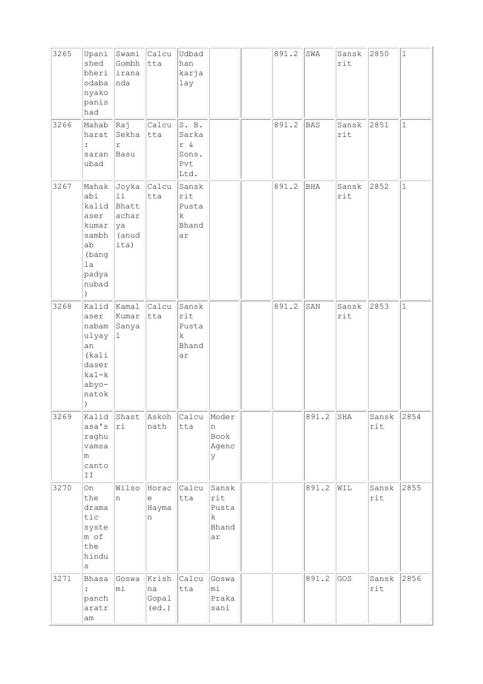| 3265 | Upani<br>shed<br>bheri<br>odaba<br>nyako<br>panis<br>had                                                  | Swami<br>Gombh<br>irana<br>nda                              | Calcu<br>tta                  | Udbad<br>han<br>karja<br>lay                    |                                           | 891.2 | SWA        | Sansk<br>rit | 2850         | $\mathbf 1$  |
|------|-----------------------------------------------------------------------------------------------------------|-------------------------------------------------------------|-------------------------------|-------------------------------------------------|-------------------------------------------|-------|------------|--------------|--------------|--------------|
| 3266 | Mahab<br>harat<br>$\ddot{\cdot}$<br>saran<br>ubad                                                         | Raj<br>Sekha<br>r<br>Basu                                   | Calcu<br>tta                  | S. B.<br>Sarka<br>$r$ &<br>Sons.<br>Pvt<br>Ltd. |                                           | 891.2 | <b>BAS</b> | Sansk<br>rit | 2851         | $\mathbf{1}$ |
| 3267 | Mahak<br>abi<br>kalid<br>aser<br>kumar<br>sambh<br>ab<br>(bang<br>1a<br>padya<br>nubad<br>$\lambda$       | Joyka Calcu<br>11<br>Bhatt<br>achar<br> ya<br>(anud<br>ita) | tta                           | Sansk<br>rit<br>Pusta<br>k<br>Bhand<br>ar       |                                           | 891.2 | BHA        | Sansk<br>rit | 2852         | $\mathbf{1}$ |
| 3268 | Kalid Kamal<br>aser<br>nabam<br>ulyay<br>an<br>(kali<br>daser<br>kal-k<br>abyo-<br>natok<br>$\mathcal{C}$ | Kumar<br>Sanya<br>1                                         | Calcu<br>tta                  | Sansk<br>rit<br>Pusta<br>k<br>Bhand<br>ar       |                                           | 891.2 | SAN        | Sansk<br>rit | 2853         | $\mathbf{1}$ |
| 3269 | Kalid<br>asa's<br>raghu<br>vamsa<br>m<br>canto<br>$\mbox{\bf I}$ $\mbox{\bf I}$                           | Shast<br>ri                                                 | Askoh<br>nath                 | Calcu<br>tta                                    | Moder<br>n<br>Book<br>Agenc<br>У          |       | 891.2      | SHA          | Sansk<br>rit | 2854         |
| 3270 | On<br>the<br>drama<br>tic<br>syste<br>m of<br>the<br>hindu<br>$\rm s$                                     | Wilso<br>n                                                  | Horac<br>$\in$<br>Hayma<br>n  | Calcu<br>tta                                    | Sansk<br>rit<br>Pusta<br>k<br>Bhand<br>ar |       | 891.2      | WIL          | Sansk<br>rit | 2855         |
| 3271 | Bhasa<br>panch<br>aratr<br>am                                                                             | Goswa<br>mi                                                 | Krish<br>na<br>Gopal<br>(ed.) | Calcu<br>tta                                    | Goswa<br>mi<br>Praka<br>sani              |       | 891.2      | GOS          | Sansk<br>rit | 2856         |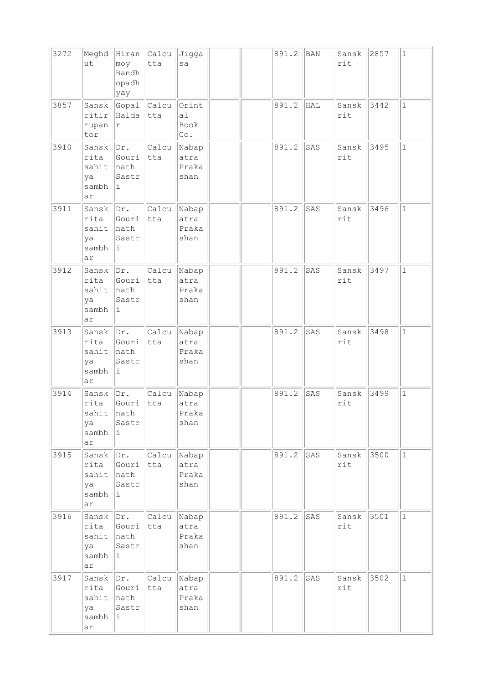| 3272 | Meghd<br>ut                                 | Hiran<br>moy<br>Bandh<br>opadh<br>yay | Calcu<br>tta       | Jigga<br>sa                                |  | 891.2 | BAN        | Sansk<br>rit | 2857 | $1\,$        |
|------|---------------------------------------------|---------------------------------------|--------------------|--------------------------------------------|--|-------|------------|--------------|------|--------------|
| 3857 | Sansk<br>ritir<br>rupan<br>tor              | Gopal<br>Halda<br>$\Upsilon$          | Calcu<br>tta       | Orint<br>a1<br>Book<br>$\mathbb{C}\circ$ . |  | 891.2 | <b>HAL</b> | Sansk<br>rit | 3442 | $\mathbf{1}$ |
| 3910 | Sansk<br>rita<br>sahit<br>ya<br>sambh<br>ar | Dr.<br>Gouri<br>nath<br>Sastr<br>Ιi.  | Calcu<br>tta       | Nabap<br>atra<br>Praka<br>shan             |  | 891.2 | SAS        | Sansk<br>rit | 3495 | $\mathbf 1$  |
| 3911 | Sansk<br>rita<br>sahit<br>ya<br>sambh<br>ar | Dr.<br>Gouri<br>nath<br>Sastr<br>i.   | Calcu<br>tta       | Nabap<br>atra<br>Praka<br>shan             |  | 891.2 | SAS        | Sansk<br>rit | 3496 | $\mathbf{1}$ |
| 3912 | Sansk<br>rita<br>sahit<br>ya<br>sambh<br>ar | Dr.<br>Gouri<br>nath<br>Sastr<br>i.   | Calcu<br>tta       | Nabap<br>atra<br>Praka<br>shan             |  | 891.2 | SAS        | Sansk<br>rit | 3497 | $\mathbf 1$  |
| 3913 | Sansk<br>rita<br>sahit<br>ya<br>sambh<br>ar | Dr.<br>Gouri<br>nath<br>Sastr<br>i.   | Calcu<br>tta       | Nabap<br>atra<br>Praka<br>shan             |  | 891.2 | SAS        | Sansk<br>rit | 3498 | $\mathbf 1$  |
| 3914 | Sansk<br>rita<br>sahit<br>ya<br>sambh<br>ar | Dr.<br>Gouri<br>nath<br>Sastr<br>i    | Calcu<br>tta       | Nabap<br>atra<br>Praka<br>shan             |  | 891.2 | SAS        | Sansk<br>rit | 3499 | $\mathbf{1}$ |
| 3915 | Sansk<br>rita<br>sahit<br>ya<br>sambh<br>ar | Dr.<br>Gouri<br>nath<br>Sastr<br>Ŀ.   | Calcu Nabap<br>tta | atra<br>Praka<br>shan                      |  | 891.2 | SAS        | Sansk<br>rit | 3500 | $\mathbf{1}$ |
| 3916 | Sansk<br>rita<br>sahit<br>ya<br>sambh<br>ar | Dr.<br>Gouri<br>nath<br>Sastr<br>i.   | Calcu<br>tta       | Nabap<br>atra<br>Praka<br>shan             |  | 891.2 | SAS        | Sansk<br>rit | 3501 | $\mathbf{1}$ |
| 3917 | Sansk<br>rita<br>sahit<br>ya<br>sambh<br>ar | Dr.<br>Gouri<br>nath<br>Sastr<br>i    | Calcu<br>tta       | Nabap<br>atra<br>Praka<br>shan             |  | 891.2 | SAS        | Sansk<br>rit | 3502 | $\mathbf{1}$ |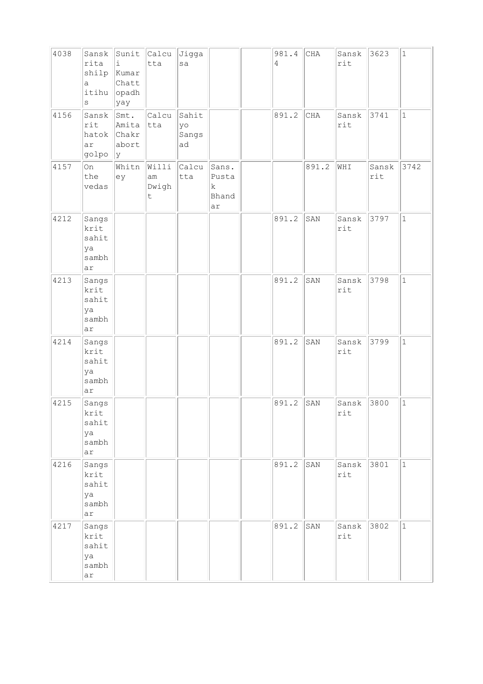| 4038 | Sansk<br>rita<br>shilp<br>a<br>itihu<br>$\rm s$ | Sunit<br>i<br>Kumar<br>Chatt<br>opadh<br>yay | Calcu<br>tta                    | Jigga<br>sa                |                                    | 981.4<br>$\overline{4}$ | $\rm CHA$ | Sansk<br>rit | 3623         | $\mathbf 1$  |
|------|-------------------------------------------------|----------------------------------------------|---------------------------------|----------------------------|------------------------------------|-------------------------|-----------|--------------|--------------|--------------|
| 4156 | Sansk<br>rit<br>hatok Chakr<br>ar<br>golpo      | Smt.<br>Amita<br>abort<br> y                 | Calcu<br>tta                    | Sahit<br>yo<br>Sangs<br>ad |                                    | 891.2                   | $\rm CHA$ | Sansk<br>rit | 3741         | $\mathbf 1$  |
| 4157 | On<br>the<br>vedas                              | Whitn<br>ey                                  | Willi<br>am<br>Dwigh<br>$\sf t$ | Calcu<br>tta               | Sans.<br>Pusta<br>k<br>Bhand<br>ar |                         | 891.2     | WHI          | Sansk<br>rit | 3742         |
| 4212 | Sangs<br>krit<br>sahit<br>ya<br>sambh<br>ar     |                                              |                                 |                            |                                    | 891.2                   | SAN       | Sansk<br>rit | 3797         | $\mathbf{1}$ |
| 4213 | Sangs<br>krit<br>sahit<br>ya<br>sambh<br>ar     |                                              |                                 |                            |                                    | 891.2                   | SAN       | Sansk<br>rit | 3798         | $\mathbf{1}$ |
| 4214 | Sangs<br>krit<br>sahit<br>ya<br>sambh<br>ar     |                                              |                                 |                            |                                    | 891.2                   | SAN       | Sansk<br>rit | 3799         | $1\,$        |
| 4215 | Sangs<br>krit<br>sahit<br>ya<br>sambh<br>ar     |                                              |                                 |                            |                                    | 891.2                   | SAN       | Sansk<br>rit | 3800         | $\mathbf 1$  |
| 4216 | Sangs<br>krit<br>sahit<br>ya<br>sambh<br>ar     |                                              |                                 |                            |                                    | 891.2                   | SAN       | Sansk<br>rit | 3801         | $\vert$ 1    |
| 4217 | Sangs<br>krit<br>sahit<br>ya<br>sambh<br>ar     |                                              |                                 |                            |                                    | 891.2                   | SAN       | Sansk<br>rit | 3802         | $\mathbf{1}$ |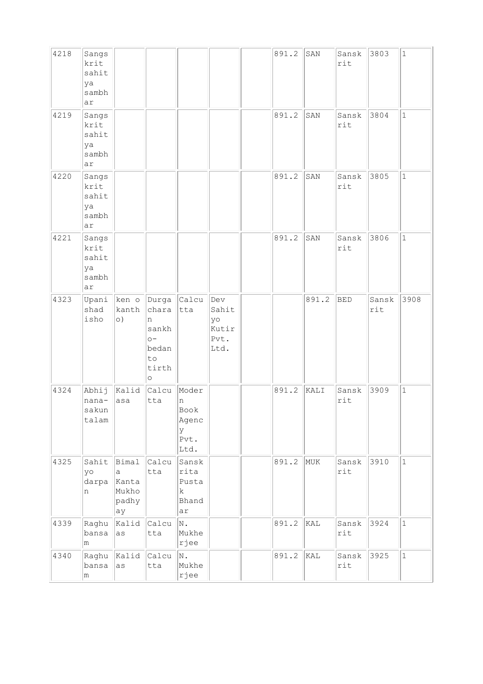| 4218 | Sangs<br>krit<br>sahit<br>ya<br>sambh<br>ar |                                                       |                                                                     |                                                  |                                             | 891.2 | SAN   | Sansk<br>rit            | 3803         | $\mathbf{1}$ |
|------|---------------------------------------------|-------------------------------------------------------|---------------------------------------------------------------------|--------------------------------------------------|---------------------------------------------|-------|-------|-------------------------|--------------|--------------|
| 4219 | Sangs<br>krit<br>sahit<br>ya<br>sambh<br>ar |                                                       |                                                                     |                                                  |                                             | 891.2 | SAN   | Sansk<br>rit            | 3804         | $\mathbf{1}$ |
| 4220 | Sangs<br>krit<br>sahit<br>ya<br>sambh<br>ar |                                                       |                                                                     |                                                  |                                             | 891.2 | SAN   | Sansk<br>rit            | 3805         | $\mathbf{1}$ |
| 4221 | Sangs<br>krit<br>sahit<br>ya<br>sambh<br>ar |                                                       |                                                                     |                                                  |                                             | 891.2 | SAN   | Sansk<br>rit            | 3806         | $\mathbf{1}$ |
| 4323 | Upani<br>shad<br>isho                       | $\ $ ken o $\ $ Durga $\ $ Calcu<br>kanth<br>$\circ)$ | chara<br>n<br>sankh<br>$\circ$ -<br>bedan<br>to<br>tirth<br>$\circ$ | tta                                              | Dev<br>Sahit<br>yo<br>Kutir<br>Pvt.<br>Ltd. |       | 891.2 | <b>BED</b>              | Sansk<br>rit | 3908         |
| 4324 | Abhij<br>nana-<br>sakun<br>talam            | Kalid<br>asa                                          | Calcu<br>tta                                                        | Moder<br>n<br>Book<br>Agenc<br>У<br>Pvt.<br>Ltd. |                                             | 891.2 | KALI  | Sansk<br>rit            | 3909         | $\mathbf{1}$ |
| 4325 | Sahit<br>yo<br>darpa<br>n                   | Bimal<br>a<br>Kanta<br>Mukho<br>padhy<br>ay           | Calcu<br>tta                                                        | Sansk<br>rita<br>Pusta<br>k<br>Bhand<br>ar       |                                             | 891.2 | MUK   | Sansk<br>rit            | 3910         | $\mathbf 1$  |
| 4339 | Raghu<br>bansa<br>m                         | Kalid<br>as                                           | Calcu<br>tta                                                        | N.<br>Mukhe<br>rjee                              |                                             | 891.2 | KAL   | Sansk<br>$\texttt{rit}$ | 3924         | $\mathbf{1}$ |
| 4340 | Raghu<br>bansa<br>m                         | Kalid<br>as                                           | Calcu<br>tta                                                        | N.<br>Mukhe<br>rjee                              |                                             | 891.2 | kal   | Sansk<br>rit            | 3925         | $\mathbf 1$  |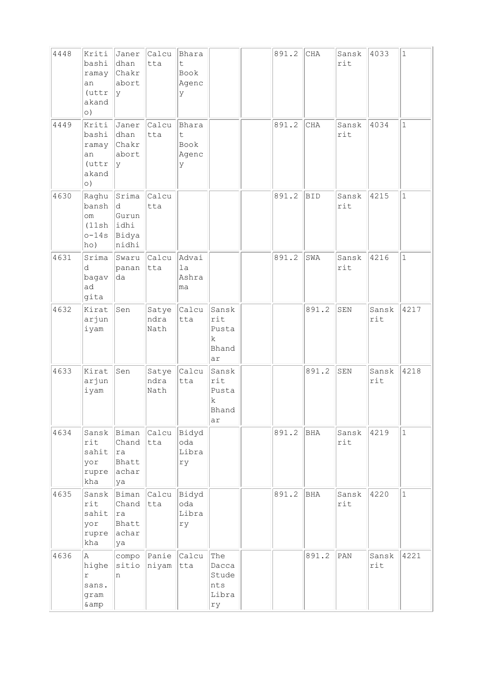| 4448 | Kriti<br>bashi<br>ramay<br>an<br>$(\texttt{uttr})$<br>akand<br>$\circ$ ) | Janer<br>dhan<br>Chakr<br>abort<br> y                                | Calcu<br>tta                     | Bhara<br>t<br>Book<br>Agenc<br>У |                                                     | 891.2 | $\rm CHA$  | Sansk<br>rit | 4033         | $\mathbf{1}$ |
|------|--------------------------------------------------------------------------|----------------------------------------------------------------------|----------------------------------|----------------------------------|-----------------------------------------------------|-------|------------|--------------|--------------|--------------|
| 4449 | Kriti<br>bashi<br>ramay<br>an<br>$(\text{uttr})$<br>akand<br>$\circ$ )   | Janer<br>dhan<br>Chakr<br>abort<br> y                                | Calcu<br>tta                     | Bhara<br>t<br>Book<br>Agenc<br>У |                                                     | 891.2 | CHA        | Sansk<br>rit | 4034         | $\mathbf 1$  |
| 4630 | Raghu<br>bansh<br>om<br>(11sh)<br>$o-14s$<br>ho)                         | Srima<br>ld.<br>Gurun<br>lidhi<br>Bidya<br>nidhi                     | Calcu<br>tta                     |                                  |                                                     | 891.2 | <b>BID</b> | Sansk<br>rit | 4215         | $\mathbf{1}$ |
| 4631 | Srima<br>d<br>bagav<br>ad<br>gita                                        | panan<br>da                                                          | Swaru Calcu<br>tta               | Advai<br>1a<br>Ashra<br>ma       |                                                     | 891.2 | SWA        | Sansk<br>rit | 4216         | $\mathbf{1}$ |
| 4632 | Kirat<br>arjun<br>iyam                                                   | Sen                                                                  | Satye<br>ndra<br>Nath            | Calcu<br>tta                     | Sansk<br>rit<br>Pusta<br>$\mathbf k$<br>Bhand<br>ar |       | 891.2      | SEN          | Sansk<br>rit | 4217         |
| 4633 | Kirat<br>arjun<br>iyam                                                   | Sen                                                                  | Satye<br>ndra<br>Nath            | Calcu<br>tta                     | Sansk<br>rit<br>Pusta<br>k<br>Bhand<br>ar           |       | 891.2      | ${\tt SEM}$  | Sansk<br>rit | 4218         |
| 4634 | Sansk<br>rit<br>sahit<br>yor<br>rupre achar<br>kha                       | Biman Calcu<br>Chand<br> ra<br>Bhatt<br>ya                           | tta                              | Bidyd<br>oda<br>Libra<br>ry      |                                                     | 891.2 | BHA        | Sansk<br>rit | 4219         | $\mathbf{1}$ |
| 4635 | Sansk<br>rit<br>sahit<br>yor<br>kha                                      | Biman Calcu Bidyd<br>Chand tta<br> ra <br>Bhatt<br>rupre achar<br>ya |                                  | oda<br>Libra<br>ry               |                                                     | 891.2 | BHA        | Sansk<br>rit | 4220         | $\mathbf{1}$ |
| 4636 | A<br>highe<br>r<br>sans.<br>gram<br>& amp                                | n                                                                    | compo Panie Calcu<br>sitio niyam | tta                              | The<br>Dacca<br>Stude<br>nts<br>Libra<br>rу         |       | 891.2      | PAN          | Sansk<br>rit | 4221         |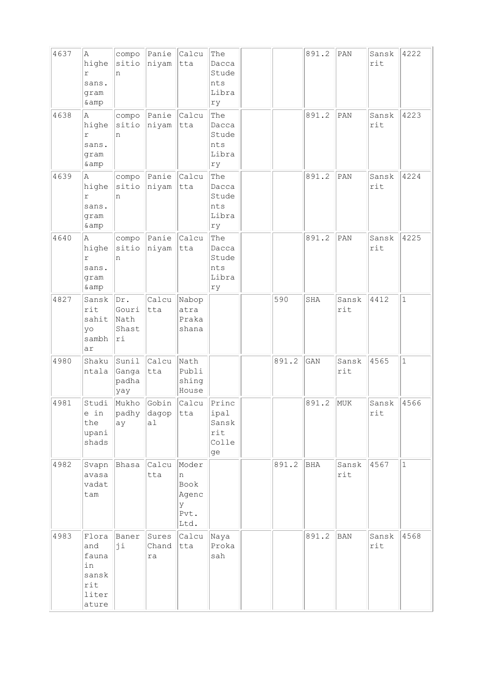| 4637 | Α<br>highe<br>r<br>sans.<br>gram<br>& amp                     | compo<br>sitio<br>n                  | Panie<br>niyam        | Calcu<br>tta                                     | The<br>Dacca<br>Stude<br>nts<br>Libra<br>ry  |       | 891.2 | PAN          | Sansk<br>rit | 4222         |
|------|---------------------------------------------------------------|--------------------------------------|-----------------------|--------------------------------------------------|----------------------------------------------|-------|-------|--------------|--------------|--------------|
| 4638 | Α<br>highe<br>r<br>sans.<br>gram<br>& amp                     | compo<br>sitio<br>n                  | Panie<br>niyam        | Calcu<br>tta                                     | The<br>Dacca<br>Stude<br>nts<br>Libra<br>ry  |       | 891.2 | PAN          | Sansk<br>rit | 4223         |
| 4639 | Α<br>highe<br>r<br>sans.<br>gram<br>& amp                     | compo<br>sitio<br>n                  | Panie<br>niyam        | Calcu<br>tta                                     | The<br>Dacca<br>Stude<br>nts<br>Libra<br>ry  |       | 891.2 | PAN          | Sansk<br>rit | 4224         |
| 4640 | Α<br>highe<br>r<br>sans.<br>gram<br>& amp                     | compo<br>sitio<br>n                  | Panie<br>niyam        | Calcu<br>tta                                     | The<br>Dacca<br>Stude<br>nts<br>Libra<br>ry  |       | 891.2 | PAN          | Sansk<br>rit | 4225         |
| 4827 | Sansk<br>rit<br>sahit<br>yo<br>sambh<br>ar                    | Dr.<br>Gouri<br>Nath<br>Shast<br> ri | Calcu<br>tta          | Nabop<br>atra<br>Praka<br>shana                  |                                              | 590   | SHA   | Sansk<br>rit | 4412         | $\mathbf{1}$ |
| 4980 | Shaku<br>ntala                                                | Sunil<br>Ganga<br>padha<br>yay       | Calcu<br>tta          | Nath<br>Publi<br>shing<br>House                  |                                              | 891.2 | GAN   | Sansk<br>rit | 4565         | $\mathbf 1$  |
| 4981 | Studi<br>e in<br>the<br>upani<br>shads                        | Mukho<br> padhy<br>ay                | Gobin<br> dagop<br>al | Calcu<br>tta                                     | Princ<br>ipal<br>Sansk<br>rit<br>Colle<br>ge |       | 891.2 | MUK          | Sansk<br>rit | 4566         |
| 4982 | Svapn<br>avasa<br>vadat<br>tam                                | Bhasa                                | Calcu<br>tta          | Moder<br>n<br>Book<br>Agenc<br>У<br>Pvt.<br>Ltd. |                                              | 891.2 | BHA   | Sansk<br>rit | 4567         | $\mathbf 1$  |
| 4983 | Flora<br>and<br>fauna<br>in<br>sansk<br>rit<br>liter<br>ature | Baner<br>ji                          | Sures<br>Chand<br>ra  | Calcu<br>tta                                     | Naya<br>Proka<br>sah                         |       | 891.2 | <b>BAN</b>   | Sansk<br>rit | 4568         |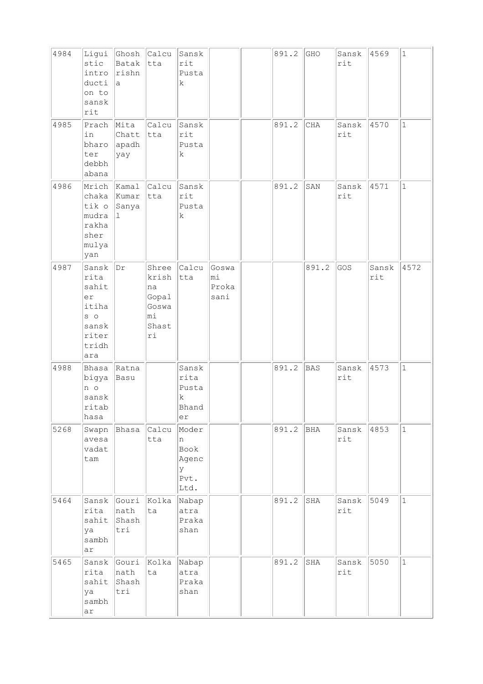| 4984 | Ligui<br>stic<br>intro<br>ducti<br>on to<br>sansk<br>rit                         | Ghosh Calcu<br>Batak tta<br>rishn<br>la. |                                                             | Sansk<br>rit<br>Pusta<br>k                       |                              | 891.2 | GHO        | Sansk<br>rit | 4569         | $\mathbf{1}$ |
|------|----------------------------------------------------------------------------------|------------------------------------------|-------------------------------------------------------------|--------------------------------------------------|------------------------------|-------|------------|--------------|--------------|--------------|
| 4985 | Prach<br>in<br>bharo<br>ter<br>debbh<br>abana                                    | Mita<br>Chatt<br>apadh<br>yay            | Calcu<br>tta                                                | Sansk<br>rit<br>Pusta<br>k                       |                              | 891.2 | CHA        | Sansk<br>rit | 4570         | $\mathbf{1}$ |
| 4986 | Mrich<br>chaka Kumar<br>tik o<br>mudra<br>rakha<br>sher<br>mulya<br>yan          | $\kappa$ amal<br>Sanya<br>Ι1.            | Calcu<br>tta                                                | Sansk<br>rit<br>Pusta<br>k                       |                              | 891.2 | SAN        | Sansk<br>rit | 4571         | $\mathbf 1$  |
| 4987 | Sansk<br>rita<br>sahit<br>er<br>itiha<br>$S$ 0<br>sansk<br>riter<br>tridh<br>ara | Dr                                       | Shree<br>krish<br>na<br>Gopal<br>Goswa<br>mi<br>Shast<br>ri | Calcu<br>tta                                     | Goswa<br>mi<br>Proka<br>sani |       | 891.2      | GOS          | Sansk<br>rit | 4572         |
| 4988 | Bhasa<br>bigya<br>n o<br>sansk<br>ritab<br>hasa                                  | Ratna<br>Basu                            |                                                             | Sansk<br>rita<br>Pusta<br>k<br>Bhand<br>er       |                              | 891.2 | <b>BAS</b> | Sansk<br>rit | 4573         | $\mathbf{1}$ |
| 5268 | Swapn<br>avesa<br>vadat<br>tam                                                   | Bhasa                                    | Calcu<br>tta                                                | Moder<br>n<br>Book<br>Agenc<br>У<br>Pvt.<br>Ltd. |                              | 891.2 | BHA        | Sansk<br>rit | 4853         | $\mathbf 1$  |
| 5464 | Sansk<br>rita<br>sahit<br>ya<br>sambh<br>ar                                      | Gouri<br>nath<br>Shash<br>tri            | Kolka<br>ta                                                 | Nabap<br>atra<br>Praka<br>shan                   |                              | 891.2 | SHA        | Sansk<br>rit | 5049         | $\mathbf 1$  |
| 5465 | Sansk<br>rita<br>sahit<br>ya<br>sambh<br>ar                                      | nath<br>Shash<br>tri                     | Gouri Kolka<br>ta                                           | Nabap<br>atra<br>Praka<br>shan                   |                              | 891.2 | SHA        | Sansk<br>rit | 5050         | $\mathbf{1}$ |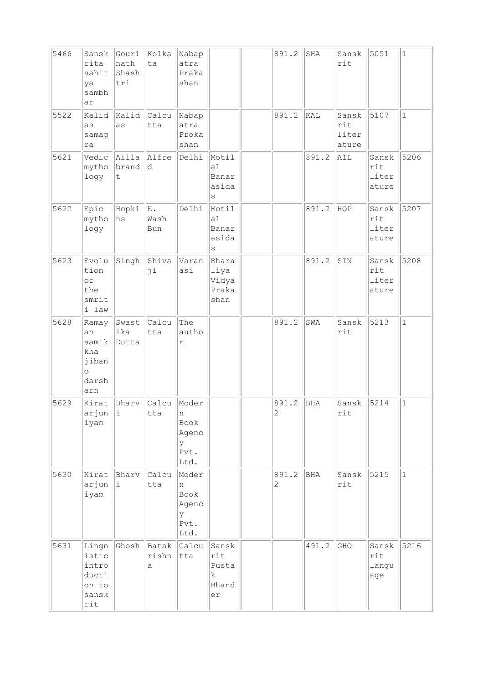| 5466 | Sansk<br>rita<br>sahit<br>ya<br>sambh<br>ar                          | Gouri<br>nath<br>Shash<br>tri | Kolka<br>ta         | Nabap<br>atra<br>Praka<br>shan                   |                                           | 891.2      | SHA   | Sansk<br>rit                   | 5051                           | $1\,$        |
|------|----------------------------------------------------------------------|-------------------------------|---------------------|--------------------------------------------------|-------------------------------------------|------------|-------|--------------------------------|--------------------------------|--------------|
| 5522 | Kalid<br>as<br>samag<br>ra                                           | Kalid<br>as                   | Calcu<br>tta        | Nabap<br>atra<br>Proka<br>shan                   |                                           | 891.2      | KAL   | Sansk<br>rit<br>liter<br>ature | 5107                           | $\mathbf{1}$ |
| 5621 | Vedic<br>mytho<br>logy                                               | Ailla<br>brand<br>t           | Alfre<br>ld.        | Delhi                                            | Motil<br>a1<br>Banar<br>asida<br>S        |            | 891.2 | AIL                            | Sansk<br>rit<br>liter<br>ature | 5206         |
| 5622 | Epic<br>mytho<br>logy                                                | Hopki<br>ns                   | E.<br>Wash<br>Bun   | Delhi                                            | Motil<br>a1<br>Banar<br>asida<br>S        |            | 891.2 | HOP                            | Sansk<br>rit<br>liter<br>ature | 5207         |
| 5623 | Evolu<br>tion<br>of<br>the<br>smrit<br>i law                         | Singh                         | Shiva<br>ji         | Varan<br>asi                                     | Bhara<br>liya<br>Vidya<br>Praka<br>shan   |            | 891.2 | SIN                            | Sansk<br>rit<br>liter<br>ature | 5208         |
| 5628 | Ramay<br>an<br>samik<br>kha<br>jiban<br>$\circ$<br>darsh<br>arn      | Swast<br>ika<br>Dutta         | Calcu<br>tta        | The<br>autho<br>r                                |                                           | 891.2      | SWA   | Sansk<br>rit                   | 5213                           | $\mathbf 1$  |
| 5629 | Kirat<br>arjun<br>iyam                                               | Bharv<br> i                   | Calcu<br>tta        | Moder<br>n<br>Book<br>Agenc<br>У<br>Pvt.<br>Ltd. |                                           | 891.2<br>2 | BHA   | Sansk<br>rit                   | 5214                           | $\mathbf{1}$ |
| 5630 | Kirat<br>arjun<br>iyam                                               | Bharv<br>i.                   | Calcu<br>tta        | Moder<br>n<br>Book<br>Agenc<br>У<br>Pvt.<br>Ltd. |                                           | 891.2<br>2 | BHA   | Sansk<br>rit                   | 5215                           | $\mathbf{1}$ |
| 5631 | Lingn<br>istic<br>intro<br>ducti<br>on to<br>sansk<br>$\mathtt{rit}$ | Ghosh                         | Batak<br>rishn<br>а | Calcu<br>tta                                     | Sansk<br>rit<br>Pusta<br>k<br>Bhand<br>er |            | 491.2 | GHO                            | Sansk<br>rit<br>langu<br>age   | 5216         |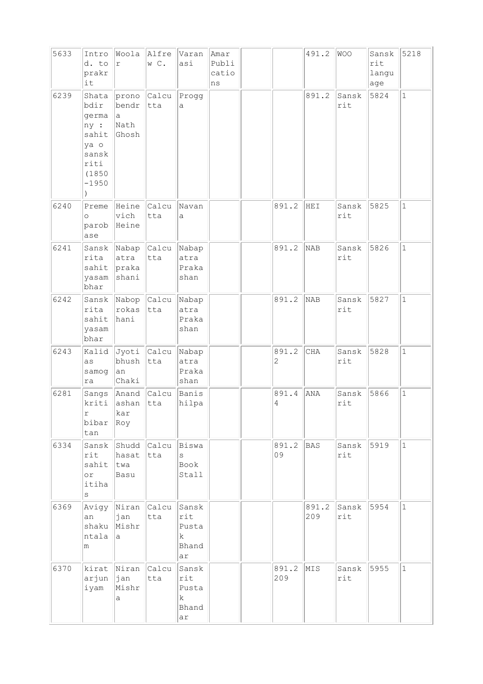| 5633 | Intro<br>d. to<br>prakr<br>it                                                        | $\Upsilon$                            | Woola Alfre<br>W C.             | Varan<br>asi                              | Amar<br>Publi<br>catio<br>ns |              | 491.2        | WOO          | Sansk<br>rit<br>langu<br>age | 5218         |
|------|--------------------------------------------------------------------------------------|---------------------------------------|---------------------------------|-------------------------------------------|------------------------------|--------------|--------------|--------------|------------------------------|--------------|
| 6239 | Shata<br>bdir<br>germa<br>ny :<br>sahit<br>ya o<br>sansk<br>riti<br>(1850<br>$-1950$ | prono<br>bendr<br> a<br>Nath<br>Ghosh | Calcu<br> tta                   | Progg<br>a                                |                              |              | 891.2        | Sansk<br>rit | 5824                         | $\mathbf{1}$ |
| 6240 | Preme<br>$\circ$<br>parob<br>ase                                                     | Heine<br>$ $ vich<br>Heine            | <b>Calcu</b><br>tta             | Navan<br>a                                |                              | 891.2        | HEI          | Sansk<br>rit | 5825                         | $\mathbf{1}$ |
| 6241 | rita<br>sahit<br>yasam<br>bhar                                                       | atra<br>praka<br>shani                | Sansk Nabap Calcu Nabap<br>tta  | atra<br>Praka<br>shan                     |                              | 891.2        | NAB          | Sansk<br>rit | 5826                         | $\mathbf{1}$ |
| 6242 | rita<br>sahit<br>yasam<br>bhar                                                       | rokas<br>hani                         | Sansk Nabop Calcu Nabap<br> tta | atra<br>Praka<br>shan                     |                              | 891.2        | NAB          | Sansk<br>rit | 5827                         | $\mathbf{1}$ |
| 6243 | Kalid<br>as<br>samog<br>ra                                                           | bhush<br>an<br>Chaki                  | Jyoti Calcu<br> tta             | Nabap<br>atra<br>Praka<br>shan            |                              | 891.2<br>2   | <b>CHA</b>   | Sansk<br>rit | 5828                         | $\mathbf{1}$ |
| 6281 | kriti<br>r<br>bibar<br>tan                                                           | ashan<br>kar<br>Roy                   | Sangs Anand Calcu<br>tta        | Banis<br>hilpa                            |                              | 891.4<br>4   | ANA          | Sansk<br>rit | 5866                         | $\mathbf{1}$ |
| 6334 | Sansk<br>rit<br>sahit<br>$\circ$ r<br>itiha<br>$\rm s$                               | hasat<br> twa<br>Basu                 | Shudd Calcu Biswa<br>tta        | S<br>Book<br>Stall                        |                              | 891.2<br>09  | BAS          | Sansk<br>rit | 5919                         | $\mathbf{1}$ |
| 6369 | an<br>shaku<br>ntala<br>m                                                            | ∣jan<br>Mishr<br>a                    | Avigy   Niran   Calcu   <br>tta | Sansk<br>rit<br>Pusta<br>k<br>Bhand<br>ar |                              |              | 891.2<br>209 | Sansk<br>rit | 5954                         | $\mathbf{1}$ |
| 6370 | kirat<br>arjun<br>iyam                                                               | Niran<br>$ $ jan<br>Mishr<br>а        | Calcu<br>tta                    | Sansk<br>rit<br>Pusta<br>k<br>Bhand<br>ar |                              | 891.2<br>209 | MIS          | Sansk<br>rit | 5955                         | $\mathbf{1}$ |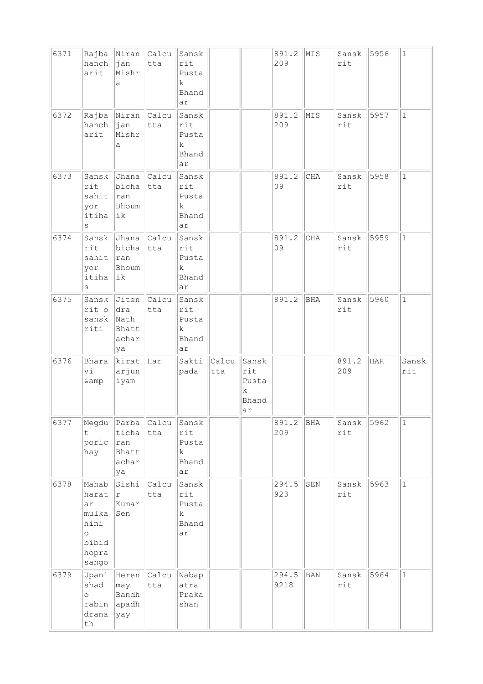| 6371 | hanch<br>arit                                                               | Rajba Niran Calcu<br>$ $ jan<br>Mishr<br>a                 | tta                | Sansk<br>rit<br>Pusta<br>k<br>Bhand<br>ar  |              |                                           | 891.2<br>209  | MIS         | Sansk<br>rit | 5956 | $1\,$        |
|------|-----------------------------------------------------------------------------|------------------------------------------------------------|--------------------|--------------------------------------------|--------------|-------------------------------------------|---------------|-------------|--------------|------|--------------|
| 6372 | hanch<br>arit                                                               | Rajba Niran Calcu<br> jan<br>Mishr<br>а                    | tta                | Sansk<br>rit<br>Pusta<br>k<br>Bhand<br>ar  |              |                                           | 891.2<br>209  | MIS         | Sansk<br>rit | 5957 | $\mathbf{1}$ |
| 6373 | Sansk<br>rit<br>sahit<br>yor<br>itiha<br>S                                  | bicha<br>ran<br>Bhoum<br> ik                               | Jhana Calcu<br>tta | Sansk<br>rit<br>Pusta<br>k<br>Bhand<br>ar  |              |                                           | 891.2<br>09   | CHA         | Sansk<br>rit | 5958 | $\mathbf{1}$ |
| 6374 | rit<br>sahit<br>yor<br>itiha<br>$\rm s$                                     | Sansk Jhana Calcu<br>bicha<br>$\vert$ ran<br>Bhoum<br> ik  | tta                | Sansk<br>rit<br>Pusta<br>k.<br>Bhand<br>ar |              |                                           | 891.2<br>09   | CHA         | Sansk<br>rit | 5959 | $\mathbf 1$  |
| 6375 | Sansk<br>rit o<br>sansk<br>riti                                             | Jiten Calcu<br>dra<br>Nath<br>Bhatt<br>achar<br>ya         | tta                | Sansk<br>rit<br>Pusta<br>k<br>Bhand<br>ar  |              |                                           | 891.2         | <b>BHA</b>  | Sansk<br>rit | 5960 | $\mathbf 1$  |
| 6376 | Bhara<br>vi<br>& amp                                                        | kirat Har<br>arjun<br>iyam                                 |                    | Sakti<br>pada                              | Calcu<br>tta | Sansk<br>rit<br>Pusta<br>k<br>Bhand<br>ar |               |             | 891.2<br>209 | HAR  | Sansk<br>rit |
| 6377 | t<br>poric<br>hay                                                           | Megdu Parba Calcu<br>ticha<br> ran<br>Bhatt<br>achar<br>ya | tta                | Sansk<br>rit<br>Pusta<br>k<br>Bhand<br>ar  |              |                                           | 891.2<br>209  | BHA         | Sansk<br>rit | 5962 | $\mathbf{1}$ |
| 6378 | Mahab<br>harat<br>ar<br>mulka<br>hini<br>$\circ$<br>bibid<br>hopra<br>sango | Sishi<br>$\Upsilon$<br>Kumar<br>Sen                        | Calcu<br>tta       | Sansk<br>rit<br>Pusta<br>k<br>Bhand<br>ar  |              |                                           | 294.5<br>923  | ${\tt SEN}$ | Sansk<br>rit | 5963 | $\mathbf 1$  |
| 6379 | Upani<br>shad<br>$\circ$<br>rabin<br>drana<br>th                            | may<br>Bandh<br>apadh<br>yay                               | Heren Calcu<br>tta | Nabap<br>atra<br>Praka<br>shan             |              |                                           | 294.5<br>9218 | <b>BAN</b>  | Sansk<br>rit | 5964 | $\mathbf{1}$ |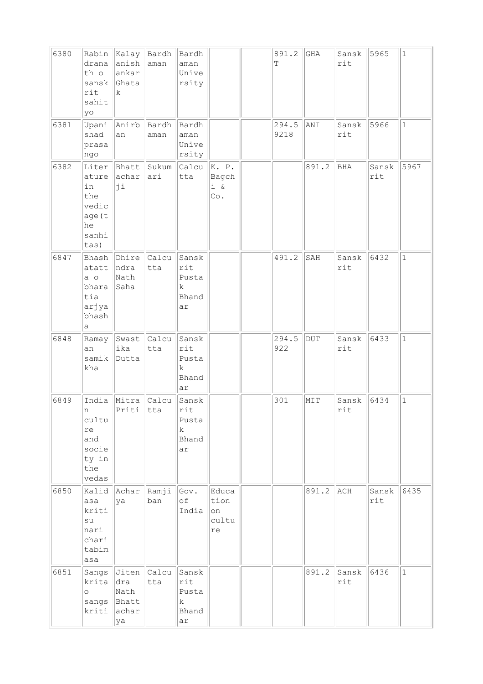| 6380 | Rabin<br>drana<br>th o<br>sansk<br>rit<br>sahit<br>yo                 | Kalay Bardh Bardh<br>anish  aman<br>ankar<br>Ghata<br>$\mathbf k$ |                  | aman<br>Unive<br>rsity                              |                                    | 891.2<br>Т    | GHA        | Sansk<br>rit            | 5965         | $\vert$ 1    |
|------|-----------------------------------------------------------------------|-------------------------------------------------------------------|------------------|-----------------------------------------------------|------------------------------------|---------------|------------|-------------------------|--------------|--------------|
| 6381 | Upani<br>shad<br>prasa<br>ngo                                         | Anirb<br>an                                                       | Bardh<br>aman    | Bardh<br>aman<br>Unive<br>rsity                     |                                    | 294.5<br>9218 | ANI        | Sansk<br>rit            | 5966         | $\mathbf{1}$ |
| 6382 | Liter<br>ature<br>in<br>the<br>vedic<br>age (t<br>he<br>sanhi<br>tas) | Bhatt<br>achar<br>ji                                              | Sukum<br>ari     | Calcu<br>tta                                        | K. P.<br>Bagch<br>$i \&$<br>Co.    |               | 891.2      | BHA                     | Sansk<br>rit | 5967         |
| 6847 | Bhash<br>atatt<br>$a$ o<br>bhara<br>tia<br>arjya<br>bhash<br>а        | Dhire<br>ndra<br>Nath<br>Saha                                     | Calcu<br>tta     | Sansk<br>rit<br>Pusta<br>k<br>Bhand<br>ar           |                                    | 491.2         | SAH        | Sansk<br>rit            | 6432         | $\mathbf{1}$ |
| 6848 | Ramay<br>an<br>samik<br>kha                                           | Swast<br>ika<br>Dutta                                             | Calcu<br>tta     | Sansk<br>rit<br>Pusta<br>$\rm k$<br>Bhand<br>ar     |                                    | 294.5<br>922  | <b>DUT</b> | Sansk<br>rit            | 6433         | $\mathbf{1}$ |
| 6849 | India<br>n<br>cultu<br>re<br>and<br>socie<br>ty in<br>the<br>vedas    | Mitra<br>Priti                                                    | Calcu<br>$ $ tta | Sansk<br>rit<br>Pusta<br>$\mathbf k$<br>Bhand<br>ar |                                    | 301           | MIT        | Sansk<br>$\texttt{rit}$ | 6434         | $\mathbf 1$  |
| 6850 | Kalid<br>asa<br>kriti<br>su<br>nari<br>chari<br>tabim<br>asa          | Achar<br>ya                                                       | Ramji<br>ban     | Gov.<br>of<br>India                                 | Educa<br>tion<br>on<br>cultu<br>re |               | 891.2      | ACH                     | Sansk<br>rit | 6435         |
| 6851 | krita<br>$\circ$<br>kriti                                             | Sangs Jiten<br>dra<br>Nath<br>sangs  Bhatt<br>achar<br>ya         | Calcu<br>tta     | Sansk<br>rit<br>Pusta<br>k<br>Bhand<br>ar           |                                    |               | 891.2      | Sansk<br>rit            | 6436         | $\mathbf{1}$ |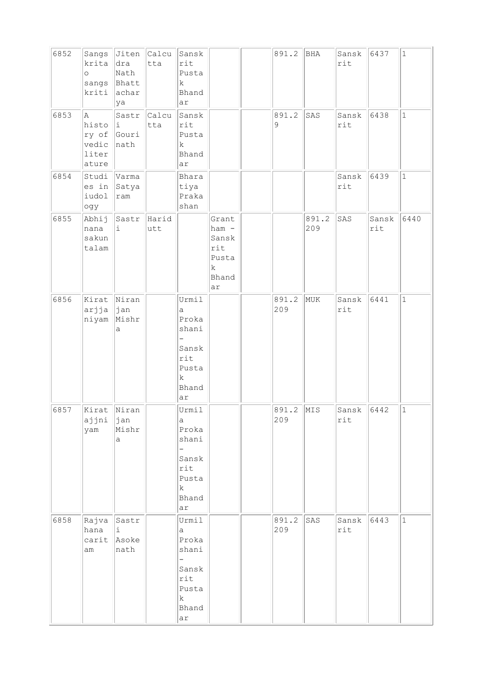| 6852 | krita<br>$\circ$<br>sangs<br>kriti                   | $\vert$ dra<br>Nath<br>Bhatt<br>achar<br>ya | Sangs Jiten Calcu<br>tta | Sansk<br>rit<br>Pusta<br>k<br>Bhand<br>ar                                                      |                                                               | 891.2            | BHA          | Sansk<br>rit | 6437         | $\vert$ 1    |
|------|------------------------------------------------------|---------------------------------------------|--------------------------|------------------------------------------------------------------------------------------------|---------------------------------------------------------------|------------------|--------------|--------------|--------------|--------------|
| 6853 | A<br>histo<br>ry of Gouri<br>vedic<br>liter<br>ature | Sastr<br>Ιi.<br>nath                        | Calcu<br>tta             | Sansk<br>rit<br>Pusta<br>$\mathbf k$<br>Bhand<br>ar                                            |                                                               | 891.2<br>9       | SAS          | Sansk<br>rit | 6438         | $\mathbf{1}$ |
| 6854 | Studi<br>es in<br>iudol<br>ogy                       | Varma<br>Satya<br>ram                       |                          | Bhara<br>tiya<br>Praka<br>shan                                                                 |                                                               |                  |              | Sansk<br>rit | 6439         | $\mathbf{1}$ |
| 6855 | Abhij<br>nana<br>sakun<br>talam                      | Sastr<br>i.                                 | Harid<br>utt             |                                                                                                | Grant<br>$ham -$<br>Sansk<br>rit<br>Pusta<br>k<br>Bhand<br>ar |                  | 891.2<br>209 | SAS          | Sansk<br>rit | 6440         |
| 6856 | Kirat Niran<br>arjja<br>niyam                        | $ $ jan<br>Mishr<br>a                       |                          | Urmil<br>a<br>Proka<br>shani<br>Sansk<br>rit<br>Pusta<br>$\rm k$<br>Bhand<br>ar                |                                                               | 891.2<br>209     | MUK          | Sansk<br>rit | 6441         | $1\,$        |
| 6857 | Kirat Niran<br>ajjni<br>yam                          | $ $ jan<br>Mishr<br>a                       |                          | Urmil<br>a<br>Proka<br>shani<br>Sansk<br>$\mathtt{rit}$<br>Pusta<br>k<br>Bhand<br>ar           |                                                               | 891.2 MIS<br>209 |              | Sansk<br>rit | 6442         | $\vert$ 1    |
| 6858 | Rajva<br>hana<br>carit<br>am                         | Sastr<br>i<br>Asoke<br>nath                 |                          | Urmil<br>а<br>Proka<br>shani<br>Sansk<br>$\texttt{rit}$<br>Pusta<br>$\mathbf k$<br>Bhand<br>ar |                                                               | 891.2<br>209     | SAS          | Sansk<br>rit | 6443         | $\mathbf 1$  |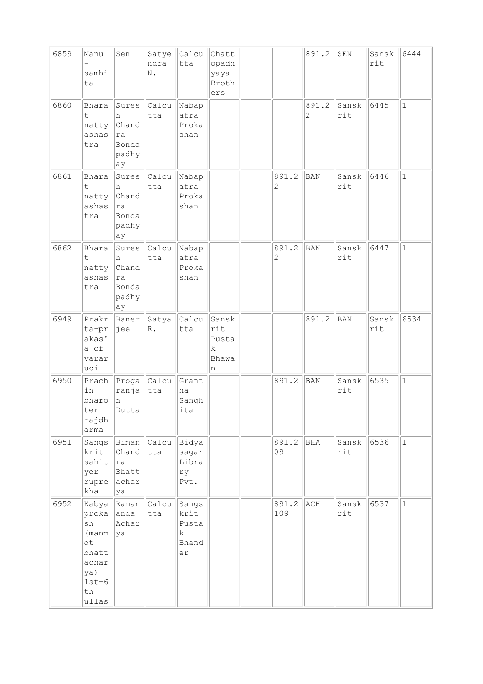| 6859 | Manu<br>samhi<br>ta                                                                           | Sen                                                            | Satye<br>ndra<br>N.    | Calcu<br>tta                                         | Chatt<br>opadh<br>yaya<br>Broth<br>ers             |                         | 891.2      | SEN          | Sansk<br>rit | 6444         |
|------|-----------------------------------------------------------------------------------------------|----------------------------------------------------------------|------------------------|------------------------------------------------------|----------------------------------------------------|-------------------------|------------|--------------|--------------|--------------|
| 6860 | Bhara<br>t<br>natty<br>ashas<br>tra                                                           | Sures<br>h<br>Chand<br>ra<br>Bonda<br>padhy<br>ay              | Calcu<br>tta           | Nabap<br>atra<br>Proka<br>shan                       |                                                    |                         | 891.2<br>2 | Sansk<br>rit | 6445         | $\mathbf 1$  |
| 6861 | Bhara<br>t.<br>natty<br>ashas<br>tra                                                          | Sures<br>h<br>Chand<br> ra<br>Bonda<br>padhy<br>ay             | Calcu<br>tta           | Nabap<br>atra<br>Proka<br>shan                       |                                                    | 891.2<br>$\overline{c}$ | <b>BAN</b> | Sansk<br>rit | 6446         | $\mathbf{1}$ |
| 6862 | Bhara<br>t.<br>natty<br>ashas<br>tra                                                          | Sures<br>h<br>Chand<br>ra<br>Bonda<br>padhy<br>ay              | $ $ Calcu $ $<br>tta   | Nabap<br>atra<br>Proka<br>shan                       |                                                    | 891.2<br>2              | BAN        | Sansk<br>rit | 6447         | $\mathbf{1}$ |
| 6949 | Prakr<br>ta-pr<br>akas'<br>a of<br>varar<br>uci                                               | Baner<br> jee                                                  | Satya<br>$\mathbb R$ . | Calcu<br>tta                                         | Sansk<br>rit<br>Pusta<br>$\mathbf k$<br>Bhawa<br>n |                         | 891.2      | BAN          | Sansk<br>rit | 6534         |
| 6950 | Prach<br>in<br>bharo<br>ter<br>rajdh<br>arma                                                  | Proga Calcu<br>ranja<br>n<br>Dutta                             | tta                    | Grant<br>ha<br>Sangh<br>ita                          |                                                    | 891.2                   | BAN        | Sansk<br>rit | 6535         | $\mathbf 1$  |
| 6951 | krit<br>sahit<br>yer<br>rupre<br>kha                                                          | Sangs  Biman  Calcu  <br>Chand<br> ra <br>Bhatt<br>achar<br>ya | tta                    | Bidya<br>sagar<br>Libra<br>ry<br>Pvt.                |                                                    | 891.2<br>09             | BHA        | Sansk<br>rit | 6536         | $\mathbf{1}$ |
| 6952 | Kabya<br>proka<br>sh<br>(manm<br>$\circ t$<br>bhatt<br>achar<br>ya)<br>$1st-6$<br>th<br>ullas | Raman<br>anda<br>Achar<br>ya                                   | Calcu<br>tta           | Sangs<br>krit<br>Pusta<br>$\mathbf k$<br>Bhand<br>er |                                                    | 891.2<br>109            | ACH        | Sansk<br>rit | 6537         | $\mathbf{1}$ |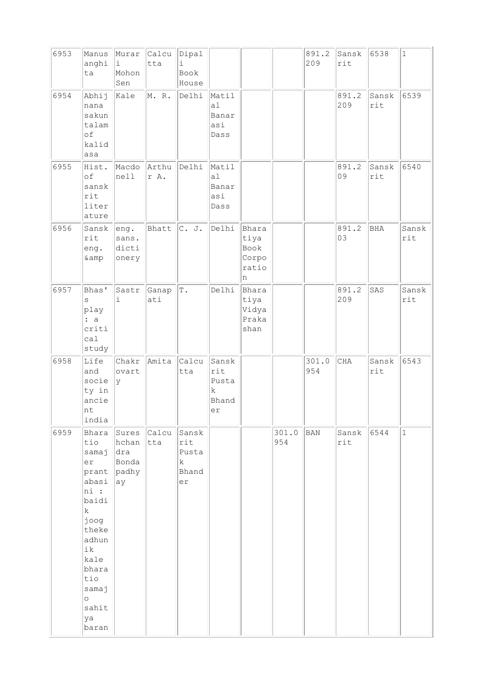| 6953 | Manus<br>anghi<br>ta                                                                                                                                                          | Murar<br>i<br>Mohon<br>Sen                    | Calcu<br>tta  | Dipal<br>i<br>Book<br>House                     |                                           |                                              |              | 891.2<br>209 | Sansk<br>rit | 6538         | $1\,$        |
|------|-------------------------------------------------------------------------------------------------------------------------------------------------------------------------------|-----------------------------------------------|---------------|-------------------------------------------------|-------------------------------------------|----------------------------------------------|--------------|--------------|--------------|--------------|--------------|
| 6954 | Abhij<br>nana<br>sakun<br>talam<br>οf<br>kalid<br>asa                                                                                                                         | Kale                                          | M. R.         | Delhi                                           | Matil<br>a1<br>Banar<br>asi<br>Dass       |                                              |              |              | 891.2<br>209 | Sansk<br>rit | 6539         |
| 6955 | Hist.<br>of<br>sansk<br>rit<br>liter<br>ature                                                                                                                                 | Macdo<br>nell                                 | Arthu<br>r A. | Delhi                                           | Matil<br>a1<br>Banar<br>asi<br>Dass       |                                              |              |              | 891.2<br>09  | Sansk<br>rit | 6540         |
| 6956 | Sansk<br>rit<br>eng.<br>& amp                                                                                                                                                 | eng.<br>sans.<br>dicti<br>onery               | Bhatt         | C. J.                                           | Delhi                                     | Bhara<br>tiya<br>Book<br>Corpo<br>ratio<br>n |              |              | 891.2<br>03  | <b>BHA</b>   | Sansk<br>rit |
| 6957 | Bhas'<br>S<br>play<br>: a<br>criti<br>ca1<br>study                                                                                                                            | Sastr<br>$\dot{1}$                            | Ganap<br>ati  | $\mathbb T$ .                                   | Delhi                                     | Bhara<br>tiya<br>Vidya<br>Praka<br>shan      |              |              | 891.2<br>209 | SAS          | Sansk<br>rit |
| 6958 | Life<br>and<br>socie<br>ty in<br>ancie<br>nt<br>india                                                                                                                         | Chakr<br>ovart<br>Ιy                          | Amita         | Calcu<br>tta                                    | Sansk<br>rit<br>Pusta<br>k<br>Bhand<br>er |                                              |              | 301.0<br>954 | <b>CHA</b>   | Sansk<br>rit | 6543         |
| 6959 | Bhara<br>tio<br>samaj<br>er<br>prant<br>abasi<br>ni :<br>baidi<br>$\rm k$<br>joog<br>theke<br>adhun<br>ik<br>kale<br>bhara<br>tio<br>samaj<br>$\circ$<br>sahit<br>ya<br>baran | Sures<br>hchan<br>dra<br>Bonda<br>padhy<br>ay | Calcu<br>tta  | Sansk<br>rit<br>Pusta<br>$\rm k$<br>Bhand<br>er |                                           |                                              | 301.0<br>954 | BAN          | Sansk<br>rit | 6544         | $\mathbf{1}$ |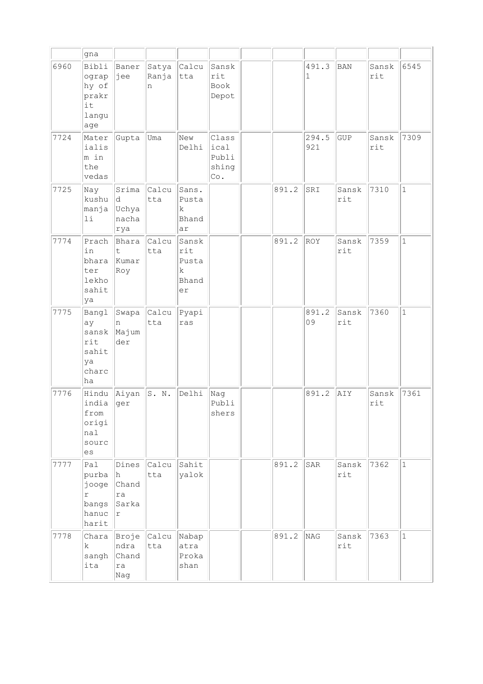|      | gna                                                            |                                           |                     |                                           |                                        |       |              |              |              |              |
|------|----------------------------------------------------------------|-------------------------------------------|---------------------|-------------------------------------------|----------------------------------------|-------|--------------|--------------|--------------|--------------|
| 6960 | Bibli<br>ograp<br>hy of<br>prakr<br>it<br>langu<br>age         | Baner<br>∣jee                             | Satya<br>Ranja<br>n | Calcu<br>tta                              | Sansk<br>rit<br>Book<br>Depot          |       | 491.3<br>1   | BAN          | Sansk<br>rit | 6545         |
| 7724 | Mater<br>ialis<br>m in<br>the<br>vedas                         | Gupta                                     | Uma                 | New<br>Delhi                              | Class<br>ical<br>Publi<br>shing<br>Co. |       | 294.5<br>921 | GUP          | Sansk<br>rit | 7309         |
| 7725 | Nay<br>kushu<br>manja<br>11                                    | Srima<br>ld.<br>Uchya<br>nacha<br>rya     | Calcu<br>tta        | Sans.<br>Pusta<br>k<br>Bhand<br>ar        |                                        | 891.2 | SRI          | Sansk<br>rit | 7310         | $\mathbf{1}$ |
| 7774 | Prach<br>in<br>bhara<br>ter<br>lekho<br>sahit<br>ya            | Bhara<br>t<br>Kumar<br>Roy                | Calcu<br>tta        | Sansk<br>rit<br>Pusta<br>k<br>Bhand<br>er |                                        | 891.2 | ROY          | Sansk<br>rit | 7359         | $\mathbf{1}$ |
| 7775 | Bangl<br>ay<br>sansk<br>rit<br>sahit<br>ya<br>charc<br>ha      | Swapa<br>n<br>Majum<br>der                | Calcu<br>tta        | Pyapi<br>ras                              |                                        |       | 891.2<br>09  | Sansk<br>rit | 7360         | $\mathbf{1}$ |
| 7776 | Hindu<br>india<br>from<br>origi<br>nal<br>sourc<br>es          | Aiyan<br>ger                              | S. N.               | Delhi                                     | Nag<br>Publi<br>shers                  |       | 891.2        | AIY          | Sansk<br>rit | 7361         |
| 7777 | Pal<br>purba<br>jooge<br>$\Upsilon$<br>bangs<br>hanuc<br>harit | Dines<br>h.<br>Chand<br>ra<br>Sarka<br> r | Calcu<br>tta        | Sahit<br>yalok                            |                                        | 891.2 | SAR          | Sansk<br>rit | 7362         | $ 1\rangle$  |
| 7778 | Chara<br>k<br>sangh<br>ita                                     | ndra<br>Chand<br>ra<br>Nag                | Broje Calcu<br>tta  | Nabap<br>atra<br>Proka<br>shan            |                                        | 891.2 | NAG          | Sansk<br>rit | 7363         | $\mathbf{1}$ |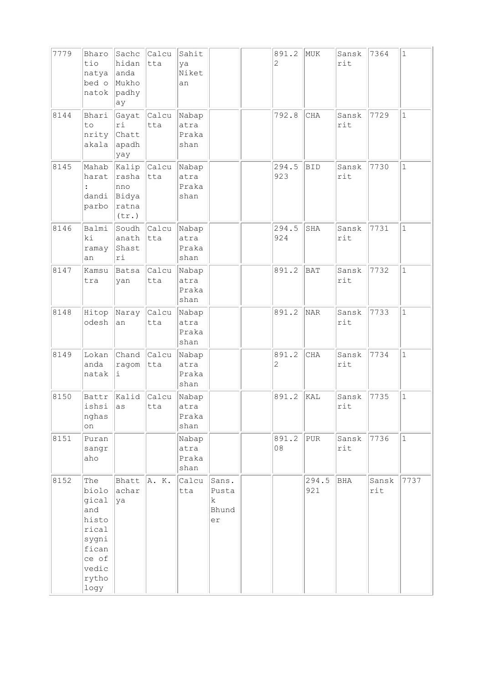| 7779 | Bharo<br>tio<br>natya<br>bed o<br>natok                                                             | Sachc<br>hidan<br>anda<br>Mukho<br>padhy<br>ay | Calcu<br>tta        | Sahit<br>ya<br>Niket<br>an     |                                          | 891.2<br>$\overline{c}$ | MUK          | Sansk<br>rit | 7364         | $\mathbf{1}$ |
|------|-----------------------------------------------------------------------------------------------------|------------------------------------------------|---------------------|--------------------------------|------------------------------------------|-------------------------|--------------|--------------|--------------|--------------|
| 8144 | Bhari<br>to<br>nrity<br>akala                                                                       | ri<br>Chatt<br>apadh<br>yay                    | Gayat Calcu<br>tta  | Nabap<br>atra<br>Praka<br>shan |                                          | 792.8                   | CHA          | Sansk<br>rit | 7729         | $\mathbf{1}$ |
| 8145 | Mahab<br>harat<br>$\ddot{\cdot}$<br>dandi<br>parbo                                                  | rasha<br>nno<br>Bidya<br>ratna<br>(tr.)        | Kalip Calcu<br>tta  | Nabap<br>atra<br>Praka<br>shan |                                          | 294.5<br>923            | <b>BID</b>   | Sansk<br>rit | 7730         | $\mathbf{1}$ |
| 8146 | Balmi<br>ki<br>ramay<br>an                                                                          | anath<br>Shast<br>ri                           | Soudh Calcu<br>tta  | Nabap<br>atra<br>Praka<br>shan |                                          | 294.5<br>924            | SHA          | Sansk<br>rit | 7731         | $\mathbf{1}$ |
| 8147 | Kamsu<br>tra                                                                                        | Batsa<br>yan                                   | <b>Calcu</b><br>tta | Nabap<br>atra<br>Praka<br>shan |                                          | 891.2                   | BAT          | Sansk<br>rit | 7732         | $\mathbf{1}$ |
| 8148 | Hitop<br>odesh                                                                                      | Naray<br>an                                    | Calcu<br>tta        | Nabap<br>atra<br>Praka<br>shan |                                          | 891.2                   | NAR          | Sansk<br>rit | 7733         | $\mathbf{1}$ |
| 8149 | Lokan<br>anda<br>natak                                                                              | Chand Calcu<br>ragom<br>i.                     | tta                 | Nabap<br>atra<br>Praka<br>shan |                                          | 891.2<br>2              | CHA          | Sansk<br>rit | 7734         | $\mathbf{1}$ |
| 8150 | Battr<br>ishsi<br>nghas<br>on                                                                       | Kalid<br>as                                    | Calcu<br>tta        | Nabap<br>atra<br>Praka<br>shan |                                          | 891.2                   | KAL          | Sansk<br>rit | 7735         | $\mathbf{1}$ |
| 8151 | Puran<br>sangr<br>aho                                                                               |                                                |                     | Nabap<br>atra<br>Praka<br>shan |                                          | 891.2<br>08             | ${\tt PUR}$  | Sansk<br>rit | 7736         | $\mathbf{1}$ |
| 8152 | The<br>biolo<br>gical<br>and<br>histo<br>rical<br>sygni<br>fican<br>ce of<br>vedic<br>rytho<br>logy | Bhatt<br>achar<br>ya                           | A. K.               | Calcu<br>tta                   | Sans.<br>Pusta<br>$\rm k$<br>Bhund<br>er |                         | 294.5<br>921 | BHA          | Sansk<br>rit | 7737         |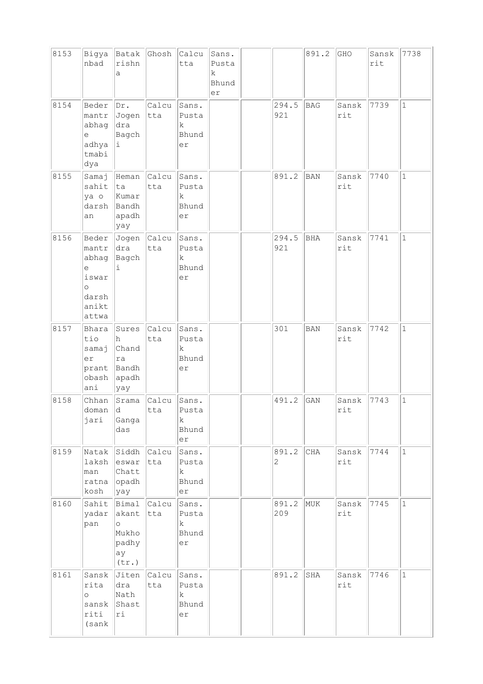| 8153 | Bigya<br>nbad                                                               | Batak<br>rishn<br>a                                    | Ghosh              | Calcu<br>tta                                 | Sans.<br>Pusta<br>k<br>Bhund<br>er |                       | 891.2      | GHO          | Sansk<br>rit | 7738         |
|------|-----------------------------------------------------------------------------|--------------------------------------------------------|--------------------|----------------------------------------------|------------------------------------|-----------------------|------------|--------------|--------------|--------------|
| 8154 | Beder<br>mantr<br>abhag<br>е<br>adhya<br>tmabi<br>dya                       | Dr.<br>Jogen<br>dra<br>Bagch<br>i                      | Calcu<br>tta       | Sans.<br>Pusta<br>$\mathbf k$<br>Bhund<br>er |                                    | 294.5<br>921          | <b>BAG</b> | Sansk<br>rit | 7739         | $\mathbf{1}$ |
| 8155 | Samaj<br>sahit<br>ya o<br>darsh<br>an                                       | Heman<br>ta<br>Kumar<br>Bandh<br>apadh<br>yay          | Calcu<br>tta       | Sans.<br>Pusta<br>k<br>Bhund<br>er           |                                    | 891.2                 | <b>BAN</b> | Sansk<br>rit | 7740         | $\mathbf{1}$ |
| 8156 | Beder<br>mantr<br>abhag<br>е<br>iswar<br>$\circ$<br>darsh<br>anikt<br>attwa | Jogen<br>dra<br>Bagch<br>i                             | Calcu<br>tta       | Sans.<br>Pusta<br>k<br>Bhund<br>er           |                                    | 294.5<br>921          | <b>BHA</b> | Sansk<br>rit | 7741         | $\mathbf{1}$ |
| 8157 | Bhara<br>tio<br>samaj<br>er<br>prant<br>obash<br>ani                        | Sures<br>h<br>Chand<br>ra<br>Bandh<br>$ $ apadh<br>yay | Calcu<br>tta       | Sans.<br>Pusta<br>$\rm k$<br>Bhund<br>er     |                                    | 301                   | <b>BAN</b> | Sansk<br>rit | 7742         | $\mathbf{1}$ |
| 8158 | Chhan<br>doman<br>jari                                                      | Srama<br> d <br>Ganga<br>das                           | Calcu<br>tta       | Sans.<br>Pusta<br>k<br>Bhund<br>er           |                                    | 491.2                 | GAN        | Sansk<br>rit | 7743         | $\mathbf 1$  |
| 8159 | Natak<br>laksh<br>man<br>ratna<br>kosh                                      | Siddh Calcu<br>eswar<br>Chatt<br>$\vert$ opadh<br>yay  | tta                | Sans.<br>Pusta<br>k<br>Bhund<br>er           |                                    | 891.2<br>$\mathbf{2}$ | CHA        | Sansk<br>rit | 7744         | $\mathbf{1}$ |
| 8160 | Sahit<br>yadar<br>pan                                                       | akant tta<br>$\circ$<br>Mukho<br>padhy<br>ay<br>(tr.)  | Bimal Calcu        | Sans.<br>Pusta<br>k<br>Bhund<br>er           |                                    | 891.2<br>209          | MUK        | Sansk<br>rit | 7745         | $\mathbf 1$  |
| 8161 | Sansk<br>rita<br>$\circ$<br>sansk<br>riti<br>(sank                          | dra<br>Nath<br>Shast<br>ri                             | Jiten Calcu<br>tta | Sans.<br>Pusta<br>k<br>Bhund<br>er           |                                    | 891.2                 | SHA        | Sansk<br>rit | 7746         | $\mathbf{1}$ |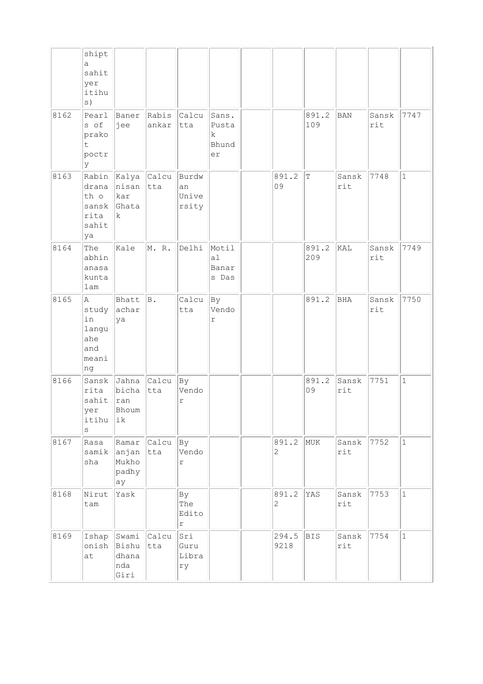|      | shipt<br>a<br>sahit<br>yer<br>itihu<br>s)              |                                                 |                      |                                    |                                           |                       |              |              |              |              |
|------|--------------------------------------------------------|-------------------------------------------------|----------------------|------------------------------------|-------------------------------------------|-----------------------|--------------|--------------|--------------|--------------|
| 8162 | Pearl<br>s of<br>prako<br>t<br>poctr<br>У              | Baner<br>jee                                    | Rabis<br>ankar       | Calcu<br>tta                       | Sans.<br>Pusta<br>k<br>Bhund<br>er        |                       | 891.2<br>109 | <b>BAN</b>   | Sansk<br>rit | 7747         |
| 8163 | drana<br>th o<br>sansk<br>rita<br>sahit<br>ya          | Rabin Kalya Calcu<br>nisan<br>kar<br>Ghata<br>k | tta                  | Burdw<br>an<br>Unive<br>rsity      |                                           | 891.2<br>09           | $\mathbb T$  | Sansk<br>rit | 7748         | $\mathbf{1}$ |
| 8164 | The<br>abhin<br>anasa<br>kunta<br>lam                  | Kale                                            | M. R.                | Delhi                              | Motil<br>a <sub>1</sub><br>Banar<br>s Das |                       | 891.2<br>209 | KAL          | Sansk<br>rit | 7749         |
| 8165 | A<br>study<br>in<br>langu<br>ahe<br>and<br>meani<br>ng | Bhatt<br>achar<br>ya                            | B.                   | Calcu<br>tta                       | By<br>Vendo<br>r                          |                       | 891.2        | BHA          | Sansk<br>rit | 7750         |
| 8166 | Sansk<br>rita<br>sahit<br>yer<br>itihu<br>$\rm s$      | Jahna<br>bicha<br> ran<br>Bhoum<br>ik           | Calcu<br>tta         | Bу<br>Vendo<br>r                   |                                           |                       | 891.2<br>09  | Sansk<br>rit | 7751         | $\mathbf{1}$ |
| 8167 | Rasa<br>samik<br>sha                                   | Ramar<br>anjan<br>Mukho<br>padhy<br>ay          | $ $ Calcu $ $<br>tta | Вy<br>Vendo<br>$\mathtt{r}$        |                                           | 891.2<br>$\mathbf{2}$ | MUK          | Sansk<br>rit | 7752         | $\mathbf{1}$ |
| 8168 | Nirut<br>tam                                           | Yask                                            |                      | By<br>The<br>Edito<br>$\mathtt{r}$ |                                           | 891.2<br>$\mathbf{2}$ | YAS          | Sansk<br>rit | 7753         | $\mathbf 1$  |
| 8169 | Ishap<br>onish<br>at                                   | Swami<br>Bishu<br>dhana<br>nda<br>Giri          | Calcu<br>tta         | Sri<br>Guru<br>Libra<br>ry         |                                           | 294.5<br>9218         | <b>BIS</b>   | Sansk<br>rit | 7754         | $\mathbf{1}$ |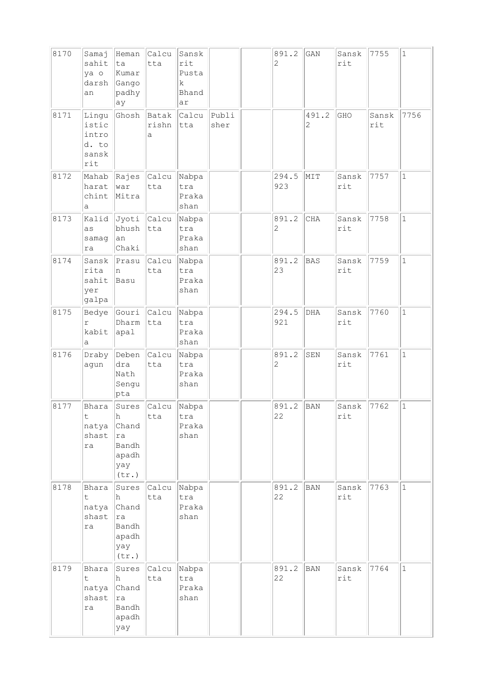| 8170 | Samaj<br>sahit<br>ya o<br>darsh<br>an            | Heman<br>ta<br>Kumar<br>Gango<br>padhy<br>ay                | Calcu<br>tta        | Sansk<br>rit<br>Pusta<br>k<br>Bhand<br>ar |               | 891.2<br>$\overline{c}$ | GAN        | Sansk<br>rit            | 7755         | $\mathbf{1}$ |
|------|--------------------------------------------------|-------------------------------------------------------------|---------------------|-------------------------------------------|---------------|-------------------------|------------|-------------------------|--------------|--------------|
| 8171 | Lingu<br>istic<br>intro<br>d. to<br>sansk<br>rit | Ghosh                                                       | Batak<br>rishn<br>а | Calcu<br>tta                              | Publi<br>sher |                         | 491.2<br>2 | GHO                     | Sansk<br>rit | 7756         |
| 8172 | Mahab<br>harat<br>chint<br>a                     | Rajes<br>war<br>Mitra                                       | Calcu<br>tta        | Nabpa<br>tra<br>Praka<br>shan             |               | 294.5<br>923            | MIT        | Sansk<br>rit            | 7757         | $\mathbf{1}$ |
| 8173 | Kalid<br>as<br>samag<br>ra                       | Jyoti Calcu<br>bhush<br>an<br>Chaki                         | tta                 | Nabpa<br>tra<br>Praka<br>shan             |               | 891.2<br>$\mathbf{2}$   | CHA        | Sansk<br>rit            | 7758         | $\mathbf{1}$ |
| 8174 | Sansk<br>rita<br>sahit<br>yer<br>galpa           | Prasu<br>n<br>Basu                                          | Calcu<br>tta        | Nabpa<br>tra<br>Praka<br>shan             |               | 891.2<br>23             | BAS        | Sansk<br>rit            | 7759         | $\mathbf{1}$ |
| 8175 | Bedye<br>r<br>kabit<br>а                         | Gouri<br>Dharm<br>apal                                      | Calcu<br>tta        | Nabpa<br>tra<br>Praka<br>shan             |               | 294.5<br>921            | DHA        | Sansk<br>rit            | 7760         | $\mathbf{1}$ |
| 8176 | Draby<br>agun                                    | Deben<br>dra<br>Nath<br>Sengu<br>pta                        | Calcu<br>tta        | Nabpa<br>tra<br>Praka<br>shan             |               | 891.2<br>$\mathbf{2}$   | SEN        | Sansk<br>rit            | 7761         | $\mathbf{1}$ |
| 8177 | Bhara<br>$\mathsf t$<br>natya<br>shast<br>ra     | Sures<br>h<br>Chand<br>ra<br>Bandh<br>apadh<br>yay<br>(tr.) | Calcu <br>tta       | Nabpa<br>tra<br>Praka<br>shan             |               | 891.2<br>22             | <b>BAN</b> | Sansk<br>$\texttt{rit}$ | 7762         | $\mathbf 1$  |
| 8178 | Bhara<br>t.<br>natya<br>shast<br>ra              | Sures<br>h<br>Chand<br>ra<br>Bandh<br>apadh<br>yay<br>(tr.) | Calcu<br>tta        | Nabpa<br>tra<br>Praka<br>shan             |               | 891.2<br>22             | <b>BAN</b> | Sansk<br>rit            | 7763         | $\mathbf{1}$ |
| 8179 | Bhara<br>t.<br>natya<br>shast<br>ra              | Sures<br>h<br>Chand<br>ra<br>Bandh<br>apadh<br>yay          | Calcu<br>tta        | Nabpa<br>tra<br>Praka<br>shan             |               | 891.2<br>22             | BAN        | Sansk<br>rit            | 7764         | $\mathbf{1}$ |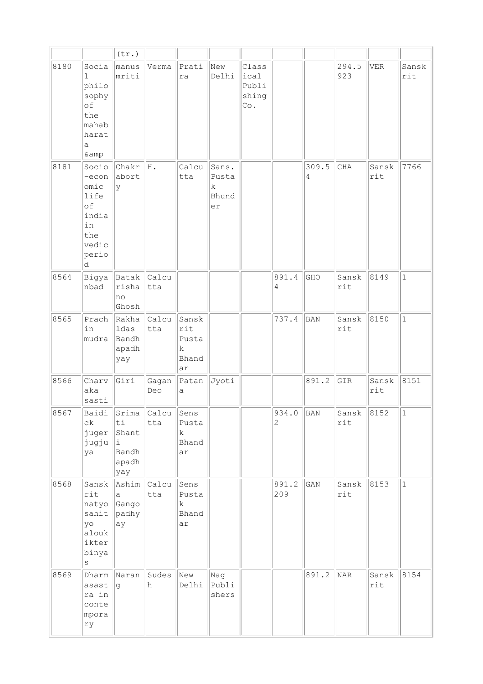|      |                                                                                   | $(\text{tr.})$                                      |              |                                             |                                    |                                        |              |            |              |              |              |
|------|-----------------------------------------------------------------------------------|-----------------------------------------------------|--------------|---------------------------------------------|------------------------------------|----------------------------------------|--------------|------------|--------------|--------------|--------------|
| 8180 | Socia<br>ı<br>philo<br>sophy<br>of<br>the<br>mahab<br>harat<br>a<br>& amp         | manus<br>mriti                                      | Verma        | Prati<br>ra                                 | New<br>Delhi                       | Class<br>ical<br>Publi<br>shing<br>Co. |              |            | 294.5<br>923 | VER          | Sansk<br>rit |
| 8181 | Socio<br>-econ<br>omic<br>life<br>of<br>india<br>in<br>the<br>vedic<br>perio<br>d | Chakr<br>abort<br>У                                 | H.           | Calcu<br>tta                                | Sans.<br>Pusta<br>k<br>Bhund<br>er |                                        |              | 309.5<br>4 | CHA          | Sansk<br>rit | 7766         |
| 8564 | Bigya<br>nbad                                                                     | Batak<br>risha<br>no<br>Ghosh                       | Calcu<br>tta |                                             |                                    |                                        | 891.4<br>4   | GHO        | Sansk<br>rit | 8149         | $\mathbf{1}$ |
| 8565 | Prach<br>in<br>mudra                                                              | Rakha<br>ldas<br>Bandh<br>apadh<br>yay              | Calcu<br>tta | Sansk<br>rit<br>Pusta<br>k<br>Bhand<br>ar   |                                    |                                        | 737.4        | BAN        | Sansk<br>rit | 8150         | $\mathbf{1}$ |
| 8566 | Charv<br>aka<br>sasti                                                             | Giri                                                | Gagan<br>Deo | Patan<br>а                                  | Jyoti                              |                                        |              | 891.2      | GIR          | Sansk<br>rit | 8151         |
| 8567 | Baidi<br>$c\,k$<br>juger<br>jugju<br>ya                                           | Srima<br>ti<br>Shant<br>i.<br>Bandh<br>apadh<br>yay | Calcu<br>tta | Sens<br>Pusta<br>$\mathbf k$<br>Bhand<br>ar |                                    |                                        | 934.0<br>2   | BAN        | Sansk<br>rit | 8152         | $\vert$ 1    |
| 8568 | Sansk<br>rit<br>natyo<br>sahit<br>yo<br>alouk<br>ikter<br>binya<br>$\rm s$        | Ashim<br>a<br>Gango<br>padhy<br>ay                  | Calcu<br>tta | Sens<br>Pusta<br>k<br>Bhand<br>ar           |                                    |                                        | 891.2<br>209 | GAN        | Sansk<br>rit | 8153         | $\mathbf{1}$ |
| 8569 | Dharm<br>asast<br>ra in<br>conte<br>mpora<br>rу                                   | Naran<br>g                                          | Sudes<br>h   | New<br>Delhi                                | Nag<br>Publi<br>shers              |                                        |              | 891.2      | NAR          | Sansk<br>rit | 8154         |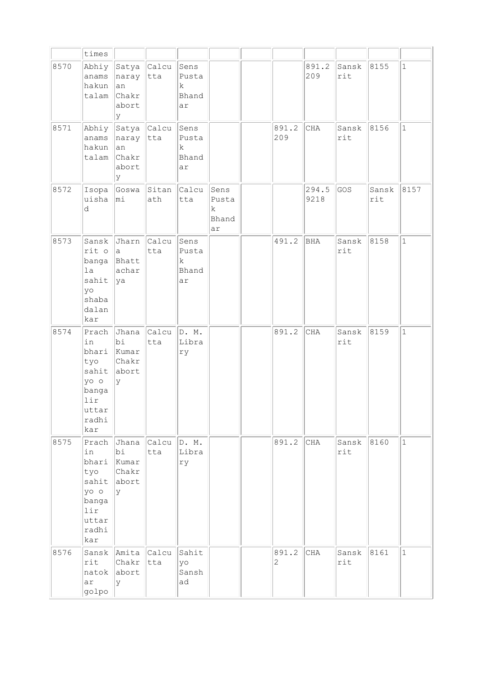|      | times                                                                                 |                                                                  |                      |                                             |                                   |                         |               |              |              |              |
|------|---------------------------------------------------------------------------------------|------------------------------------------------------------------|----------------------|---------------------------------------------|-----------------------------------|-------------------------|---------------|--------------|--------------|--------------|
| 8570 | anams<br>hakun<br>talam                                                               | Abhiy Satya Calcu<br>naray<br>lan<br><b>Chakr</b><br>abort<br>lУ | tta                  | Sens<br>Pusta<br>k<br>Bhand<br>ar           |                                   |                         | 891.2<br>209  | Sansk<br>rit | 8155         | $\mathbf{1}$ |
| 8571 | anams<br>hakun<br>talam                                                               | Abhiy Satya Calcu<br>naray tta<br> an<br>Chakr<br>abort<br>lУ    |                      | Sens<br>Pusta<br>k<br>Bhand<br>ar           |                                   | 891.2<br>209            | CHA           | Sansk<br>rit | 8156         | $\mathbf{1}$ |
| 8572 | Isopa<br>uisha<br>d                                                                   | Goswa<br>$ m\perp$                                               | Sitan<br>ath         | Calcu<br>tta                                | Sens<br>Pusta<br>k<br>Bhand<br>ar |                         | 294.5<br>9218 | GOS          | Sansk<br>rit | 8157         |
| 8573 | Sansk<br>rit o<br>banga Bhatt<br>la<br>sahit<br>yo<br>shaba<br>dalan<br>kar           | <b>Jharn</b><br>la.<br>achar<br> ya                              | Calcu<br>tta         | Sens<br>Pusta<br>$\mathbf k$<br>Bhand<br>ar |                                   | 491.2                   | BHA           | Sansk<br>rit | 8158         | $\mathbf{1}$ |
| 8574 | Prach<br>in<br>bhari<br>tyo<br>sahit<br>yo o<br>banga<br>lir<br>uttar<br>radhi<br>kar | Jhana<br>bi<br>Kumar<br>Chakr<br>abort<br>ly.                    | Calcu<br>tta         | D. M.<br>Libra<br>rу                        |                                   | 891.2                   | CHA           | Sansk<br>rit | 8159         | $\mathbf{1}$ |
| 8575 | in<br>bhari<br>tyo<br>sahit abort<br>yo o<br>banga<br>lir<br>uttar<br>radhi<br>kar    | Prach Jhana<br>bi<br>Kumar<br>Chakr<br>ly.                       | $ $ Calcu $ $<br>tta | D. M.<br>Libra<br>ry                        |                                   | 891.2                   | CHA           | Sansk<br>rit | 8160         | $\mathbf 1$  |
| 8576 | rit<br>natok<br>ar<br>golpo                                                           | Sansk Amita Calcu<br>Chakr<br>abort<br>lУ                        | tta                  | Sahit<br>yo<br>Sansh<br>ad                  |                                   | 891.2<br>$\overline{c}$ | CHA           | Sansk<br>rit | 8161         | $\mathbf 1$  |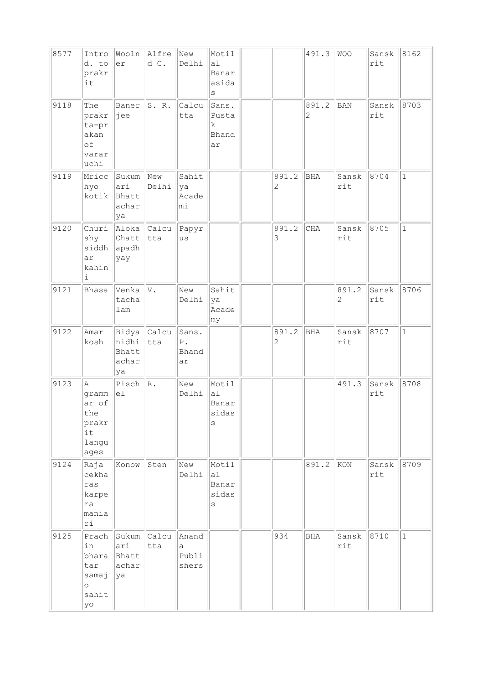| 8577 | Intro<br>d. to<br>prakr<br>it                                  | er                                   | Wooln Alfre<br>d C.             | New<br>Delhi                            | Motil<br>a1<br>Banar<br>asida<br>S |                         | 491.3      | WOO          | Sansk<br>rit | 8162         |
|------|----------------------------------------------------------------|--------------------------------------|---------------------------------|-----------------------------------------|------------------------------------|-------------------------|------------|--------------|--------------|--------------|
| 9118 | The<br>prakr<br>ta-pr<br>akan<br>of<br>varar<br>uchi           | Baner<br>∣jee                        | S.R.                            | Calcu<br>tta                            | Sans.<br>Pusta<br>k<br>Bhand<br>ar |                         | 891.2<br>2 | <b>BAN</b>   | Sansk<br>rit | 8703         |
| 9119 | Mricc<br>hyo<br>kotik                                          | Sukum<br>ari<br>Bhatt<br>achar<br>ya | $\sqrt{N_{\text{ew}}}$<br>Delhi | Sahit<br>ya<br>Acade<br>mi              |                                    | 891.2<br>$\overline{c}$ | BHA        | Sansk<br>rit | 8704         | $\mathbf{1}$ |
| 9120 | Churi<br>shy<br>siddh<br>ar<br>kahin<br>i                      | Chatt<br>apadh<br>yay                | Aloka Calcu<br> tta             | Papyr<br>us                             |                                    | 891.2<br>3              | CHA        | Sansk<br>rit | 8705         | $\mathbf{1}$ |
| 9121 | Bhasa                                                          | Venka<br>tacha<br>lam                | V.                              | New<br>Delhi                            | Sahit<br>ya<br>Acade<br>my         |                         |            | 891.2<br>2   | Sansk<br>rit | 8706         |
| 9122 | Amar<br>kosh                                                   | nidhi<br>Bhatt<br>achar<br>ya        | Bidya Calcu<br>$ $ tta          | Sans.<br>${\mathbb P}$ .<br>Bhand<br>ar |                                    | 891.2<br>2              | <b>BHA</b> | Sansk<br>rit | 8707         | $1\,$        |
| 9123 | Α<br>gramm<br>ar of<br>the<br>prakr<br>it<br>langu<br>ages     | Pisch<br>el                          | R.                              | New<br>Delhi                            | Motil<br>a1<br>Banar<br>sidas<br>S |                         |            | 491.3        | Sansk<br>rit | 8708         |
| 9124 | Raja<br>cekha<br>ras<br>karpe<br>ra<br>mania<br>ri             | Konow                                | Sten                            | New<br>Delhi                            | Motil<br>a1<br>Banar<br>sidas<br>S |                         | 891.2      | KON          | Sansk<br>rit | 8709         |
| 9125 | Prach<br>in<br>bhara<br>tar<br>samaj<br>$\circ$<br>sahit<br>yo | ari<br>Bhatt<br>achar<br>ya          | Sukum Calcu Anand<br>tta        | a<br>Publi<br>shers                     |                                    | 934                     | BHA        | Sansk<br>rit | 8710         | $\mathbf{1}$ |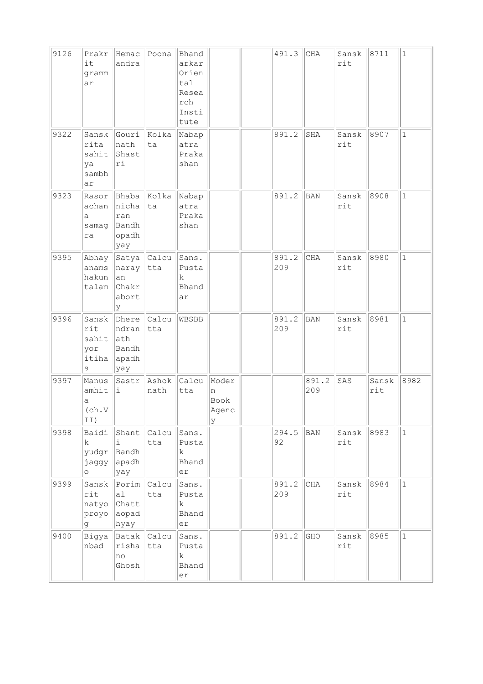| 9126 | Prakr<br>it<br>gramm<br>ar                           | Hemac<br>andra                                                       | Poona         | Bhand<br>arkar<br>Orien<br>tal<br>Resea<br>rch<br>Insti<br>tute |                                  | 491.3        | CHA          | Sansk<br>rit | 8711         | $\mathbf{1}$ |
|------|------------------------------------------------------|----------------------------------------------------------------------|---------------|-----------------------------------------------------------------|----------------------------------|--------------|--------------|--------------|--------------|--------------|
| 9322 | Sansk<br>rita<br>sahit<br>ya<br>sambh<br>ar          | Gouri<br>nath<br>Shast<br>ri                                         | Kolka<br>ta   | Nabap<br>atra<br>Praka<br>shan                                  |                                  | 891.2        | SHA          | Sansk<br>rit | 8907         | 1            |
| 9323 | Rasor<br>achan<br>a<br>samag<br>ra                   | Bhaba Kolka<br>nicha ta<br>ran<br>Bandh<br>opadh<br>yay              |               | Nabap<br>atra<br>Praka<br>shan                                  |                                  | 891.2        | BAN          | Sansk<br>rit | 8908         | $\mathbf{1}$ |
| 9395 | Abhay<br>anams<br>hakun<br>talam                     | $\ $ Satya $\ $ Calcu $\ $<br>naray tta<br>an<br>Chakr<br>abort<br>У |               | Sans.<br>Pusta<br>k<br>Bhand<br>ar                              |                                  | 891.2<br>209 | CHA          | Sansk<br>rit | 8980         | $\mathbf{1}$ |
| 9396 | Sansk<br>rit<br>sahit ath<br>yor<br>itiha<br>$\rm s$ | Dhere Calcu<br>ndran<br>Bandh<br>apadh<br>yay                        | tta           | WBSBB                                                           |                                  | 891.2<br>209 | <b>BAN</b>   | Sansk<br>rit | 8981         | $\mathbf{1}$ |
| 9397 | Manus<br>amhit<br>а<br>(ch.V<br>II)                  | Sastr<br>i.                                                          | Ashok<br>nath | Calcu<br>tta                                                    | Moder<br>n<br>Book<br>Agenc<br>У |              | 891.2<br>209 | SAS          | Sansk<br>rit | 8982         |
| 9398 | Baidi<br>k.<br>yudgr<br>jaggy<br>$\circ$             | Shant<br>i<br>Bandh<br>apadh<br>yay                                  | Calcu<br>tta  | Sans.<br>Pusta<br>$\mathbf k$<br>Bhand<br>er                    |                                  | 294.5<br>92  | <b>BAN</b>   | Sansk<br>rit | 8983         | $\mathbf 1$  |
| 9399 | Sansk<br>rit<br>natyo<br>proyo<br>g                  | Porim Calcu<br>a1<br>Chatt<br>aopad<br>hyay                          | tta           | Sans.<br>Pusta<br>$\mathbf k$<br>Bhand<br>er                    |                                  | 891.2<br>209 | CHA          | Sansk<br>rit | 8984         | $\mathbf{1}$ |
| 9400 | Bigya<br>nbad                                        | Batak Calcu<br>risha<br>no<br>Ghosh                                  | tta           | Sans.<br>Pusta<br>k<br>Bhand<br>er                              |                                  | 891.2        | GHO          | Sansk<br>rit | 8985         | $\mathbf{1}$ |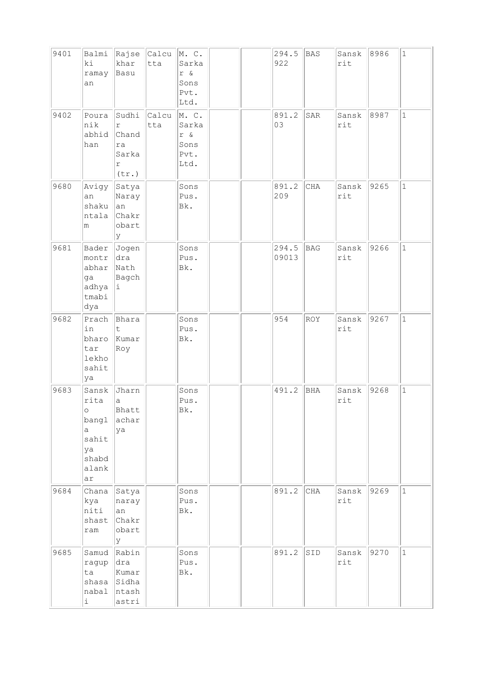| 9401 | Balmi<br>ki<br>ramay<br>an                                                    | khar<br>Basu                                              | $ $ Rajse $ $ Calcu $ $ M. C.<br>tta | Sarka<br>r &<br>Sons<br>Pvt.<br>Ltd.          |  | 294.5<br>922   | <b>BAS</b> | Sansk<br>rit | 8986 | $\mathbf{1}$ |
|------|-------------------------------------------------------------------------------|-----------------------------------------------------------|--------------------------------------|-----------------------------------------------|--|----------------|------------|--------------|------|--------------|
| 9402 | Poura<br>nik<br>abhid<br>han                                                  | Sudhi<br>r<br>Chand<br>ra<br>Sarka<br>$\Upsilon$<br>(tr.) | Calcu<br>tta                         | M. C.<br>Sarka<br>r &<br>Sons<br>Pvt.<br>Ltd. |  | 891.2<br>03    | SAR        | Sansk<br>rit | 8987 | $\mathbf{1}$ |
| 9680 | Avigy<br>an<br>shaku<br>ntala<br>m                                            | Satya<br>Naray<br> an<br>Chakr<br>obart<br>Y              |                                      | Sons<br>Pus.<br>Bk.                           |  | 891.2<br>209   | CHA        | Sansk<br>rit | 9265 | $\mathbf{1}$ |
| 9681 | Bader<br>montr<br>abhar<br>ga<br>adhya<br>tmabi<br>dya                        | Jogen<br>dra<br>Nath<br>Bagch<br>Ιi.                      |                                      | Sons<br>Pus.<br>Bk.                           |  | 294.5<br>09013 | <b>BAG</b> | Sansk<br>rit | 9266 | $\mathbf{1}$ |
| 9682 | Prach<br>in<br>bharo<br>tar<br>lekho<br>sahit<br>ya                           | Bhara<br>$\mathsf t$<br>Kumar<br>Roy                      |                                      | Sons<br>Pus.<br>Bk.                           |  | 954            | <b>ROY</b> | Sansk<br>rit | 9267 | $\mathbf{1}$ |
| 9683 | Sansk<br>rita<br>$\circ$<br>bangl<br>a<br>sahit<br>ya<br>shabd<br>alank<br>ar | Jharn<br>a<br>Bhatt<br>achar<br>ya                        |                                      | Sons<br>Pus.<br>Bk.                           |  | 491.2          | BHA        | Sansk<br>rit | 9268 | $\mathbf{1}$ |
| 9684 | Chana<br>kya<br>niti<br>shast<br>$\verb ram $                                 | Satya<br>naray<br>an<br>Chakr<br>obart<br>lУ              |                                      | Sons<br>Pus.<br>Bk.                           |  | 891.2          | CHA        | Sansk<br>rit | 9269 | $\mathbf{1}$ |
| 9685 | Samud<br>ragup<br>ta<br>shasa<br>nabal<br>i                                   | Rabin<br>dra<br>Kumar<br>Sidha<br>ntash<br>astri          |                                      | Sons<br>Pus.<br>Bk.                           |  | 891.2          | SID        | Sansk<br>rit | 9270 | $\mathbf{1}$ |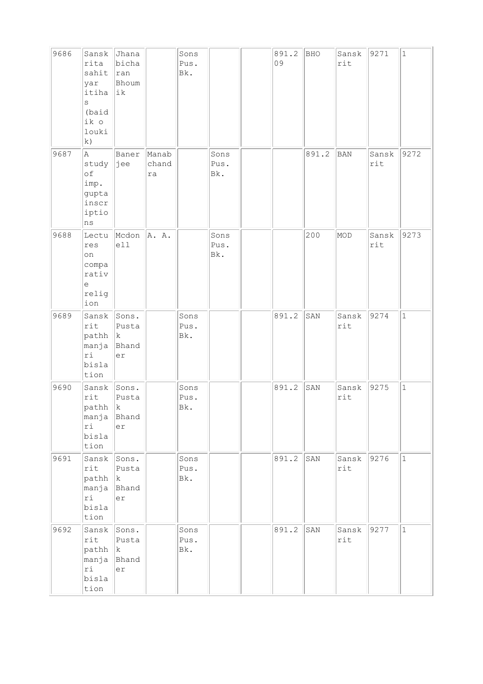| 9686 | Sansk<br>rita<br>sahit<br>yar<br>itiha<br>S<br>(baid<br>ik o<br>louki<br>k) | Jhana<br>bicha<br>$\vert$ ran<br>Bhoum<br> ik      |                      | Sons<br>Pus.<br>Bk. |                     | 891.2<br>09 | <b>BHO</b> | Sansk<br>rit | 9271         | $\mathbf 1$  |
|------|-----------------------------------------------------------------------------|----------------------------------------------------|----------------------|---------------------|---------------------|-------------|------------|--------------|--------------|--------------|
| 9687 | A<br>study<br>of<br>imp.<br>gupta<br>inscr<br>iptio<br>ns                   | Baner<br> jee                                      | Manab<br>chand<br>ra |                     | Sons<br>Pus.<br>Bk. |             | 891.2      | <b>BAN</b>   | Sansk<br>rit | 9272         |
| 9688 | Lectu<br>res<br>on<br>compa<br>rativ<br>e<br>relig<br>ion                   | Mcdon<br>e11                                       | A. A.                |                     | Sons<br>Pus.<br>Bk. |             | 200        | MOD          | Sansk<br>rit | 9273         |
| 9689 | Sansk<br>rit<br>pathh<br>manja<br>ri<br>bisla<br>tion                       | Sons.<br>Pusta<br>$\vert\mathrm{k}$<br>Bhand<br>er |                      | Sons<br>Pus.<br>Bk. |                     | 891.2       | SAN        | Sansk<br>rit | 9274         | $\mathbf 1$  |
| 9690 | Sansk<br>rit<br>pathh<br>manja<br>ri<br>bisla<br>tion                       | Sons.<br>Pusta<br> k<br>Bhand<br>er                |                      | Sons<br>Pus.<br>Bk. |                     | 891.2       | SAN        | Sansk<br>rit | 9275         | $1\,$        |
| 9691 | Sansk<br>rit<br>path   k<br>manja Bhand<br>ri<br>bisla<br>tion              | Sons.<br>Pusta<br>er                               |                      | Sons<br>Pus.<br>Bk. |                     | 891.2       | SAN        | Sansk<br>rit | 9276         | $\mathbf{1}$ |
| 9692 | Sansk Sons.<br>rit<br>$path \,  k $<br>manja<br>ri<br>bisla<br>tion         | Pusta<br>Bhand<br>er                               |                      | Sons<br>Pus.<br>Bk. |                     | 891.2       | SAN        | Sansk<br>rit | 9277         | $\mathbf 1$  |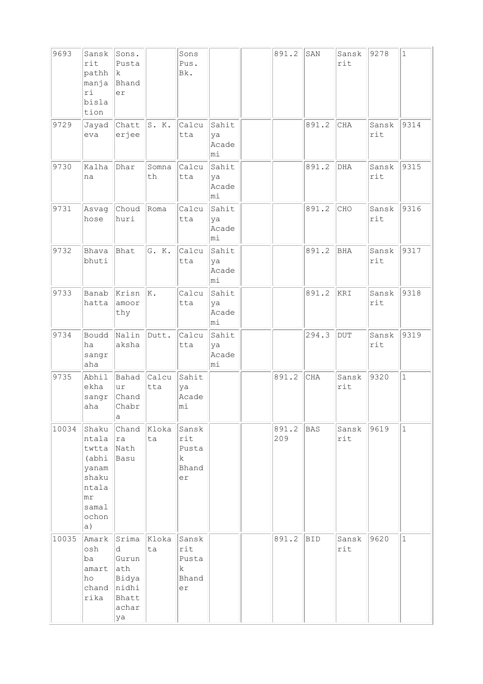| 9693  | Sansk<br>rit<br>pathh<br>manja<br>ri<br>bisla<br>tion                                              | Sons.<br>Pusta<br>lk.<br>Bhand<br>er                                 |              | Sons<br>Pus.<br>Bk.                                 |                             | 891.2        | SAN        | Sansk<br>rit | 9278         | $\mathbf{1}$ |
|-------|----------------------------------------------------------------------------------------------------|----------------------------------------------------------------------|--------------|-----------------------------------------------------|-----------------------------|--------------|------------|--------------|--------------|--------------|
| 9729  | Jayad<br>eva                                                                                       | Chatt<br>erjee                                                       | S. K.        | Calcu<br>tta                                        | Sahit<br>ya<br>Acade<br>mi  |              | 891.2      | CHA          | Sansk<br>rit | 9314         |
| 9730  | Kalha<br>na                                                                                        | Dhar                                                                 | Somna<br>th  | Calcu<br>tta                                        | Sahit<br>ya<br>Acade<br>mi  |              | 891.2      | DHA          | Sansk<br>rit | 9315         |
| 9731  | Asvag<br>hose                                                                                      | Choud<br>huri                                                        | Roma         | Calcu<br>tta                                        | Sahit<br>ya<br>Acade<br>mi. |              | 891.2      | CHO          | Sansk<br>rit | 9316         |
| 9732  | Bhava<br>bhuti                                                                                     | Bhat                                                                 | G. K.        | Calcu<br>tta                                        | Sahit<br>ya<br>Acade<br>mi  |              | 891.2      | <b>BHA</b>   | Sansk<br>rit | 9317         |
| 9733  | Banab<br>hatta                                                                                     | Krisn<br>amoor<br>thy                                                | K.           | Calcu<br>tta                                        | Sahit<br>ya<br>Acade<br>lmi |              | 891.2      | KRI          | Sansk<br>rit | 9318         |
| 9734  | Boudd<br>ha<br>sangr<br>aha                                                                        | Nalin Dutt.<br>aksha                                                 |              | Calcu<br>tta                                        | Sahit<br>ya<br>Acade<br>mi. |              | 294.3      | $\rm DUT$    | Sansk<br>rit | 9319         |
| 9735  | Abhil<br>ekha<br>sangr<br>aha                                                                      | Bahad<br>ur<br>Chand<br>Chabr<br>$\mathsf{a}$                        | Calcu<br>tta | Sahit<br>ya<br>Acade<br>mi                          |                             | 891.2        | CHA        | Sansk<br>rit | 9320         | $\mathbf{1}$ |
| 10034 | Shaku<br>ntala<br>twtta<br>(abhi<br>yanam<br>shaku<br>ntala<br>$m\text{r}$<br>samal<br>ochon<br>a) | Chand<br> ra<br>Nath<br>Basu                                         | Kloka<br>ta  | Sansk<br>rit<br>Pusta<br>k<br>Bhand<br>er           |                             | 891.2<br>209 | BAS        | Sansk<br>rit | 9619         | $\mathbf{1}$ |
| 10035 | Amark<br>osh<br>ba<br>amart<br>ho<br>chand<br>rika                                                 | Srima<br>d<br>Gurun<br>ath<br>Bidya<br>nidhi<br>Bhatt<br>achar<br>ya | Kloka<br>ta  | Sansk<br>rit<br>Pusta<br>$\mathbf k$<br>Bhand<br>er |                             | 891.2        | <b>BID</b> | Sansk<br>rit | 9620         | $\mathbf{1}$ |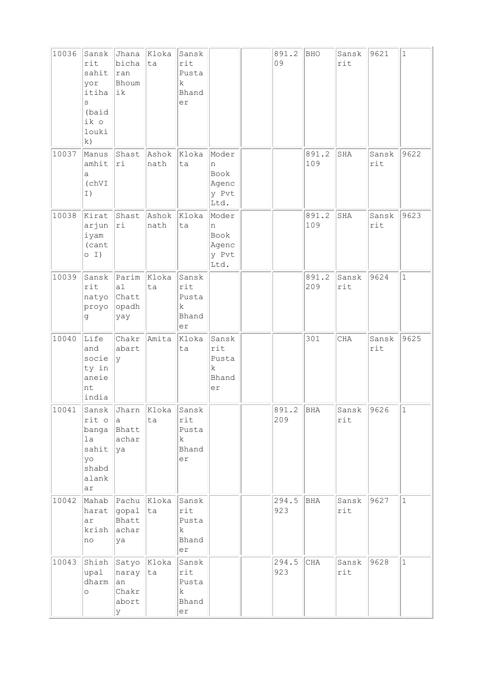| 10036 | Sansk<br>rit<br>sahit<br>yor<br>itiha<br>S<br>(baid<br>ik o<br>louki<br>k) | Jhana<br>bicha<br>$\vert$ ran<br>Bhoum<br> ik                    | Kloka<br>ta         | Sansk<br>rit<br>Pusta<br>k<br>Bhand<br>er |                                                     | 891.2<br>09  | BHO          | Sansk<br>rit | 9621         | $\mathbf{1}$ |
|-------|----------------------------------------------------------------------------|------------------------------------------------------------------|---------------------|-------------------------------------------|-----------------------------------------------------|--------------|--------------|--------------|--------------|--------------|
| 10037 | Manus<br>amhit<br>а<br>(chVI<br>I)                                         | Shast<br>ri                                                      | Ashok Kloka<br>nath | ta                                        | Moder<br>n<br>Book<br>Agenc<br>y Pvt<br>Ltd.        |              | 891.2<br>109 | SHA          | Sansk<br>rit | 9622         |
| 10038 | Kirat<br>arjun<br>iyam<br>(cant<br>$O$ I)                                  | Shast<br> ri                                                     | Ashok Kloka<br>nath | ta                                        | Moder<br>n<br>Book<br>Agenc<br>y Pvt<br>Ltd.        |              | 891.2<br>109 | SHA          | Sansk<br>rit | 9623         |
| 10039 | $\texttt{rit}$<br>natyo Chatt<br>proyo<br>đ                                | Sansk Parim Kloka<br> a <br>$ $ opadh<br>yay                     | ta                  | Sansk<br>rit<br>Pusta<br>k<br>Bhand<br>er |                                                     |              | 891.2<br>209 | Sansk<br>rit | 9624         | $\mathbf{1}$ |
| 10040 | Life<br>and<br>socie<br>ty in<br>aneie<br>nt<br>india                      | Chakr<br>abart<br> y                                             | Amita               | Kloka<br>ta                               | Sansk<br>rit<br>Pusta<br>$\mathbf k$<br>Bhand<br>er |              | 301          | CHA          | Sansk<br>rit | 9625         |
| 10041 | rit o<br>banga<br>1a<br>sahit<br>yo<br>shabd<br>alank<br>ar                | Sansk Joharn Kloka Sansk<br>la.<br>Bhatt<br>achar<br><u> </u> ya | ta                  | rit<br>Pusta<br>k.<br>Bhand<br>er         |                                                     | 891.2<br>209 | BHA          | Sansk<br>rit | 9626         | $ 1\rangle$  |
| 10042 | harat<br>ar<br>krish<br>no                                                 | Mahab Pachu Kloka<br>$ $ gopal $ $<br>Bhatt<br>achar<br>ya       | ta                  | Sansk<br>rit<br>Pusta<br>k<br>Bhand<br>er |                                                     | 294.5<br>923 | <b>BHA</b>   | Sansk<br>rit | 9627         | $\mathbf{1}$ |
| 10043 | upal<br>dharm<br>O                                                         | Shish Satyo Kloka<br>naray ta<br>an<br>Chakr<br>abort<br>У       |                     | Sansk<br>rit<br>Pusta<br>k<br>Bhand<br>er |                                                     | 294.5<br>923 | CHA          | Sansk<br>rit | 9628         | $\mathbf{1}$ |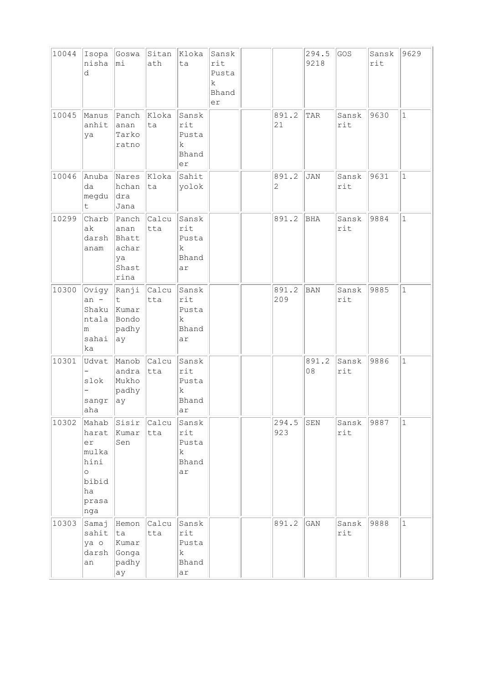| 10044 | Isopa<br>nisha<br>d                                                             | Goswa Sitan Kloka<br>mi                       | ath                | ta                                                   | Sansk<br>rit<br>Pusta<br>k.<br>Bhand<br>er |                         | 294.5<br>9218               | GOS          | Sansk<br>rit | 9629         |
|-------|---------------------------------------------------------------------------------|-----------------------------------------------|--------------------|------------------------------------------------------|--------------------------------------------|-------------------------|-----------------------------|--------------|--------------|--------------|
| 10045 | Manus<br>anhit<br>ya                                                            | Panch<br>anan<br>Tarko<br>ratno               | Kloka<br>ta        | Sansk<br>rit<br>Pusta<br>k<br>Bhand<br>er            |                                            | 891.2<br>21             | TAR                         | Sansk<br>rit | 9630         | $\mathbf{1}$ |
| 10046 | Anuba<br>da<br>megdu<br>t                                                       | Nares<br>hchan<br> dra<br>Jana                | Kloka<br>ta        | Sahit<br>yolok                                       |                                            | 891.2<br>$\overline{c}$ | <b>JAN</b>                  | Sansk<br>rit | 9631         | $\mathbf{1}$ |
| 10299 | Charb<br>ak<br>darsh<br>anam                                                    | anan<br>Bhatt<br>achar<br>ya<br>Shast<br>rina | Panch Calcu<br>tta | Sansk<br>rit<br>Pusta<br>k<br>Bhand<br>ar            |                                            | 891.2                   | <b>BHA</b>                  | Sansk<br>rit | 9884         | $\mathbf{1}$ |
| 10300 | Ovigy<br>$an -$<br>Shaku Kumar<br>ntala<br>m<br>sahai<br>ka                     | Ranji Calcu<br>t<br>Bondo<br>padhy<br>ay      | tta                | Sansk<br>rit<br>Pusta<br>$\mathbf k$<br>Bhand<br>ar  |                                            | 891.2<br>209            | <b>BAN</b>                  | Sansk<br>rit | 9885         | $\mathbf{1}$ |
| 10301 | Udvat<br>slok<br>sangr<br>aha                                                   | Manob Calcu<br>andra<br>Mukho<br>padhy<br>ay  | $ $ tta            | Sansk<br>rit<br>Pusta<br>k<br>Bhand<br>ar            |                                            |                         | 891.2<br>08                 | Sansk<br>rit | 9886         | $\mathbf{1}$ |
| 10302 | Mahab<br>harat<br>er<br>mulka<br>hini<br>$\circ$<br>bibid<br>ha<br>prasa<br>nga | Sisir<br>Kumar<br>Sen                         | Calcu<br>tta       | Sansk<br>rit<br>Pusta<br>k<br>Bhand<br>ar            |                                            | 294.5<br>923            | ${\tt SEN}$                 | Sansk<br>rit | 9887         | $\mathbf{1}$ |
| 10303 | Samaj<br>sahit<br>ya o<br>darsh<br>an                                           | Hemon<br>ta<br>Kumar<br>Gonga<br>padhy<br>ay  | Calcu<br>tta       | Sansk<br>rit<br>Pusta<br>$\mathbf{k}$<br>Bhand<br>ar |                                            | 891.2                   | $\mathop{\rm GAN}\nolimits$ | Sansk<br>rit | 9888         | $\mathbf{1}$ |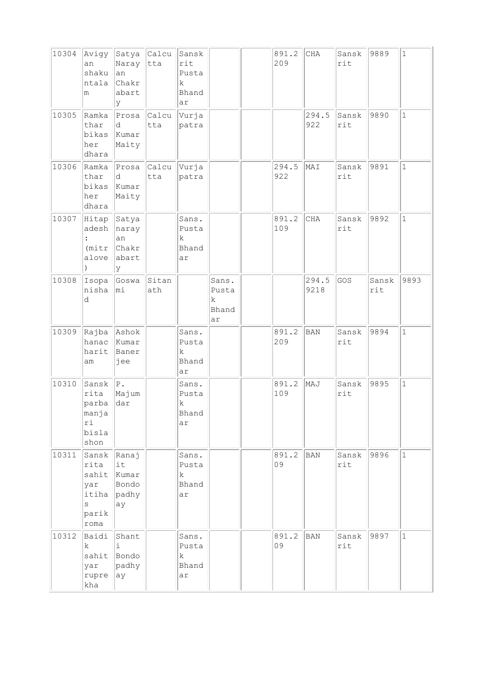| 10304 | Avigy<br>an<br>shaku<br>ntala<br>m                           | Naray tta<br>an<br>Chakr<br>abart<br>У       | Satya Calcu            | Sansk<br>rit<br>Pusta<br>k<br>Bhand<br>ar |                                              | 891.2<br>209 | $\rm CHA$     | Sansk<br>rit | 9889         | $\mathbf{1}$ |
|-------|--------------------------------------------------------------|----------------------------------------------|------------------------|-------------------------------------------|----------------------------------------------|--------------|---------------|--------------|--------------|--------------|
| 10305 | Ramka<br>thar<br>bikas<br>her<br>dhara                       | Prosa<br>d<br>Kumar<br>Maity                 | Calcu<br>tta           | Vurja<br>patra                            |                                              |              | 294.5<br>922  | Sansk<br>rit | 9890         | $\mathbf{1}$ |
| 10306 | Ramka<br>thar<br>bikas<br>her<br>dhara                       | d<br>Kumar<br>Maity                          | $Prosa$ $Calcu$<br>tta | Vurja<br>patra                            |                                              | 294.5<br>922 | MAI           | Sansk<br>rit | 9891         | $\mathbf{1}$ |
| 10307 | Hitap<br>adesh<br>(mitr)<br>alove                            | Satya<br>naray<br>an<br>Chakr<br>abart<br>lУ |                        | Sans.<br>Pusta<br>k.<br>Bhand<br>ar       |                                              | 891.2<br>109 | CHA           | Sansk<br>rit | 9892         | $\mathbf{1}$ |
| 10308 | Isopa<br>nisha<br>d                                          | Goswa<br>mi                                  | Sitan<br>ath           |                                           | Sans.<br>Pusta<br>$\mathbf k$<br>Bhand<br>ar |              | 294.5<br>9218 | GOS          | Sansk<br>rit | 9893         |
| 10309 | Rajba Ashok<br>hanac<br>harit<br>am                          | Kumar<br>Baner<br>jee                        |                        | Sans.<br>Pusta<br>k.<br>Bhand<br>ar       |                                              | 891.2<br>209 | <b>BAN</b>    | Sansk<br>rit | 9894         | $\mathbf{1}$ |
| 10310 | Sansk<br>rita<br>parba<br>manja<br>ri<br>bisla<br>shon       | P.<br>Majum<br>dar                           |                        | Sans.<br>Pusta<br>k<br>Bhand<br>ar        |                                              | 891.2<br>109 | MAJ           | Sansk<br>rit | 9895         | $\mathbf{1}$ |
| 10311 | Sansk<br>rita<br>sahit<br>yar<br>itiha<br>S<br>parik<br>roma | Ranaj<br>it<br>Kumar<br>Bondo<br>padhy<br>ay |                        | Sans.<br>Pusta<br>k<br>Bhand<br>ar        |                                              | 891.2<br>09  | <b>BAN</b>    | Sansk<br>rit | 9896         | $\mathbf{1}$ |
| 10312 | Baidi<br>k.<br>sahit<br>yar<br>rupre<br>kha                  | Shant<br>i.<br>Bondo<br>padhy<br>ay          |                        | Sans.<br>Pusta<br>k.<br>Bhand<br>ar       |                                              | 891.2<br>09  | <b>BAN</b>    | Sansk<br>rit | 9897         | $\mathbf{1}$ |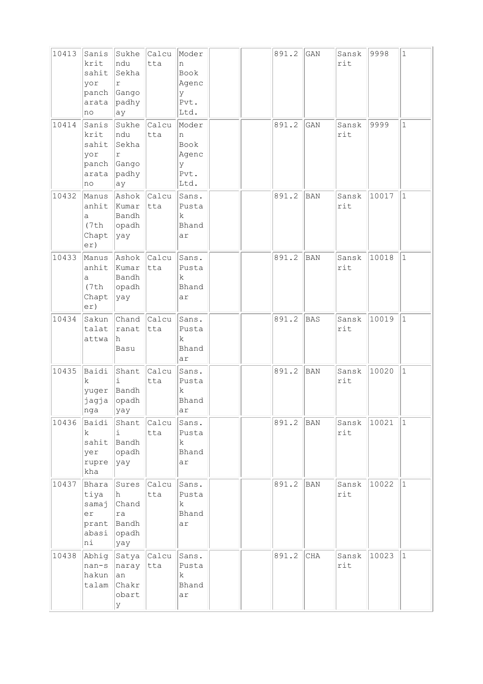| 10413 | Sanis<br>krit<br>sahit<br>yor<br>panch<br>arata<br>no | Sukhe<br>ndu<br>Sekha<br>r<br>Gango<br>padhy<br>ау           | Calcu<br>tta        | Moder<br>n<br>Book<br>Agenc<br>У<br>Pvt.<br>Ltd.       |  | 891.2 | $\mathop{\rm GAN}\nolimits$ | Sansk<br>rit | 9998  | $\mathbf{1}$ |
|-------|-------------------------------------------------------|--------------------------------------------------------------|---------------------|--------------------------------------------------------|--|-------|-----------------------------|--------------|-------|--------------|
| 10414 | Sanis<br>krit<br>sahit<br>yor<br>arata<br>no          | Sukhe<br>ndu<br>Sekha<br>r<br>panch Gango<br>padhy<br>ay     | <b>Calcu</b><br>tta | Moder<br>n<br>Book<br>Agenc<br>У<br>Pvt.<br>Ltd.       |  | 891.2 | GAN                         | Sansk<br>rit | 9999  | $\mathbf 1$  |
| 10432 | Manus<br>anhit<br>a<br>(7th<br>Chapt<br>er)           | Ashok Calcu<br>Kumar<br>Bandh<br>opadh<br> yay               | tta                 | Sans.<br>Pusta<br>k<br>Bhand<br>ar                     |  | 891.2 | <b>BAN</b>                  | Sansk<br>rit | 10017 | $\mathbf{1}$ |
| 10433 | Manus<br>anhit<br>a<br>(7th<br>Chapt<br>er)           | Ashok Calcu<br>Kumar<br>Bandh<br>opadh<br> yay               | tta                 | Sans.<br>Pusta<br>k.<br>Bhand<br>ar                    |  | 891.2 | <b>BAN</b>                  | Sansk<br>rit | 10018 | $\mathbf{1}$ |
| 10434 | Sakun<br>talat<br>attwa                               | Chand Calcu<br> ranat<br>h<br>Basu                           | tta                 | Sans.<br>Pusta<br>k<br>Bhand<br>ar                     |  | 891.2 | <b>BAS</b>                  | Sansk<br>rit | 10019 | $\mathbf{1}$ |
| 10435 | Baidi<br>k<br>yuger<br>jagja<br>$ $ nga               | Shant<br>i.<br>Bandh<br>opadh<br> yay                        | Calcu<br>tta        | Sans.<br>Pusta<br>k.<br>Bhand<br> ar                   |  | 891.2 | <b>BAN</b>                  | Sansk<br>rit | 10020 | $\mathbf{1}$ |
| 10436 | Baidi<br>k<br>yer<br>rupre $ $ yay<br>kha             | i.<br>sahit Bandh<br>opadh                                   | Shant Calcu<br>tta  | Sans.<br>Pusta<br>k<br>Bhand<br>ar                     |  | 891.2 | <b>BAN</b>                  | Sansk<br>rit | 10021 | $\mathbf 1$  |
| 10437 | Bhara<br>tiya<br>samaj<br>er<br>prant<br>abasi<br>ni  | h.<br>Chand<br>ra<br>Bandh<br>$ $ opadh<br> yay              | Sures Calcu<br>tta  | $ {\tt Sans}$ .<br>Pusta<br>$\mathbf k$<br>Bhand<br>ar |  | 891.2 | <b>BAN</b>                  | Sansk<br>rit | 10022 | $\mathbf{1}$ |
| 10438 | nan-s<br>hakun<br>talam                               | Abhig Satya Calcu<br>naray tta<br> an<br>Chakr<br>obart<br>У |                     | Sans.<br>Pusta<br>k.<br>Bhand<br>ar                    |  | 891.2 | $\rm CHA$                   | Sansk<br>rit | 10023 | $\mathbf{1}$ |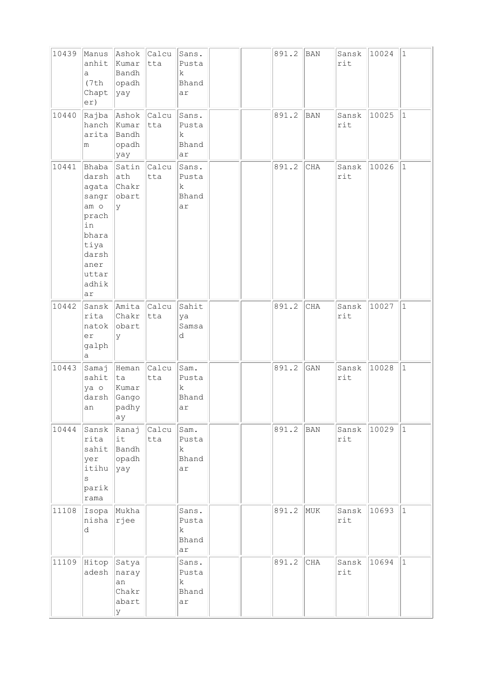| 10439 | Manus<br>anhit<br>a<br>(7th<br>Chapt<br>er)                                                                       | Ashok Calcu<br>Kumar<br>Bandh<br>opadh<br>$\ $ yay        | tta                | Sans.<br>Pusta<br>k<br>Bhand<br>ar           |  | 891.2 | <b>BAN</b> | Sansk<br>rit | 10024 | $\mathbf{1}$ |
|-------|-------------------------------------------------------------------------------------------------------------------|-----------------------------------------------------------|--------------------|----------------------------------------------|--|-------|------------|--------------|-------|--------------|
| 10440 | arita<br>m                                                                                                        | Rajba Ashok Calcu<br>hanch Kumar<br>Bandh<br>opadh<br>yay | tta                | Sans.<br>Pusta<br>$\mathbf k$<br>Bhand<br>ar |  | 891.2 | <b>BAN</b> | Sansk<br>rit | 10025 | $\mathbf{1}$ |
| 10441 | Bhaba<br>darsh<br>agata<br>sangr<br>am o<br>prach<br>in<br>bhara<br>tiya<br>darsh<br>aner<br>uttar<br>adhik<br>ar | ath<br>Chakr<br>obart<br>lУ                               | Satin Calcu<br>tta | Sans.<br>Pusta<br>k<br>Bhand<br>ar           |  | 891.2 | CHA        | Sansk<br>rit | 10026 | $\mathbf 1$  |
| 10442 | rita<br>natok<br>er<br>galph<br>а                                                                                 | Sansk Amita Calcu<br>Chakr<br>obart<br>У                  | tta                | Sahit<br>ya<br>Samsa<br>d                    |  | 891.2 | CHA        | Sansk<br>rit | 10027 | $\mathbf{1}$ |
| 10443 | Samaj<br>sahit<br>ya o<br>darsh<br>an                                                                             | Heman<br> ta<br>Kumar<br>Gango<br>padhy<br>ay             | Calcu<br>tta       | Sam.<br>Pusta<br>$\mathbf k$<br>Bhand<br>ar  |  | 891.2 | GAN        | Sansk<br>rit | 10028 | $\mathbf{1}$ |
| 10444 | Sansk<br>rita<br>sahit<br>yer<br>itihu<br>S<br>parik<br>rama                                                      | Ranaj<br>it<br>Bandh<br>opadh<br>yay                      | Calcu<br>tta       | Sam.<br>Pusta<br>$\mathbf{k}$<br>Bhand<br>ar |  | 891.2 | <b>BAN</b> | Sansk<br>rit | 10029 | $\mathbf 1$  |
| 11108 | Isopa<br>nisha<br>d                                                                                               | Mukha<br>rjee                                             |                    | Sans.<br>Pusta<br>$\mathbf k$<br>Bhand<br>ar |  | 891.2 | MUK        | Sansk<br>rit | 10693 | $\mathbf{1}$ |
| 11109 | Hitop<br>adesh                                                                                                    | Satya<br>naray<br>an<br>Chakr<br>abart<br>У               |                    | Sans.<br>Pusta<br>$\mathbf k$<br>Bhand<br>ar |  | 891.2 | $\rm CHA$  | Sansk<br>rit | 10694 | $\mathbf{1}$ |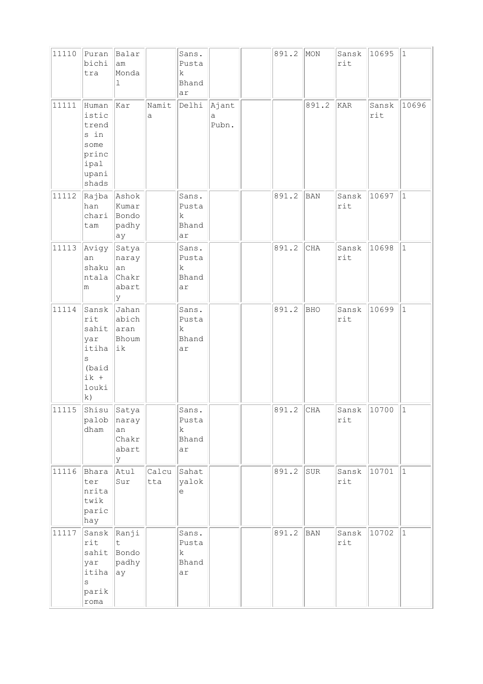| 11110 | Puran<br>bichi<br>tra                                                        | Balar<br>am<br>Monda<br>$\mathbf{1}$         |              | Sans.<br>Pusta<br>k<br>Bhand<br>ar           |                     | 891.2 | MON        | Sansk $ 10695 $<br>rit |               | $ 1\rangle$ |
|-------|------------------------------------------------------------------------------|----------------------------------------------|--------------|----------------------------------------------|---------------------|-------|------------|------------------------|---------------|-------------|
| 11111 | Human<br>istic<br>trend<br>s in<br>some<br>princ<br>ipal<br>upani<br>shads   | Kar                                          | Namit<br>a   | Delhi                                        | Ajant<br>а<br>Pubn. |       | 891.2      | KAR                    | Sansk<br>rit  | 10696       |
| 11112 | Rajba<br>han<br>chari<br>tam                                                 | Ashok<br>Kumar<br>Bondo<br>padhy<br>ay       |              | Sans.<br>Pusta<br>k<br>Bhand<br>ar           |                     | 891.2 | BAN        | Sansk<br>rit           | 10697         | $\vert$ 1   |
| 11113 | Avigy<br>an<br>shaku<br>ntala<br>m                                           | Satya<br>naray<br> an<br>Chakr<br>abart<br>У |              | Sans.<br>Pusta<br>k<br>Bhand<br>ar           |                     | 891.2 | CHA        | Sansk<br>rit           | 10698         | $\vert$ 1   |
| 11114 | Sansk<br>rit<br>sahit<br>yar<br>itiha<br>S<br>(baid<br>$ik +$<br>louki<br>k) | Jahan<br>abich<br>aran<br>Bhoum<br>ik        |              | Sans.<br>Pusta<br>$\mathbf k$<br>Bhand<br>ar |                     | 891.2 | <b>BHO</b> | Sansk<br>rit           | 10699         | $\vert$ 1   |
| 11115 | Shisu Satya<br>palob<br>dham                                                 | naray<br>an<br>Chakr<br>abart<br>У           |              | Sans.<br>Pusta<br>$\mathbf k$<br>Bhand<br>ar |                     | 891.2 | CHA        | rit                    | Sansk 10700 1 |             |
| 11116 | Bhara<br>ter<br>nrita<br>twik<br>paric<br>hay                                | Atul<br>Sur                                  | Calcu<br>tta | Sahat<br>yalok<br>$\in$                      |                     | 891.2 | SUR        | Sansk<br>rit           | 10701         | $ 1\rangle$ |
| 11117 | Sansk<br>rit<br>sahit<br>yar<br>itiha<br>$\rm s$<br>parik<br>roma            | Ranji<br>t<br>Bondo<br>padhy<br>ay           |              | Sans.<br>Pusta<br>$\mathbf k$<br>Bhand<br>ar |                     | 891.2 | BAN        | Sansk<br>rit           | 10702         | 1           |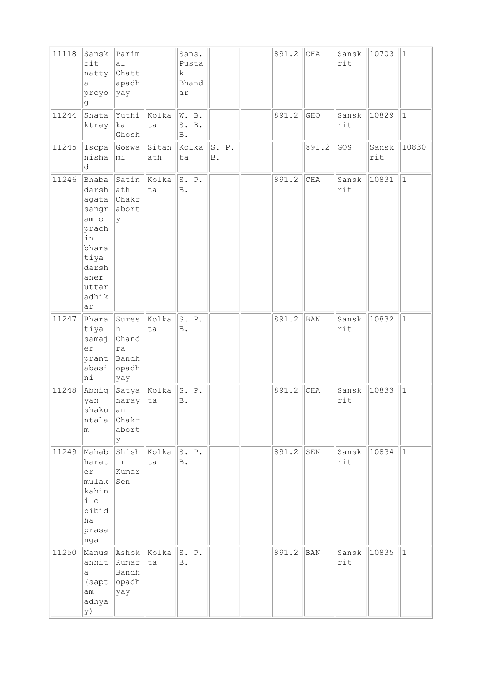| 11118 | Sansk<br>rit<br>natty Chatt<br>a<br>proyo<br>đ                                                                                     | Parim<br>a1<br>apadh<br>yay                         |             | Sans.<br>Pusta<br>k<br>Bhand<br>ar |                         | 891.2 | CHA        | Sansk<br>rit | 10703        | $ 1\rangle$ |
|-------|------------------------------------------------------------------------------------------------------------------------------------|-----------------------------------------------------|-------------|------------------------------------|-------------------------|-------|------------|--------------|--------------|-------------|
| 11244 | Shata<br>ktray                                                                                                                     | Yuthi<br> ka<br>Ghosh                               | Kolka<br>ta | W. B.<br>S. B.<br>B.               |                         | 891.2 | GHO        | Sansk<br>rit | 10829        | $ 1\rangle$ |
| 11245 | nisha<br>d                                                                                                                         | Isopa Goswa Sitan<br>$ m_1$                         | ath         | Kolka<br>ta                        | S. P.<br>$\, {\bf B}$ . |       | 891.2      | GOS          | Sansk<br>rit | 10830       |
| 11246 | Bhaba<br>darsh<br>agata Chakr<br>sangr<br>am <sub>o</sub><br>prach<br>in<br>bhara<br>tiya<br>darsh<br>aner<br>uttar<br>adhik<br>ar | Satin<br>ath<br>abort<br>lУ                         | Kolka<br>ta | S. P.<br>B.                        |                         | 891.2 | CHA        | Sansk<br>rit | 10831        | $ 1\rangle$ |
| 11247 | Bhara<br>tiya<br>samaj<br>er<br>prant<br>abasi<br>ni                                                                               | Sures<br>h.<br>Chand<br>ra<br>Bandh<br>opadh<br>yay | Kolka<br>ta | S. P.<br>B.                        |                         | 891.2 | <b>BAN</b> | Sansk<br>rit | 10832        | $\vert$ 1   |
| 11248 | Abhig<br>yan<br>shaku<br>ntala<br>m                                                                                                | Satya Kolka<br>naray<br>an<br>Chakr<br>abort<br>lУ  | ta          | S. P.<br>B.                        |                         | 891.2 | $\rm CHA$  | Sansk<br>rit | 10833        | $ 1\rangle$ |
| 11249 | Mahab<br>harat<br>er<br>mulak<br>kahin<br>$i$ o<br>bibid<br>ha<br>prasa<br>nga                                                     | Shish<br> ir<br>Kumar<br>Sen                        | Kolka<br>ta | S. P.<br>B.                        |                         | 891.2 | SEN        | Sansk<br>rit | 10834        | $ 1\rangle$ |
| 11250 | anhit Kumar<br>a -<br>(sapt  opadh)<br>am<br>adhya<br>y)                                                                           | Manus Ashok Kolka<br>Bandh<br>yay                   | ta          | S. P.<br>B.                        |                         | 891.2 | <b>BAN</b> | Sansk<br>rit | 10835        | $\vert$ 1   |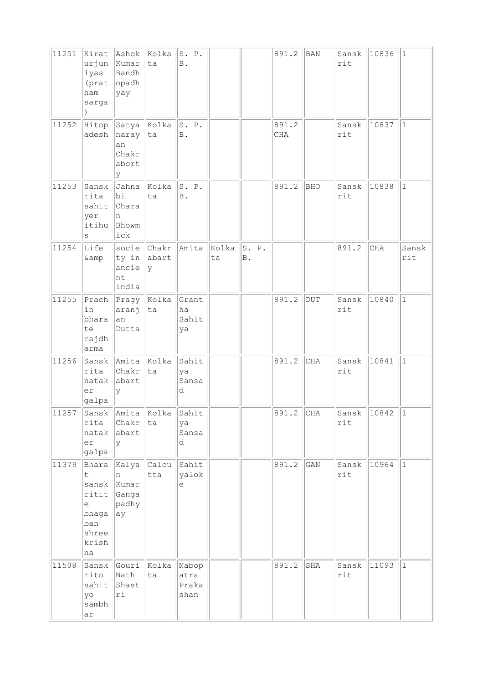| 11251 | Kirat<br>urjun<br>iyas<br>ham<br>sarga<br>$\lambda$                                           | Ashok<br>Kumar<br>Bandh<br>(prat opadh<br>yay       | Kolka<br>ta        | S. P.<br>$\mathbb B$ .         |             |                         | 891.2               | <b>BAN</b>   | Sansk<br>rit | 10836 | $ 1\rangle$  |
|-------|-----------------------------------------------------------------------------------------------|-----------------------------------------------------|--------------------|--------------------------------|-------------|-------------------------|---------------------|--------------|--------------|-------|--------------|
| 11252 | Hitop<br>adesh                                                                                | Satya Kolka<br>naray<br>an<br>Chakr<br>abort<br>У   | ta                 | S. P.<br><b>B</b> .            |             |                         | 891.2<br><b>CHA</b> |              | Sansk<br>rit | 10837 | $\vert$ 1    |
| 11253 | Sansk<br>rita<br>sahit<br>yer<br>itihu<br>S                                                   | Jahna<br>bi<br>Chara<br>n<br>Bhowm<br>ick           | Kolka<br>ta        | S. P.<br><b>B</b> .            |             |                         | 891.2               | <b>BHO</b>   | Sansk<br>rit | 10838 | $\vert$ 1    |
| 11254 | Life<br>& amp                                                                                 | ty in abart<br>ancie<br>nt<br>india                 | socie Chakr<br>У   | Amita                          | Kolka<br>ta | S. P.<br>$\, {\bf B}$ . |                     |              | 891.2        | CHA   | Sansk<br>rit |
| 11255 | Prach<br>in<br>bhara<br>te<br>rajdh<br>arma                                                   | $\Vert$ Pragy $\Vert$ Kolka<br>aranj<br>an<br>Dutta | ta                 | Grant<br>ha<br>Sahit<br>ya     |             |                         | 891.2               | $_{\rm DUT}$ | Sansk<br>rit | 10840 | $\vert$ 1    |
| 11256 | rita<br>natak<br>er<br>galpa                                                                  | Sansk Amita Kolka<br>Chakr<br>abart<br>У            | ta                 | Sahit<br>ya<br>Sansa<br>d      |             |                         | 891.2               | <b>CHA</b>   | Sansk<br>rit | 10841 | $\mathbf{1}$ |
| 11257 | Sansk<br>rita<br>natak<br>er<br>galpa                                                         | Amita<br>Chakr<br>abart<br>У                        | Kolka<br>ta        | Sahit<br>ya<br>Sansa<br>d      |             |                         | 891.2               | CHA          | Sansk<br>rit | 10842 | 1            |
| 11379 | Bhara<br>$\mathsf{t}$<br>sansk<br>ritit<br>$\epsilon$<br>bhaga<br>ban<br>shree<br>krish<br>na | n<br>Kumar<br>Ganga<br>padhy<br>ay                  | Kalya Calcu<br>tta | Sahit<br>yalok<br>$\in$        |             |                         | 891.2               | GAN          | Sansk<br>rit | 10964 | $\vert$ 1    |
| 11508 | Sansk<br>rito<br>sahit<br>yo<br>sambh<br>ar                                                   | Gouri<br>Nath<br>Shast<br>ri                        | Kolka<br>ta        | Nabop<br>atra<br>Praka<br>shan |             |                         | 891.2               | $_{\rm SHA}$ | Sansk<br>rit | 11093 | $ 1\rangle$  |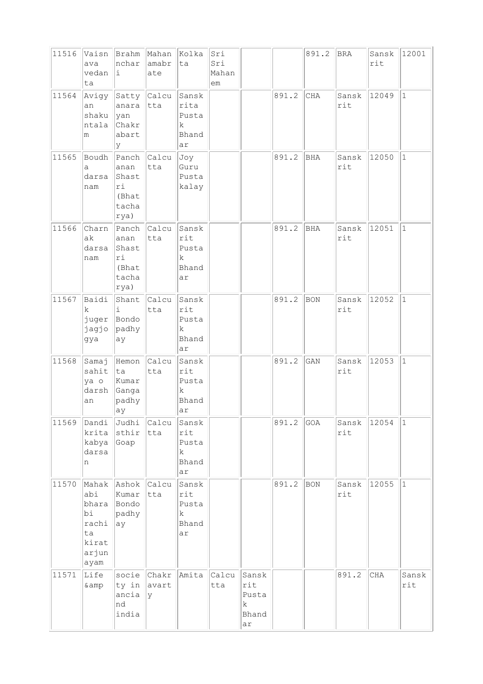| 11516 | Vaisn<br>ava<br>vedan<br>ta                                 | Brahm<br>nchar<br>i                                          | Mahan  <br>amabr<br>ate | Kolka<br>ta                                         | Sri<br>Sri<br>Mahan<br>em |                                           |       | 891.2 | BRA          | Sansk<br>rit | 12001        |
|-------|-------------------------------------------------------------|--------------------------------------------------------------|-------------------------|-----------------------------------------------------|---------------------------|-------------------------------------------|-------|-------|--------------|--------------|--------------|
| 11564 | Avigy<br>an<br>shaku<br>ntala<br>m                          | Satty Calcu<br>anara<br> yan<br>Chakr<br>abart<br>У          | tta                     | Sansk<br>rita<br>Pusta<br>k<br>Bhand<br>ar          |                           |                                           | 891.2 | CHA   | Sansk<br>rit | 12049        | $\mathbf{1}$ |
| 11565 | Boudh<br>a<br>darsa<br>nam                                  | Panch Calcu<br>anan<br>Shast<br>ri<br>(Bhat<br>tacha<br>rya) | tta                     | Joy<br>Guru<br>Pusta<br>kalay                       |                           |                                           | 891.2 | BHA   | Sansk<br>rit | 12050        | $\mathbf{1}$ |
| 11566 | Charn<br>ak<br>darsa<br>nam                                 | Panch<br>anan<br>Shast<br>ri<br>(Bhat<br>tacha<br>rya)       | Calcu<br>tta            | Sansk<br>rit<br>Pusta<br>k<br>Bhand<br>ar           |                           |                                           | 891.2 | BHA   | Sansk<br>rit | 12051        | $\mathbf{1}$ |
| 11567 | Baidi<br>k.<br>juger Bondo<br>jagjo<br>gya                  | Shant<br>i<br>padhy<br>ay                                    | Calcu<br>tta            | Sansk<br>rit<br>Pusta<br>k<br>Bhand<br>ar           |                           |                                           | 891.2 | BON   | Sansk<br>rit | 12052        | $\mathbf{1}$ |
| 11568 | Samaj<br>sahit<br>ya o<br>darsh<br>an                       | Hemon<br> ta<br>Kumar<br>Ganga<br>padhy<br> ay               | Calcu<br>tta            | Sansk<br>rit<br>Pusta<br>k.<br>Bhand<br> ar         |                           |                                           | 891.2 | GAN   | Sansk<br>rit | 12053        | $\mathbf{1}$ |
| 11569 | Dandi<br>krita<br>kabya<br>darsa<br>n                       | Judhi Calcu<br>sthir<br>Goap                                 | tta                     | Sansk<br>rit<br>Pusta<br>k<br>Bhand<br>ar           |                           |                                           | 891.2 | GOA   | Sansk<br>rit | 12054        | $\mathbf{1}$ |
| 11570 | abi<br>bhara<br>bi<br>rachi<br>ta<br>kirat<br>arjun<br>ayam | Mahak Ashok<br>Kumar<br>Bondo<br>padhy<br> ay                | Calcu<br>tta            | Sansk<br>rit<br>Pusta<br>$\mathbf k$<br>Bhand<br>ar |                           |                                           | 891.2 | BON   | Sansk<br>rit | 12055        | $\mathbf{1}$ |
| 11571 | Life<br>& amp                                               | $ $ ty in $ $ avart<br>ancia<br>nd<br>india                  | socie Chakr<br> y       | Amita                                               | Calcu<br>tta              | Sansk<br>rit<br>Pusta<br>k<br>Bhand<br>ar |       |       | 891.2        | CHA          | Sansk<br>rit |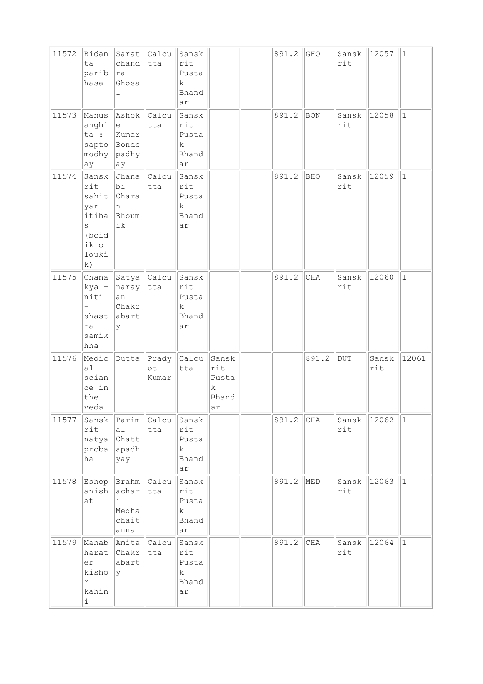| 11572 | Bidan<br>ta<br>parib<br>hasa                                                | chand tta<br>ra<br>Ghosa<br>1                                               | Sarat Calcu                       | Sansk<br>rit<br>Pusta<br>k.<br>Bhand<br>ar           |                                                     | 891.2 | GHO   | Sansk<br>rit | 12057        | $\vert$ 1    |
|-------|-----------------------------------------------------------------------------|-----------------------------------------------------------------------------|-----------------------------------|------------------------------------------------------|-----------------------------------------------------|-------|-------|--------------|--------------|--------------|
| 11573 | Manus<br>anghi<br>ta :<br>sapto Bondo<br>modhy padhy<br>ay                  | Ashok Calcu<br>le<br>Kumar<br>ay                                            | tta                               | Sansk<br>rit<br>Pusta<br>$\mathbf k$<br>Bhand<br>ar  |                                                     | 891.2 | BON   | Sansk<br>rit | 12058        | $\mathbf{1}$ |
| 11574 | Sansk<br>rit<br>sahit<br>yar<br>itiha<br>S<br>(boid<br>ik o<br>louki<br> k) | bi<br><b>Chara</b><br>n<br>Bhoum<br>ik                                      | Jhana Calcu<br>tta                | Sansk<br>rit<br>Pusta<br>$\mathbf k$<br>Bhand<br>ar  |                                                     | 891.2 | BHO   | Sansk<br>rit | 12059        | $\mathbf{1}$ |
| 11575 | kya -<br>niti<br>shast<br>ra -<br>samik<br>hha                              | $ $ Chana $ $ Satya $ $ Calcu $ $<br>naray tta<br>an<br>Chakr<br>abart<br>y |                                   | Sansk<br>rit<br>Pusta<br>k<br>Bhand<br>ar            |                                                     | 891.2 | CHA   | Sansk<br>rit | 12060        | $\mathbf{1}$ |
| 11576 | Medic<br>a1<br>scian<br>ce in<br>the<br>veda                                |                                                                             | Dutta Prady<br>$\circ t$<br>Kumar | Calcu<br>tta                                         | Sansk<br>rit<br>Pusta<br>$\mathbf k$<br>Bhand<br>ar |       | 891.2 | DUT          | Sansk<br>rit | 12061        |
| 11577 | $\texttt{rit}$<br>natya Chatt<br>ha                                         | Sansk Parim Calcu<br>a1<br>proba apadh<br>yay                               | tta                               | Sansk<br>rit<br>Pusta<br>$\mathbf{k}$<br>Bhand<br>ar |                                                     | 891.2 | CHA   | rit          | Sansk 12062  | $ 1\rangle$  |
| 11578 | anish<br>at                                                                 | Eshop Brahm Calcu<br>achar<br>i<br>Medha<br>chait<br>anna                   | tta                               | Sansk<br>rit<br>Pusta<br>$\mathbf k$<br>Bhand<br>ar  |                                                     | 891.2 | MED   | Sansk<br>rit | 12063        | $\mathbf{1}$ |
| 11579 | Mahab<br>harat<br>er<br>kisho<br>r<br>kahin<br>i.                           | Amita Calcu<br>  <b>Char</b><br>abart<br>lУ                                 | $ $ tta                           | Sansk<br>rit<br>Pusta<br>k<br>Bhand<br>ar            |                                                     | 891.2 | CHA   | Sansk<br>rit | 12064        | $\mathbf{1}$ |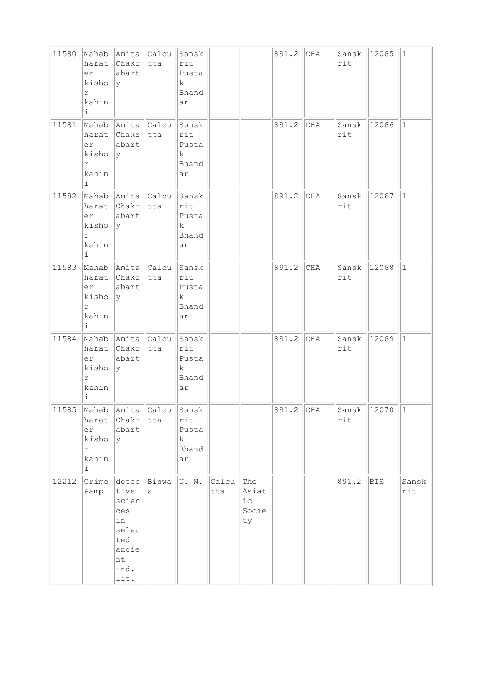| 11580 | harat<br>er<br>kisho<br>r<br>kahin<br>i.                  | Mahab Amita Calcu Sansk<br>∥Chakr  tta<br>abart<br>$\ Y\ $                               |     | rit<br>Pusta<br>$\mathbf{k}$<br>Bhand<br>ar |              |                                                        | 891.2       | CHA | rit                | Sansk 12065 1            |              |
|-------|-----------------------------------------------------------|------------------------------------------------------------------------------------------|-----|---------------------------------------------|--------------|--------------------------------------------------------|-------------|-----|--------------------|--------------------------|--------------|
| 11581 | harat<br>er<br>kisho<br>$\Upsilon$<br>kahin<br>i.         | Mahab Amita Calcu<br>$ {\rm Chakr} $ tta<br>abart<br> y                                  |     | Sansk<br>rit<br>Pusta<br>k<br>Bhand<br>ar   |              |                                                        | 891.2       | CHA | Sansk 12066<br>rit |                          | $\mathbf{1}$ |
| 11582 | er<br>kisho<br>r<br>kahin<br>i.                           | Mahab Amita Calcu Sansk<br>harat Chakr tta<br>abart<br> y                                |     | rit<br>Pusta<br>$\mathbf k$<br>Bhand<br>ar  |              |                                                        | 891.2       | CHA | Sansk 12067<br>rit |                          | $\mathbf{1}$ |
| 11583 | er<br>kisho<br>r<br>kahin<br>i.                           | Mahab Amita Calcu Sansk<br>harat Chakr tta<br>abart<br> y                                |     | rit<br>Pusta<br>k<br>Bhand<br>ar            |              |                                                        | 891.2       | CHA | Sansk 12068<br>rit |                          | $\vert$ 1    |
|       | harat<br>er<br>kisho<br>r<br>kahin<br>i.                  | 11584 Mahab Amita Calcu<br>Chakr tta<br>abart<br> y                                      |     | Sansk<br>rit<br>Pusta<br>k<br>Bhand<br>ar   |              |                                                        | 891.2       | CHA | Sansk 12069<br>rit |                          | $\vert$ 1    |
|       | harat<br>er<br>kisho<br>r<br>kahin<br>$\dot{\mathbbm{1}}$ | 11585 Mahab Amita Calcu Sansk<br>Chakr<br>abart<br>У                                     | tta | rit<br>Pusta<br>k<br>Bhand<br>ar            |              |                                                        | $891.2$ CHA |     | rit                | $ {\tt Sansk}  12070  1$ |              |
| 12212 | Crime<br>& amp                                            | detec Biswa<br>tive<br>scien<br>ces<br>in<br>selec<br>ted<br>ancie<br>nt<br>ind.<br>lit. | S   | U. N.                                       | Calcu<br>tta | The<br>Asiat<br>${\rm i\hskip 0.5mm} c$<br>Socie<br>ty |             |     | 891.2              | <b>BIS</b>               | Sansk<br>rit |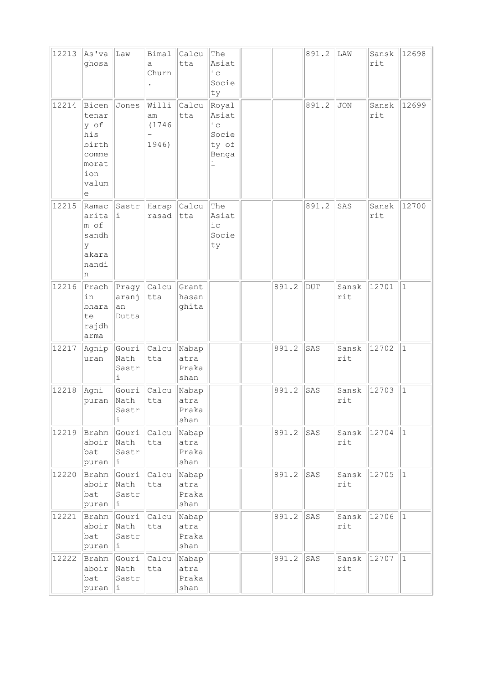| 12213 | As'va<br>ghosa                                                                | Law                           | Bimal<br>a<br>Churn           | Calcu<br>tta                   | The<br>Asiat<br>i c<br>Socie<br>ty                    |       | 891.2 | LAW          | Sansk<br>rit | 12698        |
|-------|-------------------------------------------------------------------------------|-------------------------------|-------------------------------|--------------------------------|-------------------------------------------------------|-------|-------|--------------|--------------|--------------|
| 12214 | Bicen<br>tenar<br>y of<br>his<br>birth<br>comme<br>morat<br>ion<br>valum<br>е | Jones                         | Willi<br>am<br>(1746<br>1946) | Calcu<br>tta                   | Royal<br>Asiat<br>i c<br>Socie<br>ty of<br>Benga<br>ı |       | 891.2 | <b>JON</b>   | Sansk<br>rit | 12699        |
| 12215 | Ramac<br>arita<br>m of<br>sandh<br>У<br>akara<br>nandi<br>n                   | Sastr<br>i                    | Harap<br>rasad                | Calcu<br> tta                  | The<br>Asiat<br>i c<br>Socie<br>ty                    |       | 891.2 | SAS          | Sansk<br>rit | 12700        |
| 12216 | Prach<br>in<br>bhara<br>te<br>rajdh<br>arma                                   | Pragy<br>aranj<br>an<br>Dutta | Calcu<br>tta                  | Grant<br>hasan<br>ghita        |                                                       | 891.2 | DUT   | Sansk<br>rit | 12701        | $\vert$ 1    |
| 12217 | Agnip<br>uran                                                                 | Gouri<br>Nath<br>Sastr<br>i   | <b>Calcu</b><br>tta           | Nabap<br>atra<br>Praka<br>shan |                                                       | 891.2 | SAS   | Sansk<br>rit | 12702        | $\vert$ 1    |
| 12218 | Agni<br>puran                                                                 | Gouri<br>Nath<br>Sastr<br>i   | Calcu<br>tta                  | Nabap<br>atra<br>Praka<br>shan |                                                       | 891.2 | SAS   | Sansk<br>rit | 12703        | $\vert$ 1    |
| 12219 | Brahm<br>aboir<br>bat<br>puran                                                | Gouri<br>Nath<br>Sastr<br>Ιi. | Calcu<br>tta                  | Nabap<br>atra<br>Praka<br>shan |                                                       | 891.2 | SAS   | Sansk<br>rit | 12704        | $\vert$ 1    |
| 12220 | Brahm<br>aboir<br>bat<br>puran                                                | Gouri<br>Nath<br>Sastr<br>i,  | Calcu<br>tta                  | Nabap<br>atra<br>Praka<br>shan |                                                       | 891.2 | SAS   | Sansk<br>rit | 12705        | $\vert$ 1    |
| 12221 | Brahm<br>aboir<br>bat<br>puran                                                | Gouri<br>Nath<br>Sastr<br>i   | Calcu<br>tta                  | Nabap<br>atra<br>Praka<br>shan |                                                       | 891.2 | SAS   | Sansk<br>rit | 12706        | $ 1\rangle$  |
| 12222 | Brahm<br>aboir<br>bat<br>puran                                                | Gouri<br>Nath<br>Sastr<br>Ιi. | Calcu<br>tta                  | Nabap<br>atra<br>Praka<br>shan |                                                       | 891.2 | SAS   | Sansk<br>rit | 12707        | $\mathbf{1}$ |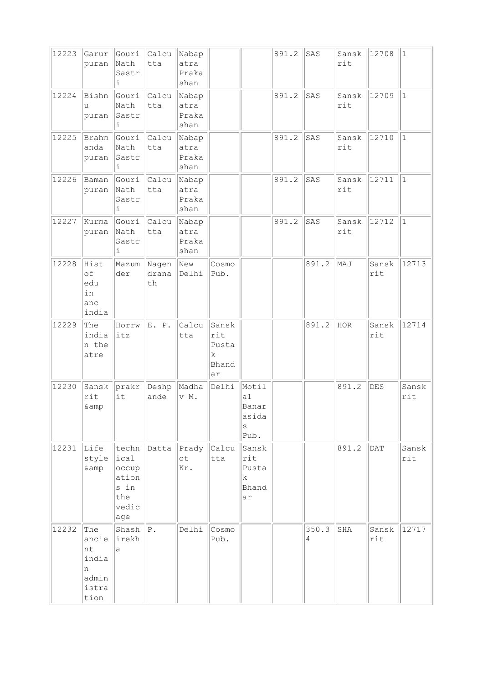| 12223 | Garur<br>puran                                             | Gouri<br>Nath<br>Sastr<br>i                           | Calcu Nabap<br>tta   | atra<br>Praka<br>shan          |                                           |                                            | 891.2 | SAS        | Sansk<br>rit | 12708        | $\vert$ 1    |
|-------|------------------------------------------------------------|-------------------------------------------------------|----------------------|--------------------------------|-------------------------------------------|--------------------------------------------|-------|------------|--------------|--------------|--------------|
| 12224 | Bishn<br>u<br>puran                                        | Gouri<br>Nath<br>Sastr<br>i                           | Calcu<br>tta         | Nabap<br>atra<br>Praka<br>shan |                                           |                                            | 891.2 | SAS        | Sansk<br>rit | 12709        | $\mathbf{1}$ |
| 12225 | Brahm<br>anda<br>puran                                     | Gouri<br>Nath<br>Sastr<br>i                           | Calcu<br>tta         | Nabap<br>atra<br>Praka<br>shan |                                           |                                            | 891.2 | SAS        | Sansk<br>rit | 12710        | $1\,$        |
| 12226 | Baman<br>puran                                             | Nath<br>Sastr<br>i                                    | Gouri Calcu<br>tta   | Nabap<br>atra<br>Praka<br>shan |                                           |                                            | 891.2 | SAS        | Sansk<br>rit | 12711        | $\mathbf{1}$ |
| 12227 | Kurma<br>puran                                             | Gouri<br>Nath<br>Sastr<br>i                           | Calcu<br>tta         | Nabap<br>atra<br>Praka<br>shan |                                           |                                            | 891.2 | SAS        | Sansk<br>rit | 12712        | $\vert$ 1    |
| 12228 | Hist<br>of<br>edu<br>in<br>anc<br>india                    | Mazum<br>der                                          | Nagen<br>drana<br>th | New<br>Delhi                   | Cosmo<br>Pub.                             |                                            |       | 891.2      | MAJ          | Sansk<br>rit | 12713        |
| 12229 | The<br>india<br>n the<br>atre                              | Horrw<br>itz                                          | E. P.                | Calcu<br>tta                   | Sansk<br>rit<br>Pusta<br>k<br>Bhand<br>ar |                                            |       | 891.2      | <b>HOR</b>   | Sansk<br>rit | 12714        |
| 12230 | Sansk<br>rit<br>& amp                                      | prakr<br>it                                           | Deshp<br>ande        | Madha<br>v M.                  | Delhi                                     | Motil<br>al<br>Banar<br>asida<br>S<br>Pub. |       |            | 891.2        | <b>DES</b>   | Sansk<br>rit |
| 12231 | Life<br>style<br>& amp                                     | ical<br>occup<br>ation<br>s in<br>the<br>vedic<br>age | techn Datta          | Prady<br>ot<br>Kr.             | Calcu<br>tta                              | Sansk<br>rit<br>Pusta<br>k.<br>Bhand<br>ar |       |            | 891.2        | <b>DAT</b>   | Sansk<br>rit |
| 12232 | The<br>ancie<br>nt<br>india<br>n<br>admin<br>istra<br>tion | Shash<br>irekh<br>a                                   | $ P$ .               | Delhi                          | Cosmo<br>Pub.                             |                                            |       | 350.3<br>4 | SHA          | Sansk<br>rit | 12717        |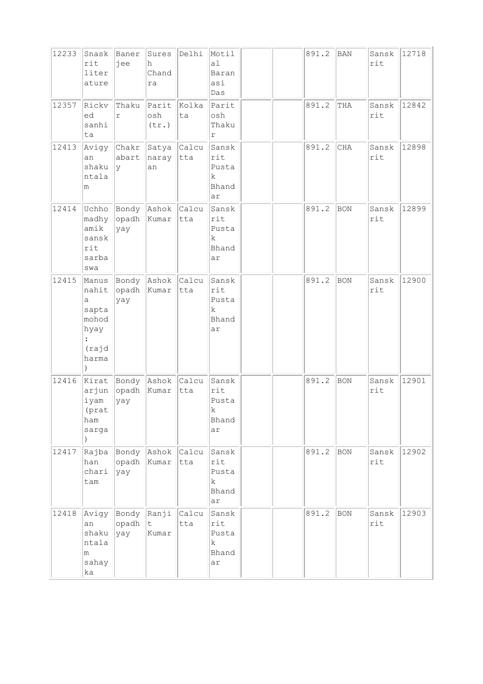| 12233 | Snask<br>rit<br>liter<br>ature                                                    | Baner<br>jee          | h<br>Chand<br>ra                     | Sures Delhi  | Motil<br>al<br>Baran<br>asi<br>Das                  |  | 891.2 | BAN        | Sansk<br>rit | 12718 |
|-------|-----------------------------------------------------------------------------------|-----------------------|--------------------------------------|--------------|-----------------------------------------------------|--|-------|------------|--------------|-------|
| 12357 | Rickv<br>ed<br>sanhi<br>ta                                                        | Thaku<br>r            | Parit Kolka<br>osh<br>(tr.)          | ta           | Parit<br>osh<br>Thaku<br>$\Upsilon$                 |  | 891.2 | THA        | Sansk<br>rit | 12842 |
| 12413 | Avigy<br>an<br>shaku<br>ntala<br>m                                                | abart<br> y           | Chakr Satya Calcu<br>naray tta<br>an |              | Sansk<br>rit<br>Pusta<br>k<br>Bhand<br>ar           |  | 891.2 | CHA        | Sansk<br>rit | 12898 |
| 12414 | madhy<br>amik<br>sansk<br>rit<br>sarba<br>swa                                     | $ $ opadh<br>yay      | Uchho Bondy Ashok Calcu<br>Kumar     | tta          | Sansk<br>rit<br>Pusta<br>k<br>Bhand<br>ar           |  | 891.2 | <b>BON</b> | Sansk<br>rit | 12899 |
| 12415 | Manus<br>nahit<br>а<br>sapta<br>mohod<br>hyay<br>$\ddot{\cdot}$<br>(rajd<br>harma | opadh<br>yay          | Bondy Ashok Calcu<br>Kumar           | tta          | Sansk<br>rit<br>Pusta<br>k<br>Bhand<br>ar           |  | 891.2 | <b>BON</b> | Sansk<br>rit | 12900 |
| 12416 | arjun<br>iyam<br>(prat<br>ham<br>sarga                                            | opadh Kumar<br>yay    | Kirat Bondy Ashok Calcu              | tta          | Sansk<br>rit<br>Pusta<br>$\mathbf k$<br>Bhand<br>ar |  | 891.2 | BON        | Sansk<br>rit | 12901 |
| 12417 | Rajba<br>han<br>chari<br>tam                                                      | Bondy<br>opadh<br>yay | Ashok Calcu<br>Kumar                 | tta          | Sansk<br>rit<br>Pusta<br>k<br>Bhand<br>ar           |  | 891.2 | BON        | Sansk<br>rit | 12902 |
| 12418 | Avigy<br>an<br>shaku<br>ntala<br>m<br>sahay<br>ka                                 | Bondy<br>opadh<br>yay | Ranji<br>$\ $ t<br>Kumar             | Calcu<br>tta | Sansk<br>rit<br>Pusta<br>$\mathbf k$<br>Bhand<br>ar |  | 891.2 | BON        | Sansk<br>rit | 12903 |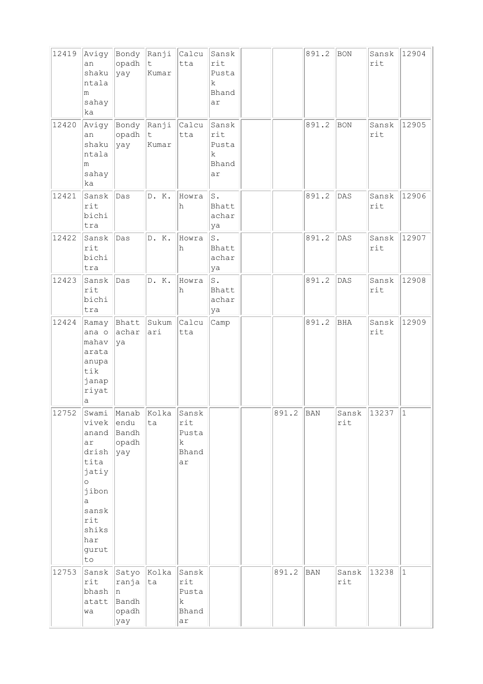| 12419 | Avigy<br>an<br>shaku<br>ntala<br>m<br>sahay<br>ka                                                                               | Bondy Ranji<br>opadh<br>yay                       | $\mathsf t$<br>Kumar          | Calcu<br>tta                                        | Sansk<br>rit<br>Pusta<br>k.<br>Bhand<br>ar            |       | 891.2      | BON            | Sansk<br>rit | 12904     |
|-------|---------------------------------------------------------------------------------------------------------------------------------|---------------------------------------------------|-------------------------------|-----------------------------------------------------|-------------------------------------------------------|-------|------------|----------------|--------------|-----------|
| 12420 | Avigy<br>an<br>shaku<br>ntala<br>m<br>sahay<br>ka                                                                               | Bondy<br>opadh<br>yay                             | Ranji<br>$\mathsf t$<br>Kumar | Calcu<br>tta                                        | Sansk<br>rit<br>Pusta<br>$\rm k$<br>Bhand<br>ar       |       | 891.2      | BON            | Sansk<br>rit | 12905     |
| 12421 | Sansk<br>rit<br>bichi<br>tra                                                                                                    | Das                                               | D. K.                         | Howra<br>h                                          | $S$ .<br>Bhatt<br>achar<br>ya                         |       | 891.2      | $\mathtt{DAS}$ | Sansk<br>rit | 12906     |
| 12422 | Sansk<br>rit<br>bichi<br>tra                                                                                                    | Das                                               | D. K.                         | Howra<br>h                                          | $\operatorname{\mathsf{S}}$ .<br>Bhatt<br>achar<br>ya |       | 891.2      | DAS            | Sansk<br>rit | 12907     |
| 12423 | Sansk<br>rit<br>bichi<br>tra                                                                                                    | Das                                               | D. K.                         | Howra<br>h                                          | $\texttt{S}$ .<br>Bhatt<br>achar<br>ya                |       | 891.2      | DAS            | Sansk<br>rit | 12908     |
| 12424 | Ramay<br>ana o<br>mahav<br>arata<br>anupa<br>tik<br>janap<br>riyat<br>а                                                         | Bhatt<br>achar<br>ya                              | Sukum<br>ari                  | Calcu<br>tta                                        | Camp                                                  |       | 891.2      | <b>BHA</b>     | Sansk<br>rit | 12909     |
| 12752 | Swami<br>vivek<br>anand<br>ar<br>drish<br>tita<br>jatiy<br>$\circ$<br>jibon<br>a<br>sansk<br>rit<br>shiks<br>har<br>gurut<br>to | Manab<br>endu<br>Bandh<br>opadh<br> yay           | Kolka<br>ta                   | Sansk<br>rit<br>Pusta<br>$\mathbf k$<br>Bhand<br>ar |                                                       | 891.2 | BAN        | Sansk<br>rit   | 13237        | $\vert$ 1 |
| 12753 | Sansk<br>rit<br>bhash<br>atatt<br>wa                                                                                            | Satyo<br>ranja ta<br>In.<br>Bandh<br>opadh<br>yay | Kolka                         | Sansk<br>rit<br>Pusta<br>$\mathbf k$<br>Bhand<br>ar |                                                       | 891.2 | <b>BAN</b> | Sansk<br>rit   | 13238        | $\vert$ 1 |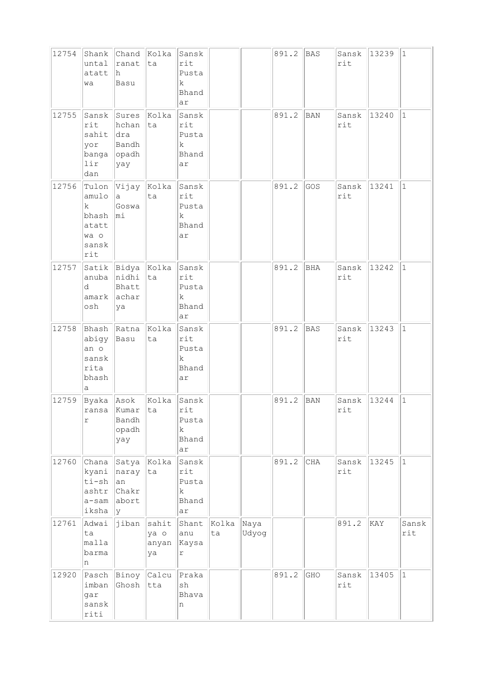| 12754 | Shank<br>untal<br>atatt<br>wa                                  | ranat<br>h<br>Basu                                    | Chand Kolka<br>ta                  | Sansk<br>rit<br>Pusta<br>k<br>Bhand<br>ar           |             |               | 891.2 | <b>BAS</b> | Sansk<br>rit | 13239 | $ 1\rangle$  |
|-------|----------------------------------------------------------------|-------------------------------------------------------|------------------------------------|-----------------------------------------------------|-------------|---------------|-------|------------|--------------|-------|--------------|
| 12755 | Sansk<br>rit<br>sahit<br>yor<br>lir<br>dan                     | Sures<br>hchan<br> dra<br>Bandh<br>banga opadh<br>yay | Kolka<br>ta                        | Sansk<br>rit<br>Pusta<br>k<br>Bhand<br>ar           |             |               | 891.2 | BAN        | Sansk<br>rit | 13240 | $\mathbf{1}$ |
| 12756 | Tulon<br>amulo<br>k.<br>bhash<br>atatt<br>wa o<br>sansk<br>rit | $\ $ Vijay $\ $ Kolka<br>a<br>Goswa<br>$ m_1$         | ta                                 | Sansk<br>rit<br>Pusta<br>k<br>Bhand<br>ar           |             |               | 891.2 | GOS        | Sansk<br>rit | 13241 | $\mathbf{1}$ |
| 12757 | anuba<br>d<br>amark<br>osh                                     | Satik Bidya Kolka<br>nidhi ta<br>Bhatt<br>achar<br>ya |                                    | Sansk<br>rit<br>Pusta<br>k<br>Bhand<br>ar           |             |               | 891.2 | BHA        | Sansk<br>rit | 13242 | $\mathbf{1}$ |
| 12758 | abigy<br>an o<br>sansk<br>rita<br>bhash<br>а                   | Bhash Ratna Kolka<br>Basu                             | ta                                 | Sansk<br>rit<br>Pusta<br>$\mathbf k$<br>Bhand<br>ar |             |               | 891.2 | <b>BAS</b> | Sansk<br>rit | 13243 | $\mathbf{1}$ |
| 12759 | Byaka Asok<br>r                                                | ransa Kumar Ita<br>Bandh<br>opadh<br>yay              | Kolka                              | Sansk<br>rit<br>Pusta<br>$\mathbf k$<br>Bhand<br>ar |             |               | 891.2 | <b>BAN</b> | Sansk<br>rit | 13244 | $\mathbf{1}$ |
| 12760 | Chana<br>kyani<br>ti-sh<br>ashtr<br>a-sam<br>iksha             | naray<br>an<br>Chakr<br>abort<br>Ιy                   | Satya   Kolka<br>ta                | Sansk<br>rit<br>Pusta<br>k<br>Bhand<br>ar           |             |               | 891.2 | CHA        | Sansk<br>rit | 13245 | $\mathbf{1}$ |
| 12761 | Adwai<br>ta<br>malla<br>barma<br>n                             |                                                       | jiban sahit<br>ya o<br>anyan<br>ya | Shant<br>anu<br>Kaysa<br>$\Upsilon$                 | Kolka<br>ta | Naya<br>Udyog |       |            | 891.2        | KAY   | Sansk<br>rit |
| 12920 | imban<br>gar<br>sansk<br>riti                                  | Pasch Binoy Calcu<br>Ghosh                            | tta                                | Praka<br>$\operatorname{sh}$<br>Bhava<br>n          |             |               | 891.2 | GHO        | Sansk<br>rit | 13405 | $\mathbf{1}$ |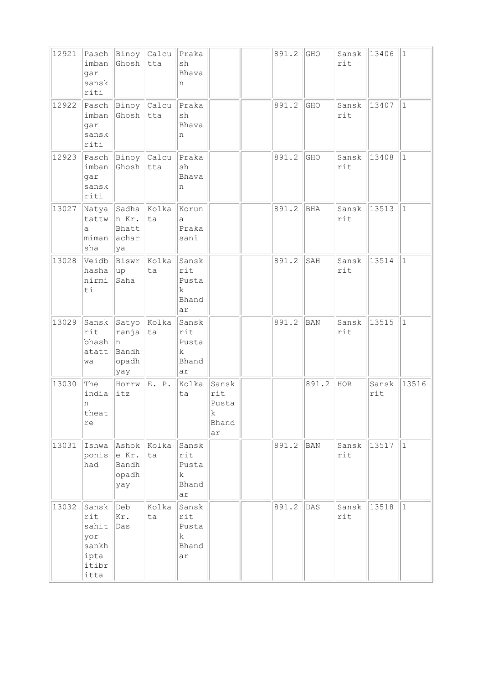| 12921 | imban<br>gar<br>sansk<br>riti                                  | Ghosh                                          | Pasch Binoy Calcu Praka<br> tta | sh<br>Bhava<br>n                                    |                                           | 891.2 | GHO        | Sansk<br>rit | 13406        | $ 1\rangle$ |
|-------|----------------------------------------------------------------|------------------------------------------------|---------------------------------|-----------------------------------------------------|-------------------------------------------|-------|------------|--------------|--------------|-------------|
| 12922 | imban<br>gar<br>sansk<br>riti                                  | Pasch Binoy Calcu<br>Ghosh                     | tta                             | Praka<br>$\operatorname{sh}$<br>Bhava<br>n          |                                           | 891.2 | GHO        | Sansk<br>rit | 13407        | $\vert$ 1   |
| 12923 | imban<br>gar<br>sansk<br>riti                                  | Ghosh tta                                      | Pasch Binoy Calcu Praka         | sh<br>Bhava<br>n                                    |                                           | 891.2 | GHO        | Sansk<br>rit | 13408        | $\vert$ 1   |
| 13027 | Natya<br>tattw<br>a<br>miman<br>sha                            | Sadha Kolka<br>n Kr.<br>Bhatt<br>achar<br>ya   | ta                              | Korun<br>a<br>Praka<br>sani                         |                                           | 891.2 | BHA        | Sansk<br>rit | 13513        | $\vert$ 1   |
| 13028 | Veidb<br>hasha<br>nirmi<br>ti                                  | Biswr<br> up <br>Saha                          | Kolka<br>ta                     | Sansk<br>rit<br>Pusta<br>$\mathbf k$<br>Bhand<br>ar |                                           | 891.2 | SAH        | Sansk<br>rit | 13514        | $\vert$ 1   |
| 13029 | Sansk<br>rit<br>bhash<br>atatt<br>wa                           | Satyo<br>ranja<br>In.<br>Bandh<br>opadh<br>yay | Kolka<br> ta                    | Sansk<br>rit<br>Pusta<br>k<br>Bhand<br>ar           |                                           | 891.2 | <b>BAN</b> | Sansk<br>rit | 13515        | $\vert$ 1   |
| 13030 | The<br>india<br>n<br>theat<br>re                               | Horrw<br>itz                                   | E. P.                           | Kolka<br>ta                                         | Sansk<br>rit<br>Pusta<br>k<br>Bhand<br>ar |       | 891.2      | HOR          | Sansk<br>rit | 13516       |
| 13031 | Ishwa<br>ponis<br>had                                          | Ashok<br>e Kr.<br>Bandh<br>opadh<br>yay        | Kolka<br>ta                     | Sansk<br>rit<br>Pusta<br>$\mathbf k$<br>Bhand<br>ar |                                           | 891.2 | <b>BAN</b> | Sansk<br>rit | 13517        | $ 1\rangle$ |
| 13032 | Sansk<br>rit<br>sahit<br>yor<br>sankh<br>ipta<br>itibr<br>itta | Deb<br>Kr.<br>Das                              | Kolka<br>ta                     | Sansk<br>rit<br>Pusta<br>k<br>Bhand<br>ar           |                                           | 891.2 | DAS        | Sansk<br>rit | 13518        | $ 1\rangle$ |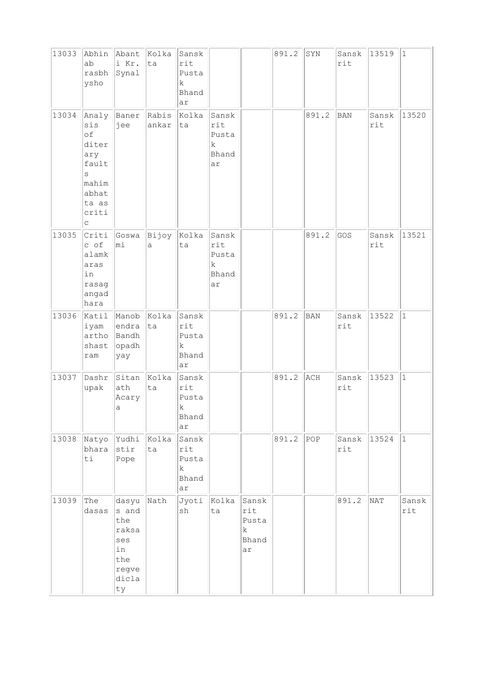| 13033 | Abhin<br>ab<br>rasbh<br>ysho                                                              | Abant<br>i Kr.<br>Synal                                                    | Kolka<br>ta    | Sansk<br>rit<br>Pusta<br>k<br>Bhand<br>ar           |                                           |                                           | 891.2 | SYN   | Sansk<br>rit | 13519        | $\vert$ 1    |
|-------|-------------------------------------------------------------------------------------------|----------------------------------------------------------------------------|----------------|-----------------------------------------------------|-------------------------------------------|-------------------------------------------|-------|-------|--------------|--------------|--------------|
| 13034 | Analy<br>sis<br>of<br>diter<br>ary<br>fault<br>S<br>mahim<br>abhat<br>ta as<br>criti<br>C | Baner<br>jee                                                               | Rabis<br>ankar | Kolka<br>ta                                         | Sansk<br>rit<br>Pusta<br>k<br>Bhand<br>ar |                                           |       | 891.2 | <b>BAN</b>   | Sansk<br>rit | 13520        |
| 13035 | Criti<br>c of<br>alamk<br>aras<br>in<br>rasag<br>angad<br>hara                            | Goswa<br>mi                                                                | Bijoy<br>a     | Kolka<br>ta                                         | Sansk<br>rit<br>Pusta<br>k<br>Bhand<br>ar |                                           |       | 891.2 | GOS          | Sansk<br>rit | 13521        |
| 13036 | Katil<br>iyam<br>artho<br>shast<br>ram                                                    | Manob<br>endra<br>Bandh<br>opadh<br>yay                                    | Kolka<br> ta   | Sansk<br>rit<br>Pusta<br>k<br>Bhand<br>ar           |                                           |                                           | 891.2 | BAN   | Sansk<br>rit | 13522        | $\vert$ 1    |
| 13037 | Dashr<br>upak                                                                             | Sitan<br>ath<br>Acary<br>а                                                 | Kolka<br>ta    | Sansk<br>rit<br>Pusta<br>k<br>Bhand<br>ar           |                                           |                                           | 891.2 | ACH   | Sansk<br>rit | 13523        | $\vert$ 1    |
| 13038 | Natyo<br>bhara<br>ti                                                                      | Yudhi<br>stir<br>Pope                                                      | Kolka<br>ta    | Sansk<br>rit<br>Pusta<br>$\mathbf k$<br>Bhand<br>ar |                                           |                                           | 891.2 | POP   | Sansk<br>rit | 13524        | $\vert$ 1    |
| 13039 | The<br>dasas                                                                              | dasyu<br>s and<br>the<br>raksa<br>ses<br>in<br>the<br>regve<br>dicla<br>ty | Nath           | Jyoti<br>sh                                         | Kolka<br>ta                               | Sansk<br>rit<br>Pusta<br>k<br>Bhand<br>ar |       |       | 891.2        | NAT          | Sansk<br>rit |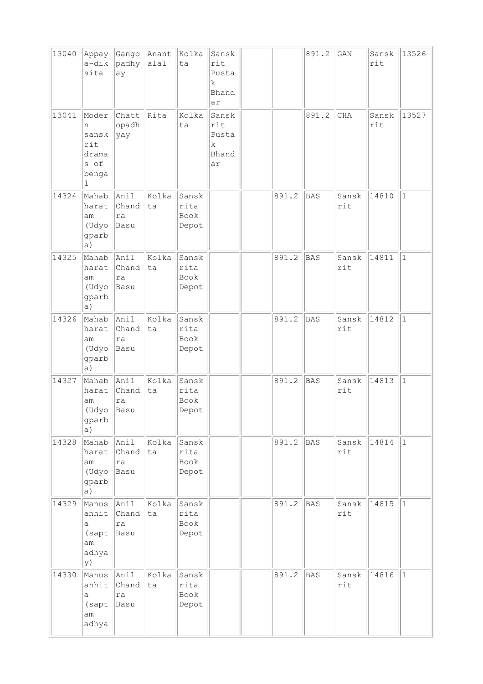| 13040 | Appay<br>a-dik<br>sita                                    | Gango<br>padhy<br>ay        | Anant<br>alal | Kolka<br>ta                    | Sansk<br>rit<br>Pusta<br>k<br>Bhand<br>ar           |       | 891.2      | GAN          | Sansk<br>rit | 13526        |
|-------|-----------------------------------------------------------|-----------------------------|---------------|--------------------------------|-----------------------------------------------------|-------|------------|--------------|--------------|--------------|
| 13041 | Moder<br>n<br>sansk<br>rit<br>drama<br>s of<br>benga<br>ı | Chatt<br>opadh<br> yay      | Rita          | Kolka<br>ta                    | Sansk<br>rit<br>Pusta<br>$\mathbf k$<br>Bhand<br>ar |       | 891.2      | CHA          | Sansk<br>rit | 13527        |
| 14324 | Mahab<br>harat<br>am<br>(Udyo<br>gparb<br>a)              | Anil<br>Chand<br>ra<br>Basu | Kolka<br>ta   | Sansk<br>rita<br>Book<br>Depot |                                                     | 891.2 | BAS        | Sansk<br>rit | 14810        | $\mathbf{1}$ |
| 14325 | Mahab<br>harat<br>am<br>(Udyo<br>gparb<br>a)              | Anil<br>Chand<br>ra<br>Basu | Kolka<br>ta   | Sansk<br>rita<br>Book<br>Depot |                                                     | 891.2 | <b>BAS</b> | Sansk<br>rit | 14811        | $\mathbf 1$  |
| 14326 | Mahab<br>harat<br>am<br>(Udyo<br>gparb<br>a)              | Anil<br>Chand<br>ra<br>Basu | Kolka<br>ta   | Sansk<br>rita<br>Book<br>Depot |                                                     | 891.2 | <b>BAS</b> | Sansk<br>rit | 14812        | $\mathbf{1}$ |
| 14327 | Mahab<br>harat<br>am<br>(Udyo<br>gparb<br>a)              | Anil<br>Chand<br>ra<br>Basu | Kolka<br>ta   | Sansk<br>rita<br>Book<br>Depot |                                                     | 891.2 | <b>BAS</b> | Sansk<br>rit | 14813        | $\mathbf{1}$ |
| 14328 | Mahab<br>harat<br>am<br>(Udyo<br>gparb<br>a)              | Anil<br>Chand<br>ra<br>Basu | Kolka<br>ta   | Sansk<br>rita<br>Book<br>Depot |                                                     | 891.2 | <b>BAS</b> | Sansk<br>rit | 14814        | $\mathbf{1}$ |
| 14329 | Manus<br>anhit<br>а<br>(sapt<br>am<br>adhya<br>y)         | Anil<br>Chand<br>ra<br>Basu | Kolka<br>ta   | Sansk<br>rita<br>Book<br>Depot |                                                     | 891.2 | <b>BAS</b> | Sansk<br>rit | 14815        | $\mathbf{1}$ |
| 14330 | Manus Anil<br>anhit<br>а<br>(sapt<br>am<br>adhya          | Chand<br> ra<br>Basu        | Kolka<br>ta   | Sansk<br>rita<br>Book<br>Depot |                                                     | 891.2 | <b>BAS</b> | Sansk<br>rit | 14816        | $\mathbf{1}$ |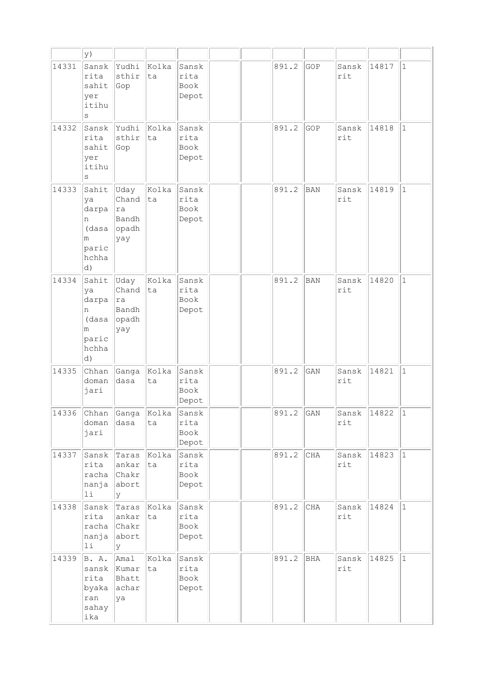|       | y)                                                               |                                              |             |                                |  |       |            |              |                 |              |
|-------|------------------------------------------------------------------|----------------------------------------------|-------------|--------------------------------|--|-------|------------|--------------|-----------------|--------------|
| 14331 | Sansk<br>rita<br>sahit<br>yer<br>itihu<br>S                      | Yudhi<br>sthir<br>Gop                        | Kolka<br>ta | Sansk<br>rita<br>Book<br>Depot |  | 891.2 | GOP        | Sansk<br>rit | 14817           | $\mathbf{1}$ |
| 14332 | Sansk<br>rita<br>sahit<br>yer<br>itihu<br>S                      | Yudhi<br>sthir<br>Gop                        | Kolka<br>ta | Sansk<br>rita<br>Book<br>Depot |  | 891.2 | GOP        | Sansk<br>rit | 14818           | $\mathbf{1}$ |
| 14333 | Sahit<br>lya<br>darpa<br>n<br>(dasa<br>m<br>paric<br>hchha<br>d) | Uday<br>Chand<br>ra<br>Bandh<br>opadh<br>yay | Kolka<br>ta | Sansk<br>rita<br>Book<br>Depot |  | 891.2 | BAN        | Sansk<br>rit | 14819           | $\mathbf{1}$ |
| 14334 | Sahit<br>ya<br>darpa<br>n<br>(dasa<br>m<br>paric<br>hchha<br> d) | Uday<br>Chand<br>ra<br>Bandh<br>opadh<br>yay | Kolka<br>ta | Sansk<br>rita<br>Book<br>Depot |  | 891.2 | <b>BAN</b> | Sansk<br>rit | 14820           | $\mathbf{1}$ |
| 14335 | Chhan<br>doman<br>jari                                           | Ganga<br>dasa                                | Kolka<br>ta | Sansk<br>rita<br>Book<br>Depot |  | 891.2 | GAN        | Sansk<br>rit | 14821           | $\mathbf{1}$ |
| 14336 | <b>Chhan</b><br>doman<br>jari                                    | Ganga<br>dasa                                | Kolka<br>ta | Sansk<br>rita<br>Book<br>Depot |  | 891.2 | GAN        | Sansk<br>rit | $\boxed{14822}$ | $\vert$ 1    |
| 14337 | Sansk<br>rita<br>racha<br>nanja<br>$1\,\mathrm{i}$               | Taras<br>ankar<br>Chakr<br>abort<br>У        | Kolka<br>ta | Sansk<br>rita<br>Book<br>Depot |  | 891.2 | CHA        | Sansk<br>rit | 14823           | $\vert$ 1    |
| 14338 | Sansk<br>rita<br>racha<br>nanja<br>11                            | Taras<br>ankar<br>Chakr<br>abort<br>У        | Kolka<br>ta | Sansk<br>rita<br>Book<br>Depot |  | 891.2 | $\rm CHA$  | Sansk<br>rit | 14824           | $\mathbf{1}$ |
| 14339 | B. A.<br>sansk<br>rita<br>byaka<br>ran<br>sahay<br>ika           | Amal<br>Kumar<br>Bhatt<br>achar<br>ya        | Kolka<br>ta | Sansk<br>rita<br>Book<br>Depot |  | 891.2 | BHA        | Sansk<br>rit | 14825           | $\vert$ 1    |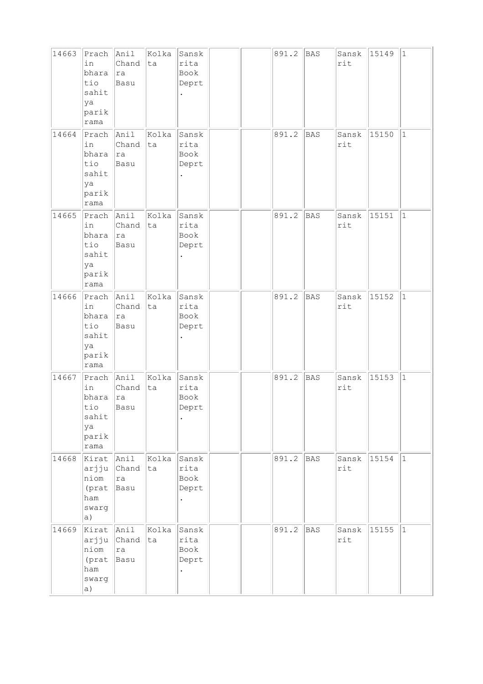| 14663 | Prach<br>in<br>bhara<br>tio<br>sahit<br>ya<br>parik<br>rama | Anil<br>Chand<br> ra<br>Basu        | Kolka<br>ta | Sansk<br>rita<br>Book<br>Deprt |  | 891.2 | BAS        | Sansk<br>rit | 15149 | $\vert$ 1    |
|-------|-------------------------------------------------------------|-------------------------------------|-------------|--------------------------------|--|-------|------------|--------------|-------|--------------|
| 14664 | Prach<br>in<br>bhara<br>tio<br>sahit<br>ya<br>parik<br>rama | Anil<br>Chand<br> ra<br>Basu        | Kolka<br>ta | Sansk<br>rita<br>Book<br>Deprt |  | 891.2 | <b>BAS</b> | Sansk<br>rit | 15150 | $\mathbf{1}$ |
| 14665 | Prach<br>in<br>bhara<br>tio<br>sahit<br>ya<br>parik<br>rama | Anil<br>Chand<br> ra<br>Basu        | Kolka<br>ta | Sansk<br>rita<br>Book<br>Deprt |  | 891.2 | <b>BAS</b> | Sansk<br>rit | 15151 | $\mathbf{1}$ |
| 14666 | Prach<br>in<br>bhara<br>tio<br>sahit<br>ya<br>parik<br>rama | Anil<br>Chand<br> ra<br>Basu        | Kolka<br>ta | Sansk<br>rita<br>Book<br>Deprt |  | 891.2 | <b>BAS</b> | Sansk<br>rit | 15152 | $\mathbf{1}$ |
| 14667 | Prach<br>in<br>bhara<br>tio<br>sahit<br>ya<br>parik<br>rama | Anil<br>Chand<br> ra<br>Basu        | Kolka<br>ta | Sansk<br>rita<br>Book<br>Deprt |  | 891.2 | <b>BAS</b> | Sansk<br>rit | 15153 | $1\,$        |
| 14668 | Kirat<br>arjju<br>niom<br>(prat<br>ham<br>swarg<br>a)       | Anil<br><b>Chand</b><br> ra<br>Basu | Kolka<br>ta | Sansk<br>rita<br>Book<br>Deprt |  | 891.2 | <b>BAS</b> | Sansk<br>rit | 15154 | $\mathbf{1}$ |
| 14669 | Kirat Anil<br>arjju<br>niom<br>(prat<br>ham<br>swarg<br>a)  | Chand<br>ra<br>Basu                 | Kolka<br>ta | Sansk<br>rita<br>Book<br>Deprt |  | 891.2 | BAS        | Sansk<br>rit | 15155 | $\mathbf{1}$ |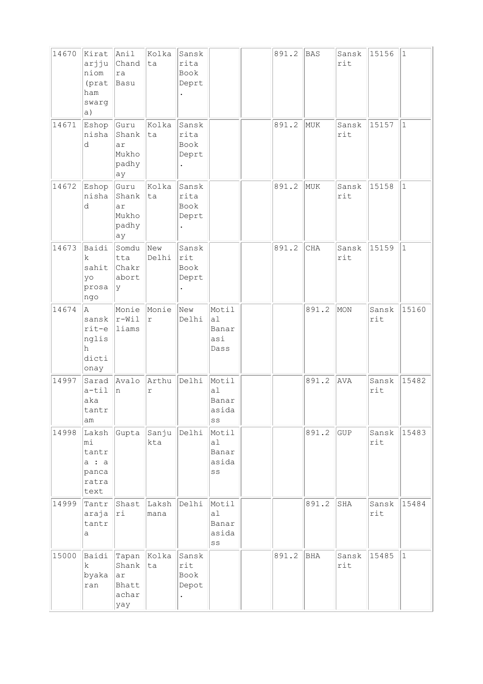| 14670 | Kirat<br>arjju<br>niom<br>(prat<br>ham<br>swarg<br>a)   | Anil<br>Chand<br>ra<br>Basu                         | Kolka<br>ta                     | Sansk<br>rita<br>Book<br>Deprt                         |                                                                       | 891.2 | <b>BAS</b> | Sansk<br>rit | 15156        | $\vert$ 1    |
|-------|---------------------------------------------------------|-----------------------------------------------------|---------------------------------|--------------------------------------------------------|-----------------------------------------------------------------------|-------|------------|--------------|--------------|--------------|
| 14671 | Eshop<br>nisha<br>d                                     | Guru<br>Shank<br>ar<br>Mukho<br>padhy<br>ay         | Kolka<br>ta                     | Sansk<br>rita<br>Book<br>Deprt<br>$\ddot{\phantom{0}}$ |                                                                       | 891.2 | MUK        | Sansk<br>rit | 15157        | $\mathbf{1}$ |
| 14672 | Eshop<br>nisha<br>d                                     | Guru<br>Shank<br>ar<br>Mukho<br>padhy<br>ay         | Kolka<br>ta                     | Sansk<br>rita<br>Book<br>Deprt                         |                                                                       | 891.2 | MUK        | Sansk<br>rit | 15158        | $\vert$ 1    |
| 14673 | Baidi<br>k<br>sahit<br>yo<br>prosa<br>ngo               | Somdu<br>tta<br>Chakr<br>abort<br><sup>y</sup>      | $\sqrt{N_{\text{ew}}}$<br>Delhi | Sansk<br>rit<br>Book<br>Deprt<br>$\ddot{\phantom{0}}$  |                                                                       | 891.2 | <b>CHA</b> | Sansk<br>rit | 15159        | $\vert$ 1    |
| 14674 | A.<br>sansk<br>$rit-e$<br>nglis<br>h<br>dicti<br>onay   | Monie<br>$\vert r-Wi1 \vert$<br>liams               | Monie<br>$\Upsilon$             | New<br>Delhi                                           | Motil<br>a1<br>Banar<br>asi<br>Dass                                   |       | 891.2      | MON          | Sansk<br>rit | 15160        |
| 14997 | Sarad<br>$a-til$<br>aka<br>tantr<br>am                  | Avalo<br>n                                          | Arthu<br>r                      | Delhi                                                  | Motil<br>a <sub>1</sub><br>Banar<br>asida<br>SS                       |       | 891.2      | AVA          | Sansk<br>rit | 15482        |
| 14998 | Laksh<br>mi<br>tantr<br>a : a<br>panca<br>ratra<br>text | Gupta                                               | Sanju<br>kta                    | Delhi                                                  | Motil<br>al<br>Banar<br>asida<br>$\mathbb{S}\,\mathbb{S}$             |       | 891.2      | GUP          | Sansk<br>rit | 15483        |
| 14999 | Tantr<br>araja<br>tantr<br>а                            | Shast<br>ri                                         | Laksh<br>mana                   | Delhi                                                  | Motil<br>a <sub>1</sub><br>Banar<br>asida<br>$\mathbb{S}\,\mathbb{S}$ |       | 891.2      | SHA          | Sansk<br>rit | 15484        |
| 15000 | Baidi<br>k.<br>byaka<br>ran                             | Tapan Kolka<br>Shank<br>ar<br>Bhatt<br>achar<br>yay | ta                              | Sansk<br>rit<br>Book<br>Depot                          |                                                                       | 891.2 | <b>BHA</b> | Sansk<br>rit | 15485        | $\vert$ 1    |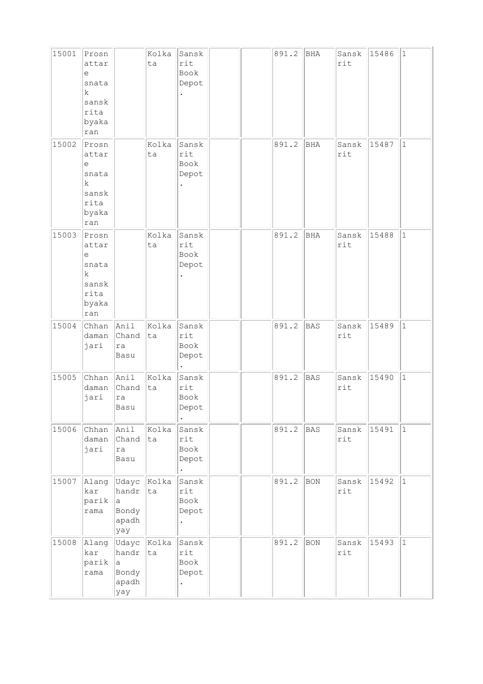| 15001 | Prosn<br>attar<br>e<br>snata<br>k<br>sansk<br>rita<br>byaka<br>ran                    |                                                | Kolka<br>ta | Sansk<br>rit<br>Book<br>Depot              |  | 891.2 | BHA        | Sansk<br>rit | 15486 | 1            |
|-------|---------------------------------------------------------------------------------------|------------------------------------------------|-------------|--------------------------------------------|--|-------|------------|--------------|-------|--------------|
| 15002 | Prosn<br>attar<br>е<br>snata<br>k<br>sansk<br>rita<br>byaka<br>ran                    |                                                | Kolka<br>ta | Sansk<br>rit<br>Book<br>Depot              |  | 891.2 | <b>BHA</b> | Sansk<br>rit | 15487 | $\mathbf{1}$ |
| 15003 | Prosn<br>attar<br>$\epsilon$<br>snata<br>$\mathbf k$<br>sansk<br>rita<br>byaka<br>ran |                                                | Kolka<br>ta | Sansk<br>rit<br>Book<br>Depot              |  | 891.2 | BHA        | Sansk<br>rit | 15488 | $1\,$        |
| 15004 | Chhan<br>daman<br>jari                                                                | Anil<br>Chand<br>ra<br>Basu                    | Kolka<br>ta | Sansk<br>rit<br>Book<br>Depot              |  | 891.2 | <b>BAS</b> | Sansk<br>rit | 15489 | $\vert$ 1    |
| 15005 | Chhan<br>daman<br>jari                                                                | Anil<br>Chand<br>ra<br>Basu                    | Kolka<br>ta | Sansk<br>rit<br>Book<br>Depot              |  | 891.2 | <b>BAS</b> | Sansk<br>rit | 15490 | $\vert$ 1    |
| 15006 | Chhan<br>daman<br>jari                                                                | Anil<br>Chand<br>ra<br>Basu                    | Kolka<br>ta | Sansk<br>rit<br>Book<br>Depot<br>$\bullet$ |  | 891.2 | <b>BAS</b> | Sansk<br>rit | 15491 | $ 1\rangle$  |
| 15007 | Alang<br>kar<br>parik<br>rama                                                         | Udayc<br>handr<br>la.<br>Bondy<br>apadh<br>yay | Kolka<br>ta | Sansk<br>rit<br>Book<br>Depot<br>$\bullet$ |  | 891.2 | BON        | Sansk<br>rit | 15492 | $\vert$ 1    |
| 15008 | Alang<br>kar<br>parik<br>rama                                                         | Udayc<br>handr<br>a<br>Bondy<br>apadh<br>yay   | Kolka<br>ta | Sansk<br>rit<br>Book<br>Depot              |  | 891.2 | BON        | Sansk<br>rit | 15493 | $ 1\rangle$  |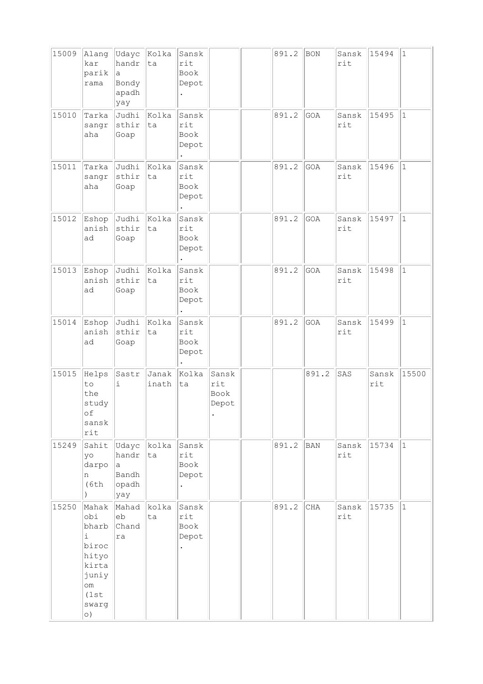| 15009 | Alang<br>kar<br>parik<br>rama                                                                            | Udayc<br>handr<br>a<br>Bondy<br>apadh<br>yay | Kolka<br>ta    | Sansk<br>rit<br>Book<br>Depot |                                      | 891.2 | <b>BON</b> | Sansk<br>rit            | 15494        | $\mathbf{1}$ |
|-------|----------------------------------------------------------------------------------------------------------|----------------------------------------------|----------------|-------------------------------|--------------------------------------|-------|------------|-------------------------|--------------|--------------|
| 15010 | Tarka<br>sangr<br>aha                                                                                    | Judhi<br>sthir<br>Goap                       | Kolka<br>ta    | Sansk<br>rit<br>Book<br>Depot |                                      | 891.2 | GOA        | Sansk<br>rit            | 15495        | $\mathbf{1}$ |
| 15011 | Tarka<br>sangr<br>aha                                                                                    | Judhi<br>sthir<br>Goap                       | Kolka<br>ta    | Sansk<br>rit<br>Book<br>Depot |                                      | 891.2 | GOA        | Sansk<br>rit            | 15496        | $\mathbf 1$  |
| 15012 | Eshop<br>anish<br>ad                                                                                     | Judhi<br>sthir<br>Goap                       | Kolka<br>ta    | Sansk<br>rit<br>Book<br>Depot |                                      | 891.2 | GOA        | Sansk<br>rit            | 15497        | $\mathbf 1$  |
| 15013 | Eshop<br>anish<br>ad                                                                                     | Judhi<br>sthir<br>Goap                       | Kolka<br>ta    | Sansk<br>rit<br>Book<br>Depot |                                      | 891.2 | GOA        | Sansk<br>rit            | 15498        | $\mathbf{1}$ |
| 15014 | Eshop<br>anish<br>ad                                                                                     | Judhi<br>sthir<br>Goap                       | Kolka<br>ta    | Sansk<br>rit<br>Book<br>Depot |                                      | 891.2 | GOA        | Sansk<br>rit            | 15499        | $\mathbf{1}$ |
| 15015 | Helps<br>to<br>the<br>study<br>оf<br>sansk<br>rit                                                        | Sastr<br>i                                   | Janak<br>inath | Kolka<br>ta                   | Sansk<br>rit<br><b>Book</b><br>Depot |       | 891.2      | SAS                     | Sansk<br>rit | 15500        |
| 15249 | Sahit<br>yo<br>darpo<br>n<br>(6th)                                                                       | Udayc<br>handr<br>a<br>Bandh<br>opadh<br>yay | kolka<br>ta    | Sansk<br>rit<br>Book<br>Depot |                                      | 891.2 | <b>BAN</b> | Sansk<br>$\texttt{rit}$ | 15734        | $\mathbf{1}$ |
| 15250 | Mahak<br>obj<br>bharb<br>i<br>biroc<br>hityo<br>kirta<br>juniy<br>$\circ$ m<br>(1st)<br>swarg<br>$\circ$ | Mahad<br>eb<br>Chand<br>ra                   | kolka<br>ta    | Sansk<br>rit<br>Book<br>Depot |                                      | 891.2 | $\rm CHA$  | Sansk<br>rit            | 15735        | $\mathbf{1}$ |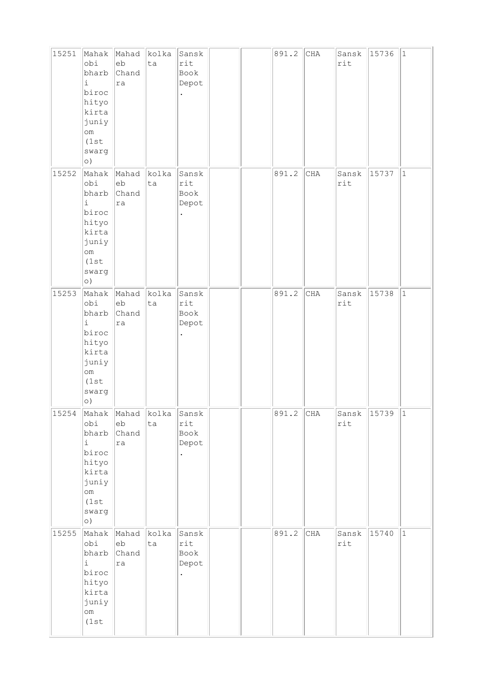| 15251 | Mahak<br>obi<br>bharb<br>$\dot{1}$<br>biroc<br>hityo<br>kirta<br>juniy<br>$\circ$ m<br>(1st)<br>swarg<br>$\circ)$          | Mahad<br>eb<br>Chand<br>ra | kolka<br>ta | Sansk<br>rit<br>Book<br>Depot                         |  | 891.2 | CHA | Sansk<br>rit | 15736 | $\vert$ 1    |
|-------|----------------------------------------------------------------------------------------------------------------------------|----------------------------|-------------|-------------------------------------------------------|--|-------|-----|--------------|-------|--------------|
| 15252 | Mahak<br>obj<br>bharb<br>$\dot{1}$<br>biroc<br>hityo<br>kirta<br>juniy<br>$\circ$ m<br>(1st<br>swarg<br>$\circ)$           | Mahad<br>eb<br>Chand<br>ra | kolka<br>ta | Sansk<br>rit<br>Book<br>Depot                         |  | 891.2 | CHA | Sansk<br>rit | 15737 | $\vert$ 1    |
| 15253 | Mahak<br>obi<br>bharb<br>$\dot{1}$<br>biroc<br>hityo<br>kirta<br>juniy<br>$\circ$ m<br>(1st)<br>swarg<br>$\circ)$          | Mahad<br>eb<br>Chand<br>ra | kolka<br>ta | Sansk<br>rit<br>Book<br>Depot                         |  | 891.2 | CHA | Sansk<br>rit | 15738 | $\mathbf{1}$ |
| 15254 | Mahak<br>obj<br>bharb<br>$\dot{\mathtt{l}}$<br>biroc<br>hityo<br>kirta<br>juniy<br>$\verb om $<br>(1st<br>swarg<br>$\circ$ | Mahad<br>eb<br>Chand<br>ra | kolka<br>ta | Sansk<br>$\texttt{rit}$<br>Book<br>Depot<br>$\bullet$ |  | 891.2 | CHA | Sansk<br>rit | 15739 | 1            |
| 15255 | Mahak<br>obi<br>bharb<br>$\dot{\mathbb{1}}$<br>biroc<br>hityo<br>kirta<br>juniy<br>$\circ$ m<br>(1st)                      | Mahad<br>eb<br>Chand<br>ra | kolka<br>ta | Sansk<br>rit<br>Book<br>Depot<br>$\bullet$            |  | 891.2 | CHA | Sansk<br>rit | 15740 | $\vert$ 1    |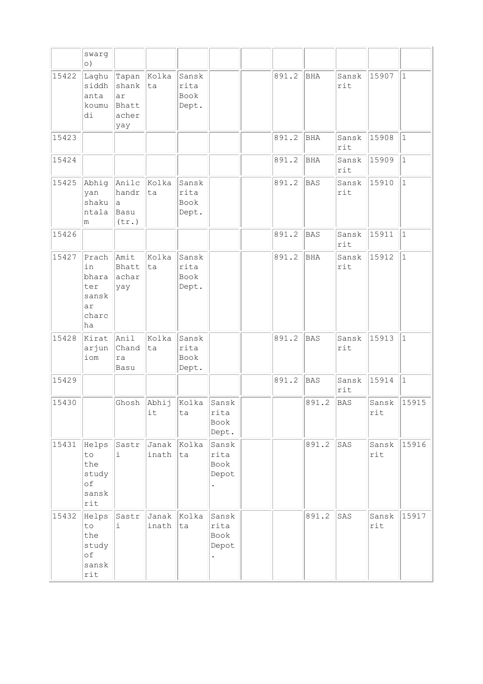|       | swarg<br>$\circ)$                                         |                                               |                      |                                |                                |       |            |              |              |              |
|-------|-----------------------------------------------------------|-----------------------------------------------|----------------------|--------------------------------|--------------------------------|-------|------------|--------------|--------------|--------------|
| 15422 | Laghu<br>siddh<br>anta<br>koumu<br>di                     | Tapan<br>shank<br>ar<br>Bhatt<br>acher<br>yay | Kolka<br>ta          | Sansk<br>rita<br>Book<br>Dept. |                                | 891.2 | <b>BHA</b> | Sansk<br>rit | 15907        | $\vert$ 1    |
| 15423 |                                                           |                                               |                      |                                |                                | 891.2 | BHA        | Sansk<br>rit | 15908        | $\vert$ 1    |
| 15424 |                                                           |                                               |                      |                                |                                | 891.2 | <b>BHA</b> | Sansk<br>rit | 15909        | $\vert$ 1    |
| 15425 | Abhig<br>yan<br>shaku<br>ntala<br>m                       | Anilc<br>handr<br>la<br>Basu<br>(tr.)         | Kolka<br>ta          | Sansk<br>rita<br>Book<br>Dept. |                                | 891.2 | <b>BAS</b> | Sansk<br>rit | 15910        | $\vert$ 1    |
| 15426 |                                                           |                                               |                      |                                |                                | 891.2 | <b>BAS</b> | Sansk<br>rit | 15911        | $\vert$ 1    |
| 15427 | Prach<br>in<br>bhara<br>ter<br>sansk<br>ar<br>charc<br>ha | Amit<br>Bhatt<br>achar<br>yay                 | kolka<br>ta          | Sansk<br>rita<br>Book<br>Dept. |                                | 891.2 | <b>BHA</b> | Sansk<br>rit | 15912        | $\mathbf{1}$ |
| 15428 | Kirat<br>arjun<br>iom                                     | Anil<br>Chand<br>ra<br>Basu                   | kolka<br>ta          | Sansk<br>rita<br>Book<br>Dept. |                                | 891.2 | <b>BAS</b> | Sansk<br>rit | 15913        | $\vert$ 1    |
| 15429 |                                                           |                                               |                      |                                |                                | 891.2 | <b>BAS</b> | Sansk<br>rit | 15914        | $\vert$ 1    |
| 15430 |                                                           | Ghosh                                         | Abhij<br>it          | Kolka<br>ta                    | Sansk<br>rita<br>Book<br>Dept. |       | 891.2      | <b>BAS</b>   | Sansk<br>rit | 15915        |
| 15431 | Helps<br>to<br>the<br>study<br>of<br>sansk<br>rit         | Sastr<br>i.                                   | Janak Kolka<br>inath | ta                             | Sansk<br>rita<br>Book<br>Depot |       | 891.2      | SAS          | Sansk<br>rit | 15916        |
| 15432 | Helps<br>to<br>the<br>study<br>of<br>sansk<br>rit         | Sastr<br>i                                    | Janak  <br>inath     | Kolka<br>ta                    | Sansk<br>rita<br>Book<br>Depot |       | 891.2      | SAS          | Sansk<br>rit | 15917        |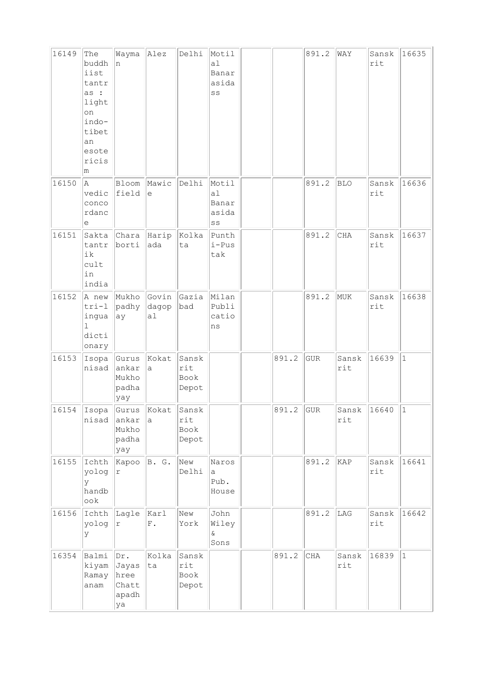| 16149 | The<br>buddh<br>iist<br>tantr<br>as :<br>light<br>on<br>indo-<br>tibet<br>an<br>esote<br>ricis<br>m | Wayma<br>n                                    | Alez                           | Delhi                         | Motil<br>a1<br>Banar<br>asida<br>SS                       |       | 891.2      | WAY          | Sansk<br>rit  | 16635       |
|-------|-----------------------------------------------------------------------------------------------------|-----------------------------------------------|--------------------------------|-------------------------------|-----------------------------------------------------------|-------|------------|--------------|---------------|-------------|
| 16150 | la.<br>vedic<br>conco<br>rdanc<br>е                                                                 | Bloom<br>field                                | Mawic<br>e                     | Delhi                         | Motil<br>al<br>Banar<br>asida<br>$\mathbb{S}\,\mathbb{S}$ |       | 891.2      | <b>BLO</b>   | Sansk<br>rit  | 16636       |
| 16151 | Sakta<br>tantr<br>ik<br>cult<br>in<br>india                                                         | borti                                         | $ $ Chara $ $ Harip $ $<br>ada | Kolka<br>ta                   | Punth<br>i-Pus<br>tak                                     |       | 891.2      | CHA          | Sansk<br>rit  | 16637       |
| 16152 | A new<br>$tri-1$<br>ingua<br>1<br>dicti<br>onary                                                    | Mukho Govin<br>padhy<br>ay                    | dagop<br>al                    | Gazia<br>bad                  | Milan<br>Publi<br>catio<br>ns                             |       | 891.2      | MUK          | Sansk<br>rit  | 16638       |
| 16153 | nisad                                                                                               | Isopa Gurus<br>ankar<br>Mukho<br>padha<br>yay | Kokat<br>a                     | Sansk<br>rit<br>Book<br>Depot |                                                           | 891.2 | <b>GUR</b> | Sansk<br>rit | 16639         | $\vert$ 1   |
| 16154 | Isopa<br>nisad                                                                                      | Gurus Kokat<br>ankar<br>Mukho<br>padha<br>yay | a                              | Sansk<br>rit<br>Book<br>Depot |                                                           | 891.2 | GUR        | rit          | Sansk 16640 1 |             |
| 16155 | Ichth<br>yolog<br>У<br>handb<br>ook                                                                 | $ $ Kapoo $ $ B. G.<br>$\Upsilon$             |                                | New<br>Delhi                  | Naros<br>a<br>Pub.<br>House                               |       | 891.2      | KAP          | Sansk<br>rit  | 16641       |
| 16156 | Ichth<br>yolog<br>У                                                                                 | Lagle  Karl<br>r                              | ${\bf F}$ .                    | New<br>York                   | John<br>Wiley<br>$\delta$<br>Sons                         |       | 891.2      | LAG          | Sansk<br>rit  | 16642       |
| 16354 | Balmi<br>kiyam<br>Ramay<br>anam                                                                     | Dr.<br>Jayas<br>hree<br>Chatt<br>apadh<br>ya  | Kolka<br>ta                    | Sansk<br>rit<br>Book<br>Depot |                                                           | 891.2 | $\rm CHA$  | Sansk<br>rit | 16839         | $ 1\rangle$ |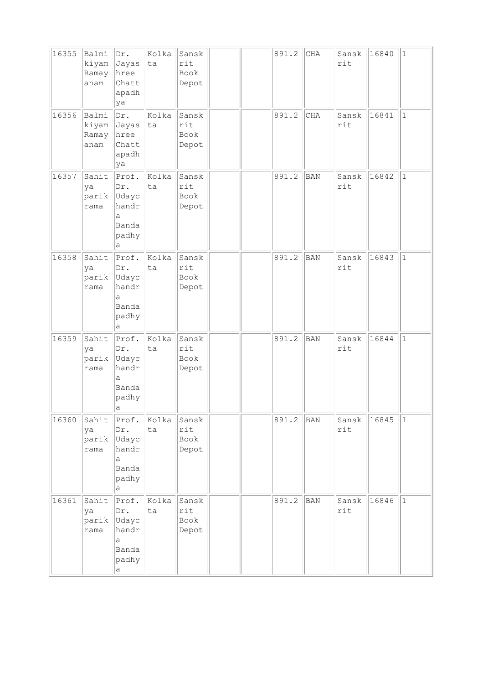| 16355 | Balmi<br>kiyam<br>Ramay<br>anam | Dr.<br>Jayas<br>hree<br>Chatt<br>apadh<br>ya                      | Kolka<br>ta | Sansk<br>rit<br>Book<br>Depot |  | 891.2 | $\rm CHA$  | Sansk<br>rit | 16840 | $1\,$        |
|-------|---------------------------------|-------------------------------------------------------------------|-------------|-------------------------------|--|-------|------------|--------------|-------|--------------|
| 16356 | Balmi<br>kiyam<br>Ramay<br>anam | Dr.<br>Jayas<br>hree<br>Chatt<br>apadh<br>ya                      | Kolka<br>ta | Sansk<br>rit<br>Book<br>Depot |  | 891.2 | <b>CHA</b> | Sansk<br>rit | 16841 | $\mathbf{1}$ |
| 16357 | Sahit<br>ya<br>parik<br>rama    | Prof.<br>Dr.<br>Udayc<br>handr<br>a<br>Banda<br>padhy<br>а        | Kolka<br>ta | Sansk<br>rit<br>Book<br>Depot |  | 891.2 | <b>BAN</b> | Sansk<br>rit | 16842 | $\mathbf{1}$ |
| 16358 | Sahit<br>ya<br>parik<br>rama    | Proof.<br>Dr.<br>Udayc<br>handr<br>a<br>Banda<br>padhy<br>a       | Kolka<br>ta | Sansk<br>rit<br>Book<br>Depot |  | 891.2 | <b>BAN</b> | Sansk<br>rit | 16843 | $\mathbf{1}$ |
| 16359 | Sahit<br>ya<br>parik<br>rama    | Prof.<br>Dr.<br>Udayc<br>handr<br>a<br>Banda<br>padhy<br>a        | Kolka<br>ta | Sansk<br>rit<br>Book<br>Depot |  | 891.2 | BAN        | Sansk<br>rit | 16844 | $\mathbf{1}$ |
| 16360 | Sahit<br>ya<br>parik<br>rama    | Prof.<br>Dr.<br>Udayc<br>handr<br>a<br>Banda<br>padhy<br>а        | Kolka<br>ta | Sansk<br>rit<br>Book<br>Depot |  | 891.2 | <b>BAN</b> | Sansk<br>rit | 16845 | $\mathbf{1}$ |
| 16361 | Sahit<br>ya<br>parik<br>rama    | Prof.<br>Dr.<br>Udayc<br>handr<br>a<br>Banda<br>padhy<br>$\rm{a}$ | kolka<br>ta | Sansk<br>rit<br>Book<br>Depot |  | 891.2 | <b>BAN</b> | Sansk<br>rit | 16846 | $\mathbf{1}$ |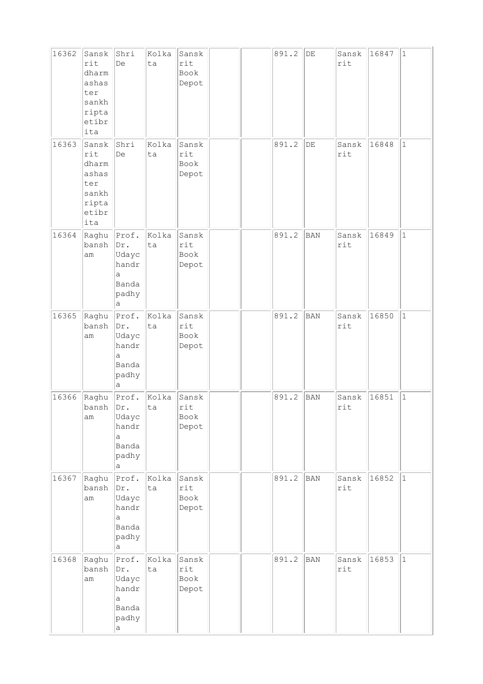| 16362 | Sansk<br>rit<br>dharm<br>ashas<br>ter<br>sankh<br>ripta<br>etibr<br>ita | Shri<br>De                                                 | Kolka<br>ta | Sansk<br>rit<br>Book<br>Depot |  | 891.2 | $\rm DE$   | Sansk<br>rit | 16847 | $\vert$ 1    |
|-------|-------------------------------------------------------------------------|------------------------------------------------------------|-------------|-------------------------------|--|-------|------------|--------------|-------|--------------|
| 16363 | Sansk<br>rit<br>dharm<br>ashas<br>ter<br>sankh<br>ripta<br>etibr<br>ita | Shri<br>De                                                 | Kolka<br>ta | Sansk<br>rit<br>Book<br>Depot |  | 891.2 | $\rm DE$   | Sansk<br>rit | 16848 | $\vert$ 1    |
| 16364 | Raghu<br>bansh<br>am                                                    | Prof.<br>Dr.<br>Udayc<br>handr<br>a<br>Banda<br>padhy<br>a | Kolka<br>ta | Sansk<br>rit<br>Book<br>Depot |  | 891.2 | <b>BAN</b> | Sansk<br>rit | 16849 | $\mathbf{1}$ |
| 16365 | Raghu<br>bansh<br>am                                                    | Prof.<br>Dr.<br>Udayc<br>handr<br>a<br>Banda<br>padhy<br>а | Kolka<br>ta | Sansk<br>rit<br>Book<br>Depot |  | 891.2 | BAN        | Sansk<br>rit | 16850 | $\vert$ 1    |
| 16366 | Raghu<br>bansh<br>am                                                    | Prof.<br>Dr.<br>Udayc<br>handr<br>a<br>Banda<br>padhy<br>а | Kolka<br>ta | Sansk<br>rit<br>Book<br>Depot |  | 891.2 | BAN        | Sansk<br>rit | 16851 | $\mathbf{1}$ |
| 16367 | Raghu<br>bansh<br>am                                                    | Prof.<br>Dr.<br>Udayc<br>handr<br>a<br>Banda<br>padhy<br>a | Kolka<br>ta | Sansk<br>rit<br>Book<br>Depot |  | 891.2 | <b>BAN</b> | Sansk<br>rit | 16852 | $ 1\rangle$  |
| 16368 | Raghu<br>bansh<br>am                                                    | Prof.<br>Dr.<br>Udayc<br>handr<br>a<br>Banda<br>padhy<br>а | Kolka<br>ta | Sansk<br>rit<br>Book<br>Depot |  | 891.2 | <b>BAN</b> | Sansk<br>rit | 16853 | $ 1\rangle$  |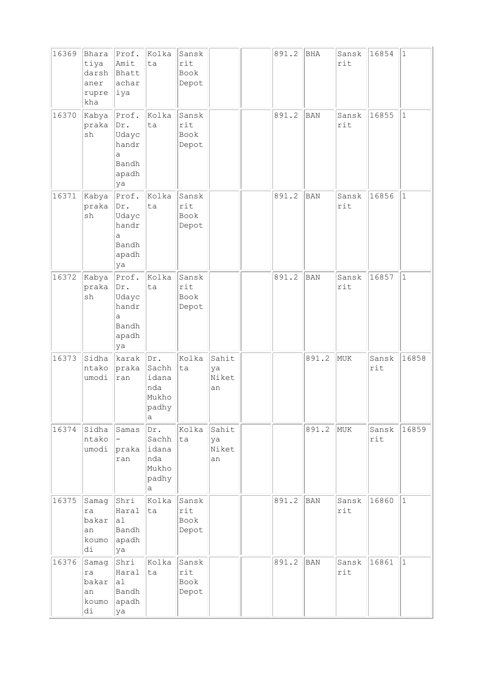| 16369 | Bhara<br>tiya<br>darsh<br>aner<br>rupre<br>kha | Prof.<br>Amit<br>Bhatt<br>achar<br>∣iya                      | Kolka<br>ta                                         | Sansk<br>rit<br>Book<br>Depot |                            | 891.2 | BHA        | Sansk<br>rit | 16854        | $\vert$ 1   |
|-------|------------------------------------------------|--------------------------------------------------------------|-----------------------------------------------------|-------------------------------|----------------------------|-------|------------|--------------|--------------|-------------|
| 16370 | Kabya<br>praka<br>sh                           | Proof.<br>Dr.<br>Udayc<br>handr<br>a<br>Bandh<br>apadh<br>ya | Kolka<br>ta                                         | Sansk<br>rit<br>Book<br>Depot |                            | 891.2 | BAN        | Sansk<br>rit | 16855        | $\vert$ 1   |
| 16371 | Kabya<br>praka<br>sh                           | Prof.<br>Dr.<br>Udayc<br>handr<br>а<br>Bandh<br>apadh<br>ya  | Kolka<br>ta                                         | Sansk<br>rit<br>Book<br>Depot |                            | 891.2 | <b>BAN</b> | Sansk<br>rit | 16856        | $\vert$ 1   |
| 16372 | Kabya<br>praka<br>sh                           | Prof.<br>Dr.<br>Udayc<br>handr<br>a<br>Bandh<br>apadh<br>ya  | Kolka<br>ta                                         | Sansk<br>rit<br>Book<br>Depot |                            | 891.2 | <b>BAN</b> | Sansk<br>rit | 16857        | $\vert$ 1   |
| 16373 | Sidha<br>ntako<br>umodi                        | karak<br>praka<br>ran                                        | Dr.<br>Sachh<br>idana<br>nda<br>Mukho<br>padhy<br>а | Kolka<br>ta                   | Sahit<br>ya<br>Niket<br>an |       | 891.2      | MUK          | Sansk<br>rit | 16858       |
| 16374 | Sidha<br>ntako<br>umodi                        | Samas<br>praka<br>ran                                        | Dr.<br>Sachh<br>idana<br>nda<br>Mukho<br>padhy<br>а | Kolka<br> ta                  | Sahit<br>ya<br>Niket<br>an |       | 891.2      | MUK          | Sansk<br>rit | 16859       |
| 16375 | Samag<br>ra<br>bakar<br>an<br>koumo<br>di      | Shri<br>Haral<br>a1<br>Bandh<br>apadh<br>ya                  | Kolka<br>ta                                         | Sansk<br>rit<br>Book<br>Depot |                            | 891.2 | BAN        | Sansk<br>rit | 16860        | $ 1\rangle$ |
| 16376 | Samag<br>ra<br>bakar<br>an<br>koumo<br>di      | Shri<br>Haral<br>al<br>Bandh<br>apadh<br>ya                  | Kolka<br>ta                                         | Sansk<br>rit<br>Book<br>Depot |                            | 891.2 | BAN        | Sansk<br>rit | 16861        | $\vert$ 1   |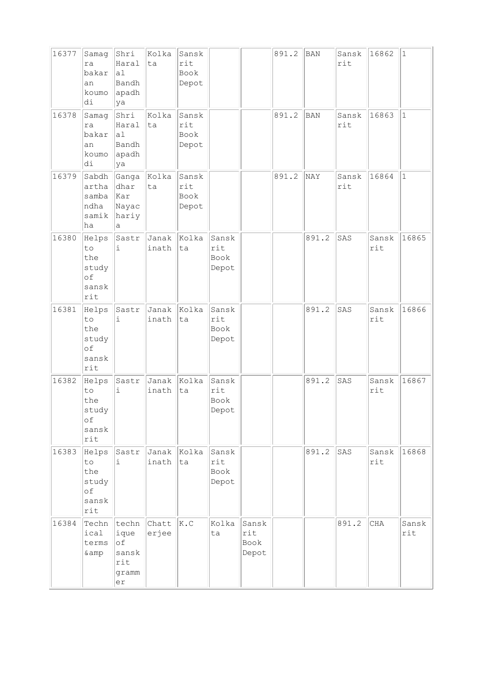| 16377 | Samag<br>ra<br>bakar<br>an<br>koumo<br>di         | Shri<br>Haral<br>a1<br>Bandh<br>apadh<br>ya               | Kolka<br>ta    | Sansk<br>rit<br>Book<br>Depot |                               |                               | 891.2 | <b>BAN</b> | Sansk<br>rit | 16862        | $\vert$ 1               |
|-------|---------------------------------------------------|-----------------------------------------------------------|----------------|-------------------------------|-------------------------------|-------------------------------|-------|------------|--------------|--------------|-------------------------|
| 16378 | Samag<br>ra<br>bakar<br>an<br>koumo<br>di         | Shri<br>Haral<br>al<br>Bandh<br>apadh<br>ya               | Kolka<br>ta    | Sansk<br>rit<br>Book<br>Depot |                               |                               | 891.2 | <b>BAN</b> | Sansk<br>rit | 16863        | $\vert$ 1               |
| 16379 | Sabdh<br>artha<br>samba<br>ndha<br>samik<br>ha    | Ganga  Kolka<br>dhar<br>Kar<br>Nayac<br>hariy<br>a        | ta             | Sansk<br>rit<br>Book<br>Depot |                               |                               | 891.2 | NAY        | Sansk<br>rit | 16864        | $\vert$ 1               |
| 16380 | Helps<br>to<br>the<br>study<br>of<br>sansk<br>rit | Sastr<br>i                                                | Janak<br>inath | Kolka<br>ta                   | Sansk<br>rit<br>Book<br>Depot |                               |       | 891.2      | SAS          | Sansk<br>rit | 16865                   |
| 16381 | Helps<br>to<br>the<br>study<br>of<br>sansk<br>rit | Sastr<br>$\dot{1}$                                        | Janak<br>inath | Kolka<br>ta                   | Sansk<br>rit<br>Book<br>Depot |                               |       | 891.2      | SAS          | Sansk<br>rit | 16866                   |
| 16382 | Helps<br>to<br>the<br>study<br>оf<br>sansk<br>rit | Sastr<br>i                                                | Janak<br>inath | Kolka<br>ta                   | Sansk<br>rit<br>Book<br>Depot |                               |       | 891.2      | SAS          | Sansk<br>rit | 16867                   |
| 16383 | Helps<br>to<br>the<br>study<br>of<br>sansk<br>rit | Sastr<br>i                                                | Janak<br>inath | Kolka<br>ta                   | Sansk<br>rit<br>Book<br>Depot |                               |       | 891.2      | SAS          | Sansk<br>rit | 16868                   |
| 16384 | Techn<br>ical<br>terms<br>& amp                   | techn<br>ique<br>$\circ f$<br>sansk<br>rit<br>gramm<br>er | Chatt<br>erjee | K.C                           | Kolka<br>ta                   | Sansk<br>rit<br>Book<br>Depot |       |            | 891.2        | CHA          | Sansk<br>$\texttt{rit}$ |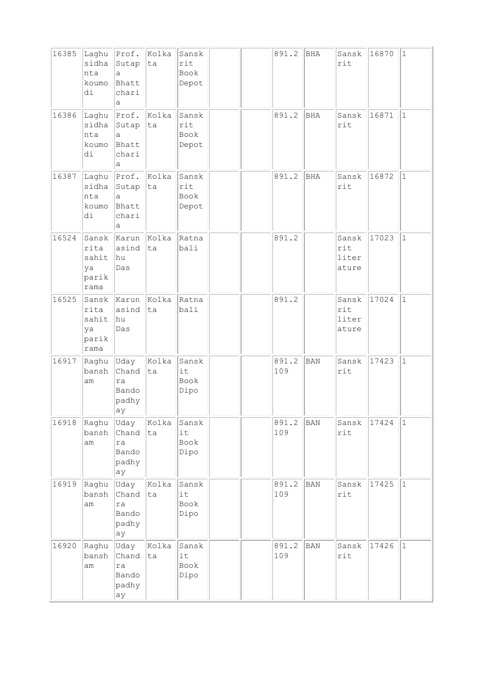| 16385 | Laghu<br>sidha<br>nta<br>koumo<br>di          | Prof.<br>Sutap<br>a<br>Bhatt<br>chari<br>а   | Kolka<br>ta | Sansk<br>rit<br>Book<br>Depot |  | 891.2        | BHA        | Sansk<br>rit                   | 16870 | $\mathbf{1}$ |
|-------|-----------------------------------------------|----------------------------------------------|-------------|-------------------------------|--|--------------|------------|--------------------------------|-------|--------------|
| 16386 | Laghu<br>sidha<br>nta<br>koumo<br>di          | Prof.<br>Sutap<br>а<br>Bhatt<br>chari<br>а   | Kolka<br>ta | Sansk<br>rit<br>Book<br>Depot |  | 891.2        | <b>BHA</b> | Sansk<br>rit                   | 16871 | $\mathbf{1}$ |
| 16387 | Laghu<br>sidha<br>nta<br>koumo<br>di          | Prof.<br>Sutap<br>a<br>Bhatt<br>chari<br>a   | Kolka<br>ta | Sansk<br>rit<br>Book<br>Depot |  | 891.2        | <b>BHA</b> | Sansk<br>rit                   | 16872 | $\mathbf{1}$ |
| 16524 | Sansk<br>rita<br>sahit<br>ya<br>parik<br>rama | Karun<br>asind<br>hu<br>Das                  | Kolka<br>ta | Ratna<br>bali                 |  | 891.2        |            | Sansk<br>rit<br>liter<br>ature | 17023 | $\mathbf{1}$ |
| 16525 | Sansk<br>rita<br>sahit<br>ya<br>parik<br>rama | Karun<br>asind<br>hu<br>Das                  | Kolka<br>ta | Ratna<br>bali                 |  | 891.2        |            | Sansk<br>rit<br>liter<br>ature | 17024 | $\mathbf{1}$ |
| 16917 | Raghu<br>bansh<br>am                          | Uday<br>Chand<br>ra<br>Bando<br>padhy<br> ay | Kolka<br>ta | Sansk<br>it<br>Book<br>Dipo   |  | 891.2<br>109 | <b>BAN</b> | Sansk<br>rit                   | 17423 | $\mathbf{1}$ |
| 16918 | Raghu<br>bansh<br>am                          | Uday<br>Chand<br>ra<br>Bando<br>padhy<br>ay  | Kolka<br>ta | Sansk<br>it<br>Book<br>Dipo   |  | 891.2<br>109 | <b>BAN</b> | Sansk<br>rit                   | 17424 | $\mathbf{1}$ |
| 16919 | Raghu<br>bansh<br>am                          | Uday<br>Chand<br>ra<br>Bando<br>padhy<br>ay  | Kolka<br>ta | Sansk<br>it<br>Book<br>Dipo   |  | 891.2<br>109 | <b>BAN</b> | Sansk<br>rit                   | 17425 | $\mathbf{1}$ |
| 16920 | Raghu<br>bansh<br>am                          | Uday<br>Chand<br>ra<br>Bando<br>padhy<br>ay  | Kolka<br>ta | Sansk<br>it<br>Book<br>Dipo   |  | 891.2<br>109 | <b>BAN</b> | Sansk<br>rit                   | 17426 | $\mathbf{1}$ |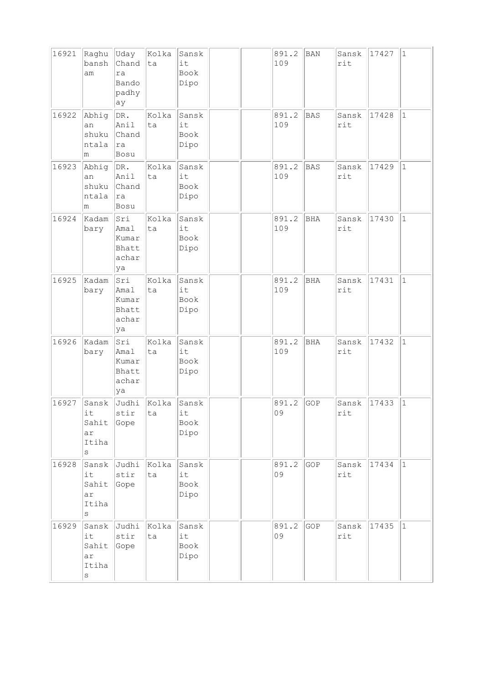| 16921 | Raghu<br>bansh<br>am                           | Uday<br>Chand<br>ra<br>Bando<br>padhy<br>ay  | Kolka<br>ta | Sansk<br>it<br>Book<br>Dipo |  | 891.2<br>109 | BAN        | Sansk<br>rit | 17427 | $\vert$ 1    |
|-------|------------------------------------------------|----------------------------------------------|-------------|-----------------------------|--|--------------|------------|--------------|-------|--------------|
| 16922 | Abhig<br>an<br>shuku<br>ntala<br>m             | DR.<br>Anil<br>Chand<br>ra<br>Bosu           | Kolka<br>ta | Sansk<br>it<br>Book<br>Dipo |  | 891.2<br>109 | <b>BAS</b> | Sansk<br>rit | 17428 | $\mathbf{1}$ |
| 16923 | Abhig<br>an<br>shuku<br>ntala<br>m             | DR.<br>Anil<br>Chand<br>ra<br>Bosu           | Kolka<br>ta | Sansk<br>it<br>Book<br>Dipo |  | 891.2<br>109 | BAS        | Sansk<br>rit | 17429 | $\vert$ 1    |
| 16924 | Kadam<br>bary                                  | Sri<br>Amal<br>Kumar<br>Bhatt<br>achar<br>ya | Kolka<br>ta | Sansk<br>it<br>Book<br>Dipo |  | 891.2<br>109 | <b>BHA</b> | Sansk<br>rit | 17430 | $\vert$ 1    |
| 16925 | Kadam<br>bary                                  | Sri<br>Amal<br>Kumar<br>Bhatt<br>achar<br>ya | Kolka<br>ta | Sansk<br>it<br>Book<br>Dipo |  | 891.2<br>109 | <b>BHA</b> | Sansk<br>rit | 17431 | $\mathbf{1}$ |
| 16926 | Kadam<br>bary                                  | Sri<br>Amal<br>Kumar<br>Bhatt<br>achar<br>ya | Kolka<br>ta | Sansk<br>it<br>Book<br>Dipo |  | 891.2<br>109 | BHA        | Sansk<br>rit | 17432 | $\vert$ 1    |
| 16927 | Sansk<br>it<br>Sahit<br>ar<br>Itiha<br>$\rm s$ | Judhi<br>stir<br>Gope                        | Kolka<br>ta | Sansk<br>it<br>Book<br>Dipo |  | 891.2<br>09  | GOP        | Sansk<br>rit | 17433 | $\mathbf{1}$ |
| 16928 | Sansk<br>it<br>Sahit<br>ar<br>Itiha<br>S       | Judhi<br>stir<br>Gope                        | Kolka<br>ta | Sansk<br>it<br>Book<br>Dipo |  | 891.2<br>09  | GOP        | Sansk<br>rit | 17434 | $ 1\rangle$  |
| 16929 | Sansk<br>it<br>Sahit<br>ar<br>Itiha<br>$\rm s$ | Judhi<br>stir<br>Gope                        | Kolka<br>ta | sansk<br>it<br>Book<br>Dipo |  | 891.2<br>09  | GOP        | Sansk<br>rit | 17435 | $\vert$ 1    |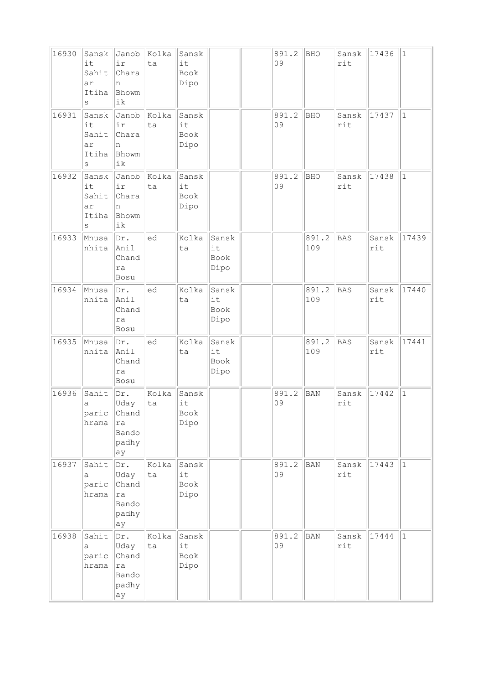| 16930 | Sansk<br>it<br>Sahit<br>ar<br>Itiha<br>$\rm s$ | Janob<br>ir<br>Chara<br>n<br>Bhowm<br>ik           | Kolka<br>ta | Sansk<br>it<br>Book<br>Dipo |                             | 891.2<br>09 | <b>BHO</b>   | Sansk<br>rit | 17436        | $\vert$ 1    |
|-------|------------------------------------------------|----------------------------------------------------|-------------|-----------------------------|-----------------------------|-------------|--------------|--------------|--------------|--------------|
| 16931 | Sansk<br>it<br>Sahit<br>ar<br>Itiha<br>$\rm s$ | Janob<br>ir<br>Chara<br>n<br>Bhowm<br>ik           | Kolka<br>ta | Sansk<br>it<br>Book<br>Dipo |                             | 891.2<br>09 | <b>BHO</b>   | Sansk<br>rit | 17437        | $\mathbf{1}$ |
| 16932 | Sansk<br>it<br>Sahit<br>ar<br>Itiha<br>S       | Janob<br>ir<br>Chara<br>n<br>Bhowm<br>ik           | Kolka<br>ta | Sansk<br>it<br>Book<br>Dipo |                             | 891.2<br>09 | <b>BHO</b>   | Sansk<br>rit | 17438        | $\mathbf{1}$ |
| 16933 | Mnusa<br>nhita                                 | Dr.<br>Anil<br>Chand<br>ra<br>Bosu                 | ed          | Kolka<br>ta                 | Sansk<br>it<br>Book<br>Dipo |             | 891.2<br>109 | BAS          | Sansk<br>rit | 17439        |
| 16934 | Mnusa<br>nhita                                 | Dr.<br>Anil<br>Chand<br>ra<br>Bosu                 | ed          | Kolka<br>ta                 | Sansk<br>it<br>Book<br>Dipo |             | 891.2<br>109 | BAS          | Sansk<br>rit | 17440        |
| 16935 | Mnusa<br>nhita                                 | Dr.<br>Anil<br>Chand<br>ra<br>Bosu                 | ed          | Kolka<br>ta                 | Sansk<br>it<br>Book<br>Dipo |             | 891.2<br>109 | <b>BAS</b>   | Sansk<br>rit | 17441        |
| 16936 | Sahit<br>а<br>paric<br>hrama                   | Dr.<br>Uday<br>Chand<br>ra<br>Bando<br>padhy<br>ay | Kolka<br>ta | Sansk<br>it<br>Book<br>Dipo |                             | 891.2<br>09 | <b>BAN</b>   | Sansk<br>rit | 17442        | $\mathbf{1}$ |
| 16937 | Sahit<br>а<br>paric<br>hrama                   | Dr.<br>Uday<br>Chand<br>ra<br>Bando<br>padhy<br>ay | Kolka<br>ta | Sansk<br>it<br>Book<br>Dipo |                             | 891.2<br>09 | BAN          | Sansk<br>rit | 17443        | $\vert$ 1    |
| 16938 | Sahit<br>a<br>paric<br>hrama                   | Dr.<br>Uday<br>Chand<br>ra<br>Bando<br>padhy<br>ay | Kolka<br>ta | Sansk<br>it<br>Book<br>Dipo |                             | 891.2<br>09 | <b>BAN</b>   | Sansk<br>rit | 17444        | $ 1\rangle$  |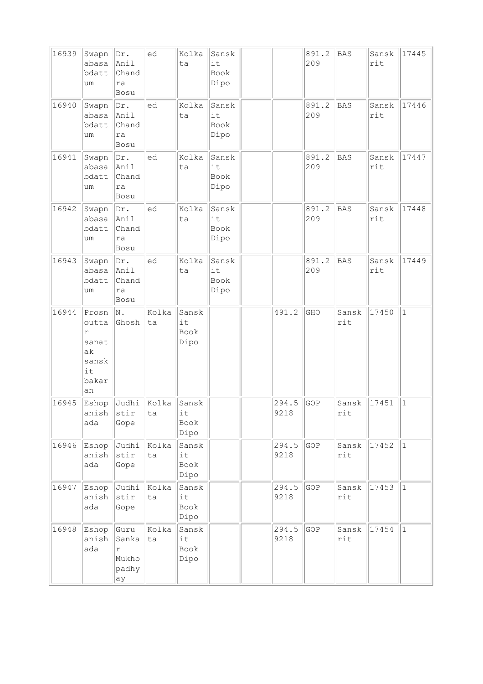| 16939 | Swapn<br>abasa<br>bdatt<br>um                                    | Dr.<br>Anil<br>Chand<br>ra<br>Bosu         | ed          | Kolka<br>ta                 | Sansk<br>it<br>Book<br>Dipo |               | 891.2<br>209 | <b>BAS</b>   | Sansk<br>rit | 17445        |
|-------|------------------------------------------------------------------|--------------------------------------------|-------------|-----------------------------|-----------------------------|---------------|--------------|--------------|--------------|--------------|
| 16940 | Swapn<br>abasa<br>bdatt<br>um                                    | Dr.<br>Anil<br>Chand<br>ra<br>Bosu         | led         | Kolka<br>ta                 | Sansk<br>it<br>Book<br>Dipo |               | 891.2<br>209 | <b>BAS</b>   | Sansk<br>rit | 17446        |
| 16941 | Swapn<br>abasa<br>bdatt<br>um                                    | Dr.<br>Anil<br>Chand<br>ra<br>Bosu         | ed          | Kolka<br>ta                 | Sansk<br>it<br>Book<br>Dipo |               | 891.2<br>209 | <b>BAS</b>   | Sansk<br>rit | 17447        |
| 16942 | Swapn<br>abasa<br>bdatt<br>um                                    | Dr.<br>Anil<br>Chand<br>ra<br>Bosu         | ed          | Kolka<br>ta                 | Sansk<br>it<br>Book<br>Dipo |               | 891.2<br>209 | <b>BAS</b>   | Sansk<br>rit | 17448        |
| 16943 | Swapn<br>abasa<br>bdatt<br>um                                    | Dr.<br>Anil<br>Chand<br>ra<br>Bosu         | led         | Kolka<br>ta                 | Sansk<br>it<br>Book<br>Dipo |               | 891.2<br>209 | <b>BAS</b>   | Sansk<br>rit | 17449        |
| 16944 | Prosn<br>outta<br>r<br>sanat<br>ak<br>sansk<br>it<br>bakar<br>an | N.<br>Ghosh                                | Kolka<br>ta | Sansk<br>it<br>Book<br>Dipo |                             | 491.2         | GHO          | Sansk<br>rit | 17450        | $1\,$        |
| 16945 | Eshop<br>anish<br>ada                                            | Judhi<br>stir<br>Gope                      | Kolka<br>ta | Sansk<br>it<br>Book<br>Dipo |                             | 294.5<br>9218 | GOP          | Sansk<br>rit | 17451        | $\mathbf{1}$ |
| 16946 | Eshop<br>anish<br>ada                                            | Judhi<br>$\text{stir}$<br>Gope             | Kolka<br>ta | Sansk<br>it<br>Book<br>Dipo |                             | 294.5<br>9218 | GOP          | Sansk<br>rit | 17452        | 1            |
| 16947 | Eshop<br>anish<br>ada                                            | Judhi<br>stir<br>Gope                      | Kolka<br>ta | Sansk<br>it<br>Book<br>Dipo |                             | 294.5<br>9218 | GOP          | Sansk<br>rit | 17453        | $\vert$ 1    |
| 16948 | Eshop<br>anish<br>ada                                            | Guru<br>Sanka<br>r<br>Mukho<br>padhy<br>ay | Kolka<br>ta | Sansk<br>it<br>Book<br>Dipo |                             | 294.5<br>9218 | GOP          | Sansk<br>rit | 17454        | $\vert$ 1    |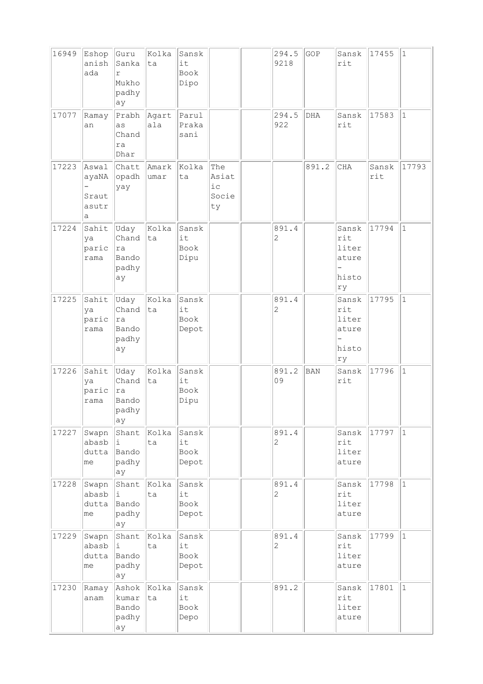| 16949 | Eshop<br>anish<br>ada                                             | Guru<br>Sanka<br>r<br>Mukho<br>padhy<br>ay      | Kolka<br> ta  | Sansk<br>it<br>Book<br>Dipo  |                                   | 294.5<br>9218           | GOP   | Sansk<br>rit                                  | 17455        | $ 1\rangle$  |
|-------|-------------------------------------------------------------------|-------------------------------------------------|---------------|------------------------------|-----------------------------------|-------------------------|-------|-----------------------------------------------|--------------|--------------|
| 17077 | Ramay<br>an                                                       | Prabh Agart<br>as<br>Chand<br>ra<br>Dhar        | ala           | Parul<br>Praka<br>sani       |                                   | 294.5<br>922            | DHA   | Sansk<br>rit                                  | 17583        | $ 1\rangle$  |
| 17223 | Aswal<br>ayaNA<br>$\overline{\phantom{0}}$<br>Sraut<br>asutr<br>a | Chatt<br>opadh<br>yay                           | Amark<br>umar | Kolka<br>ta                  | The<br>Asiat<br>iс<br>Socie<br>ty |                         | 891.2 | CHA                                           | Sansk<br>rit | 17793        |
| 17224 | Sahit<br>ya<br>paric<br>rama                                      | Uday<br>Chand<br> ra<br>Bando<br>padhy<br>ay    | Kolka<br> ta  | Sansk<br>it<br>Book<br>Dipu  |                                   | 891.4<br>$\mathbf{2}$   |       | Sansk<br>rit<br>liter<br>ature<br>histo<br>ry | 17794        | $\vert$ 1    |
| 17225 | Sahit<br>ya<br>paric<br>rama                                      | Uday<br>Chand<br> ra<br>Bando<br>padhy<br>ay    | Kolka<br>ta   | Sansk<br>it<br>Book<br>Depot |                                   | 891.4<br>$\overline{c}$ |       | Sansk<br>rit<br>liter<br>ature<br>histo<br>ry | 17795        | $\vert$ 1    |
| 17226 | Sahit<br>ya<br>paric<br>rama                                      | Uday<br>Chand<br>ra<br>Bando<br>$ $ padhy<br>ay | Kolka<br> ta  | Sansk<br>it<br>Book<br>Dipu  |                                   | 891.2<br>09             | BAN   | Sansk<br>rit                                  | 17796        | $\mathbf{1}$ |
| 17227 | Swapn<br>abasb<br>dutta<br>me                                     | Shant<br>i.<br>Bando<br>padhy<br>ay             | Kolka<br>ta   | Sansk<br>it<br>Book<br>Depot |                                   | 891.4<br>$\overline{c}$ |       | Sansk<br>rit<br>liter<br>ature                | 17797        | $\vert$ 1    |
| 17228 | Swapn<br>abasb<br>dutta<br>me                                     | Shant<br>i<br>Bando<br>padhy<br>ay              | Kolka<br>ta   | Sansk<br>it<br>Book<br>Depot |                                   | 891.4<br>$\overline{c}$ |       | Sansk<br>rit<br>liter<br>ature                | 17798        | $\vert$ 1    |
| 17229 | Swapn<br>abasb<br>dutta<br>me                                     | Shant<br>i.<br>Bando<br>padhy<br>ay             | Kolka<br>ta   | Sansk<br>it<br>Book<br>Depot |                                   | 891.4<br>$\mathbf{2}$   |       | Sansk<br>rit<br>liter<br>ature                | 17799        | $ 1\rangle$  |
| 17230 | Ramay<br>anam                                                     | Ashok Kolka<br>kumar<br>Bando<br>padhy<br>ay    | ta            | Sansk<br>it<br>Book<br>Depo  |                                   | 891.2                   |       | Sansk<br>rit<br>liter<br>ature                | 17801        | $\vert$ 1    |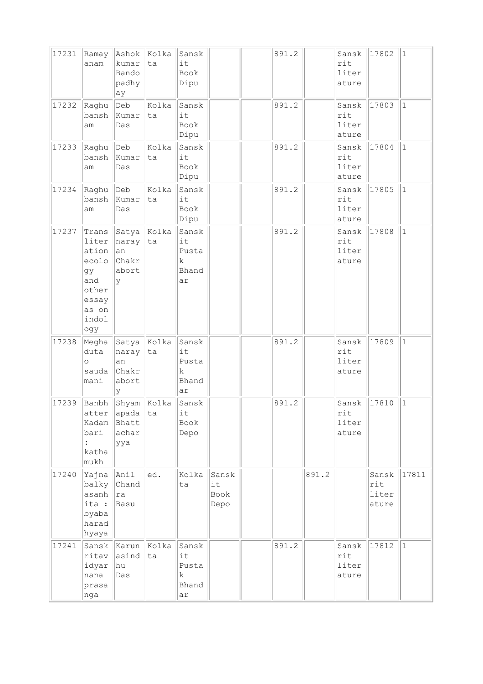| 17231 | Ramay<br>anam                                                                            | Ashok<br>kumar<br>Bando<br>padhy<br>ay                      | Kolka<br>ta | Sansk<br>it<br>Book<br>Dipu               |                             | 891.2 |       | Sansk<br>rit<br>liter<br>ature | 17802                          | $\vert$ 1    |
|-------|------------------------------------------------------------------------------------------|-------------------------------------------------------------|-------------|-------------------------------------------|-----------------------------|-------|-------|--------------------------------|--------------------------------|--------------|
| 17232 | Raghu<br>bansh<br>am                                                                     | $\vert$ Deb<br>Kumar<br>Das                                 | Kolka<br>ta | Sansk<br>it<br>Book<br>Dipu               |                             | 891.2 |       | Sansk<br>rit<br>liter<br>ature | 17803                          | $\vert$ 1    |
| 17233 | Raghu<br>bansh<br>am                                                                     | $\vert$ Deb<br>Kumar<br>Das                                 | Kolka<br>ta | Sansk<br>it<br>Book<br>Dipu               |                             | 891.2 |       | Sansk<br>rit<br>liter<br>ature | 17804                          | $\mathbf{1}$ |
| 17234 | Raghu<br>bansh<br>am                                                                     | $\vert$ Deb<br>Kumar<br>Das                                 | Kolka<br>ta | Sansk<br>it<br>Book<br>Dipu               |                             | 891.2 |       | Sansk<br>rit<br>liter<br>ature | 17805                          | $\mathbf{1}$ |
| 17237 | Trans<br>liter<br>ation<br>ecolo<br>gу<br>and<br>other<br>essay<br>as on<br>indol<br>ogy | Satya<br>naray<br> an<br>Chakr<br>abort<br>У                | Kolka<br>ta | Sansk<br>it<br>Pusta<br>k<br>Bhand<br>ar  |                             | 891.2 |       | Sansk<br>rit<br>liter<br>ature | 17808                          | $\mathbf{1}$ |
| 17238 | Megha<br>duta<br>$\circ$<br>sauda<br>mani                                                | $\ $ Satya $\ $ Kolka<br>naray<br>an<br>Chakr<br>abort<br>У | ta          | Sansk<br>it<br>Pusta<br>k.<br>Bhand<br>ar |                             | 891.2 |       | Sansk<br>rit<br>liter<br>ature | 17809                          | $\mathbf{1}$ |
| 17239 | Banbh<br>atter<br>Kadam<br>bari<br>$\ddot{\cdot}$<br>katha<br>mukh                       | Shyam Kolka<br> apada<br>Bhatt<br>achar<br>ууа              | ta          | Sansk<br>it<br>Book<br>Depo               |                             | 891.2 |       | Sansk<br>rit<br>liter<br>ature | 17810                          | $1\,$        |
| 17240 | Yajna<br>balky<br>asanh<br>ita :<br>byaba<br>harad<br>hyaya                              | Anil<br>Chand<br> ra<br>Basu                                | ed.         | Kolka<br>ta                               | Sansk<br>it<br>Book<br>Depo |       | 891.2 |                                | Sansk<br>rit<br>liter<br>ature | 17811        |
| 17241 | Sansk<br>ritav<br>idyar<br>nana<br>prasa<br>nga                                          | Karun<br>asind<br>hu <br>Das                                | Kolka<br>ta | Sansk<br>it<br>Pusta<br>k<br>Bhand<br>ar  |                             | 891.2 |       | Sansk<br>rit<br>liter<br>ature | 17812                          | $\vert$ 1    |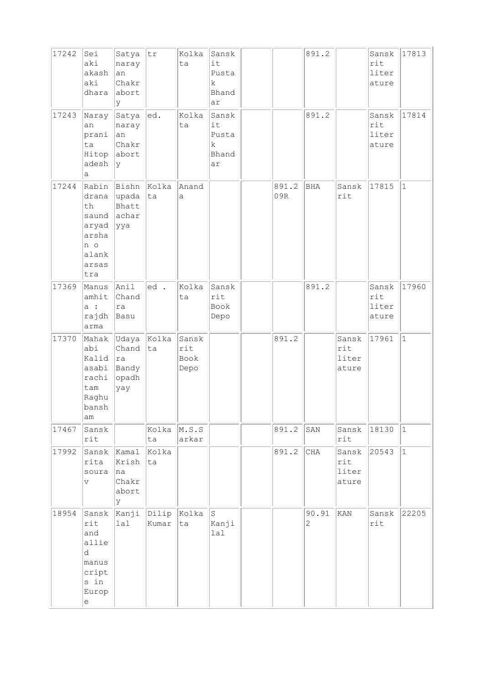| 17242<br>17243 | Sei<br>aki<br>akash<br>aki<br>dhara<br>Naray                                                       | Satya<br>naray<br>an<br>Chakr<br>abort<br>У<br>Satya         | tr<br> ed.     | Kolka<br>ta<br>Kolka         | Sansk<br>it<br>Pusta<br>k.<br>Bhand<br>ar<br>Sansk |              | 891.2<br>891.2          |                                | Sansk<br>rit<br>liter<br>ature<br>Sansk | 17813<br>17814 |
|----------------|----------------------------------------------------------------------------------------------------|--------------------------------------------------------------|----------------|------------------------------|----------------------------------------------------|--------------|-------------------------|--------------------------------|-----------------------------------------|----------------|
|                | an<br>prani<br>ta<br>Hitop<br>adesh<br>а                                                           | naray<br>an<br>Chakr<br>abort<br>l y                         |                | ta                           | it<br>Pusta<br>$\rm k$<br>Bhand<br>ar              |              |                         |                                | rit<br>liter<br>ature                   |                |
| 17244          | drana<br>th<br>saund<br>aryad<br>arsha<br>n o<br>alank<br>arsas<br>tra                             | Rabin Bishn Kolka<br>upada<br>Bhatt<br>achar<br><u> </u> yya | ta             | Anand<br>a                   |                                                    | 891.2<br>09R | <b>BHA</b>              | Sansk<br>rit                   | 17815                                   | $\vert$ 1      |
| 17369          | Manus<br>amhit<br>a :<br>rajdh<br>arma                                                             | Anil<br>Chand<br>ra<br>Basu                                  | ed.            | Kolka<br>ta                  | Sansk<br>rit<br>Book<br>Depo                       |              | 891.2                   |                                | Sansk<br>rit<br>liter<br>ature          | 17960          |
| 17370          | Mahak<br>abi<br>Kalid<br>asabi<br>rachi<br>tam<br>Raghu<br>bansh<br>am                             | Udaya Kolka<br>Chand<br> ra<br>Bandy<br>$ $ opadh<br>yay     | ta             | Sansk<br>rit<br>Book<br>Depo |                                                    | 891.2        |                         | Sansk<br>rit<br>liter<br>ature | 17961                                   | $\vert$ 1      |
| 17467          | Sansk<br>rit                                                                                       |                                                              | Kolka<br>ta    | M.S.S<br>arkar               |                                                    | 891.2        | SAN                     | Sansk<br>$\mathtt{rit}$        | 18130                                   | $ 1\rangle$    |
| 17992          | Sansk<br>rita<br>soura<br>V                                                                        | Kamal<br>Krish<br> na<br>Chakr<br>abort<br>У                 | Kolka<br>ta    |                              |                                                    | 891.2        | $\rm CHA$               | Sansk<br>rit<br>liter<br>ature | 20543                                   | $\vert$ 1      |
| 18954          | Sansk<br>rit<br>and<br>allie<br>d.<br>manus<br>cript<br>s in<br>Europ<br>$\mathop{\rm e}\nolimits$ | Kanji<br>lal                                                 | Dilip<br>Kumar | Kolka<br>ta                  | $\, \mathbb{S} \,$<br>Kanji<br>1a1                 |              | 90.91<br>$\overline{2}$ | KAN                            | Sansk<br>rit                            | 22205          |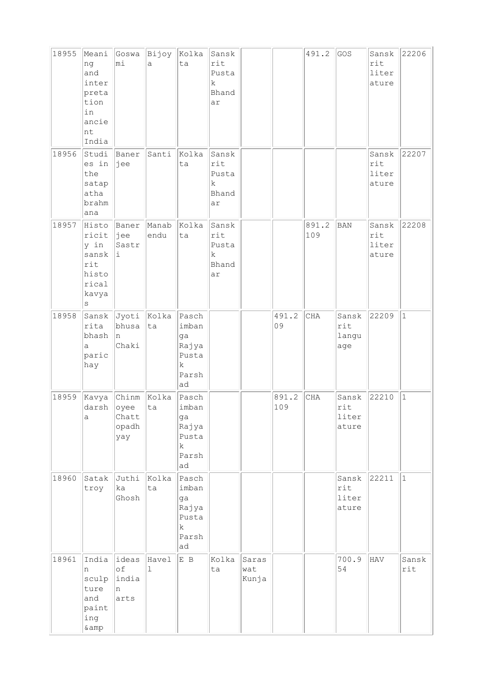| 18955 | Meani<br>ng<br>and<br>inter<br>preta<br>tion<br>in<br>ancie<br>nt<br>India | Goswa<br>mi                                  | Bijoy<br>a    | Kolka<br>ta                                                          | Sansk<br>rit<br>Pusta<br>k<br>Bhand<br>ar       |                       |              | 491.2        | GOS                            | Sansk<br>rit<br>liter<br>ature | 22206        |
|-------|----------------------------------------------------------------------------|----------------------------------------------|---------------|----------------------------------------------------------------------|-------------------------------------------------|-----------------------|--------------|--------------|--------------------------------|--------------------------------|--------------|
| 18956 | Studi<br>es in<br>the<br>satap<br>atha<br>brahm<br>ana                     | Baner<br>jee                                 | Santi         | Kolka<br>ta                                                          | Sansk<br>rit<br>Pusta<br>$\rm k$<br>Bhand<br>ar |                       |              |              |                                | Sansk<br>rit<br>liter<br>ature | 22207        |
| 18957 | Histo<br>ricit<br>y in<br>sansk<br>rit<br>histo<br>rical<br>kavya<br>S     | Baner<br>∣jee<br>Sastr<br>i                  | Manab<br>endu | Kolka<br>ta                                                          | Sansk<br>rit<br>Pusta<br>k<br>Bhand<br>ar       |                       |              | 891.2<br>109 | <b>BAN</b>                     | Sansk<br>rit<br>liter<br>ature | 22208        |
| 18958 | Sansk<br>rita<br>bhash<br>a<br>paric<br>hay                                | Jyoti Kolka<br>bhusa<br>n<br>Chaki           | ta            | Pasch<br>imban<br>ga<br>Rajya<br>Pusta<br>$\rm k$<br>Parsh<br>ad     |                                                 |                       | 491.2<br>09  | CHA          | Sansk<br>rit<br>langu<br>age   | 22209                          | $\mathbf{1}$ |
| 18959 | Kavya<br>darsh<br>$\mathsf{a}$                                             | Chinm Kolka<br>oyee<br>Chatt<br>opadh<br>yay | ta            | Pasch<br>imban<br>ga<br>Rajya<br>Pusta<br>$\mathbf k$<br>Parsh<br>ad |                                                 |                       | 891.2<br>109 | <b>CHA</b>   | Sansk<br>rit<br>liter<br>ature | 22210                          | $\mathbf{1}$ |
| 18960 | Satak<br>troy                                                              | Juthi<br>ka<br>Ghosh                         | Kolka<br>ta   | Pasch<br>imban<br>ga<br>Rajya<br>Pusta<br>$\mathbf k$<br>Parsh<br>ad |                                                 |                       |              |              | Sansk<br>rit<br>liter<br>ature | 22211                          | $ 1\rangle$  |
| 18961 | India<br>n<br>sculp<br>ture<br>and<br>paint<br>ing<br>& amp                | ideas<br>of<br>india<br>n<br>arts            | Havel<br>ı    | E B                                                                  | Kolka<br>ta                                     | Saras<br>wat<br>Kunja |              |              | 700.9<br>54                    | HAV                            | Sansk<br>rit |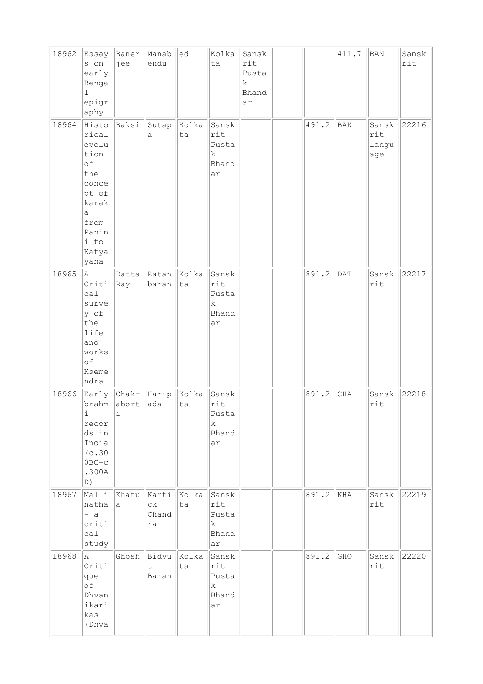| 18962 | Essay<br>s on<br>early<br>Benga<br>l<br>epigr<br>aphy                                                                  | Baner<br>jee                  | Manab<br>endu                  | ed          | Kolka<br>ta                                         | Sansk<br>rit<br>Pusta<br>k<br>Bhand<br>ar |       | 411.7          | <b>BAN</b>                   | Sansk<br>rit |
|-------|------------------------------------------------------------------------------------------------------------------------|-------------------------------|--------------------------------|-------------|-----------------------------------------------------|-------------------------------------------|-------|----------------|------------------------------|--------------|
| 18964 | Histo<br>rical<br>evolu<br>tion<br>of<br>the<br>conce<br>pt of<br>karak<br>а<br>from<br>Panin<br>i to<br>Katya<br>yana | Baksi                         | Sutap<br>а                     | Kolka<br>ta | Sansk<br>rit<br>Pusta<br>$\rm k$<br>Bhand<br>ar     |                                           | 491.2 | <b>BAK</b>     | Sansk<br>rit<br>langu<br>age | 22216        |
| 18965 | A<br>Criti<br>ca1<br>surve<br>y of<br>the<br>life<br>and<br>works<br>of<br>Kseme<br>ndra                               | Datta<br>Ray                  | Ratan<br>baran                 | Kolka<br>ta | Sansk<br>rit<br>Pusta<br>k<br>Bhand<br>ar           |                                           | 891.2 | $\mathsf{DAT}$ | Sansk<br>rit                 | 22217        |
| 18966 | Early<br>brahm<br>i,<br>recor<br>ds in<br>India<br>(c.30)<br>$0BC-c$<br>.300A<br>D)                                    | $ Chakr$ Harip<br>abort<br>i, | ada                            | Kolka<br>ta | Sansk<br>rit<br>Pusta<br>k<br>Bhand<br>ar           |                                           | 891.2 | <b>CHA</b>     | Sansk<br>rit                 | 22218        |
| 18967 | Malli<br>natha<br>$- a$<br>criti<br>ca1<br>study                                                                       | Khatu<br>a                    | Karti<br>$c\,k$<br>Chand<br>ra | Kolka<br>ta | Sansk<br>rit<br>Pusta<br>$\mathbf k$<br>Bhand<br>ar |                                           | 891.2 | KHA            | Sansk<br>rit                 | 22219        |
| 18968 | A<br>Criti<br>que<br>оf<br>Dhvan<br>ikari<br>kas<br>(Dhva                                                              |                               | Ghosh Bidyu<br>t.<br>Baran     | Kolka<br>ta | Sansk<br>rit<br>Pusta<br>k<br>Bhand<br>ar           |                                           | 891.2 | GHO            | Sansk<br>rit                 | 22220        |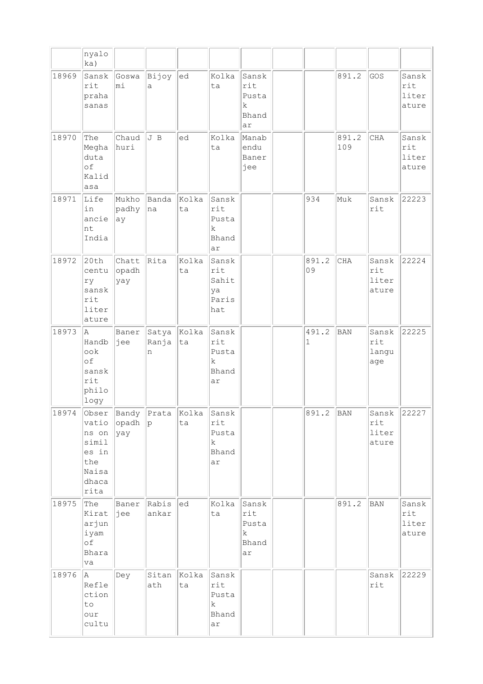|       | nyalo<br>ka)                                                               |                       |                               |             |                                                     |                                            |             |              |                                      |                                           |
|-------|----------------------------------------------------------------------------|-----------------------|-------------------------------|-------------|-----------------------------------------------------|--------------------------------------------|-------------|--------------|--------------------------------------|-------------------------------------------|
| 18969 | Sansk<br>rit<br>praha<br>sanas                                             | Goswa<br>mi           | Bijoy<br>a                    | ed          | Kolka<br>ta                                         | Sansk<br>rit<br>Pusta<br>k.<br>Bhand<br>ar |             | 891.2        | GOS                                  | Sansk<br>rit<br>liter<br>ature            |
| 18970 | The<br>Megha<br>duta<br>of<br>Kalid<br>asa                                 | Chaud<br>huri         | J B                           | ed          | Kolka<br>ta                                         | Manab<br>endu<br>Baner<br>jee              |             | 891.2<br>109 | CHA                                  | Sansk<br>rit<br>liter<br>ature            |
| 18971 | Life<br>in<br>ancie<br>nt<br>India                                         | Mukho<br>padhy<br>ay  | Banda<br>na                   | Kolka<br>ta | Sansk<br>rit<br>Pusta<br>k<br>Bhand<br>ar           |                                            | 934         | Muk          | Sansk<br>rit                         | 22223                                     |
| 18972 | 20th<br>centu<br>ry<br>sansk<br>rit<br>liter<br>ature                      | Chatt<br>opadh<br>yay | Rita                          | Kolka<br>ta | Sansk<br>rit<br>Sahit<br>ya<br>Paris<br>hat         |                                            | 891.2<br>09 | CHA          | Sansk<br>rit<br>liter<br>ature       | 22224                                     |
| 18973 | la.<br>Handb<br>ook<br>of<br>sansk<br>rit<br>philo<br>logy                 | Baner<br>jee          | Satya<br>Ranja<br>n           | Kolka<br>ta | Sansk<br>rit<br>Pusta<br>$\mathbf k$<br>Bhand<br>ar |                                            | 491.2<br>1  | BAN          | Sansk<br>rit<br>langu<br>age         | 22225                                     |
| 18974 | Obser<br>vatio<br>ns on<br>simil<br>es in<br>the<br>Naisa<br>dhaca<br>rita | opadh<br> yay         | Bandy Prata Kolka Sansk<br> p | ta          | rit<br>Pusta<br>k<br>Bhand<br>ar                    |                                            | 891.2       | <b>BAN</b>   | Sansk 22227<br>rit<br>liter<br>ature |                                           |
| 18975 | The<br>Kirat<br>arjun<br>iyam<br>of<br>Bhara<br>va                         | Baner<br> jee         | Rabis<br>ankar                | ed          | Kolka<br>ta                                         | Sansk<br>rit<br>Pusta<br>k<br>Bhand<br>ar  |             | 891.2        | BAN                                  | Sansk<br>$\texttt{rit}$<br>liter<br>ature |
| 18976 | A<br>Refle<br>ction<br>to<br>our<br>cultu                                  | Dey                   | Sitan<br>ath                  | Kolka<br>ta | Sansk<br>rit<br>Pusta<br>k<br>Bhand<br>ar           |                                            |             |              | Sansk<br>rit                         | 22229                                     |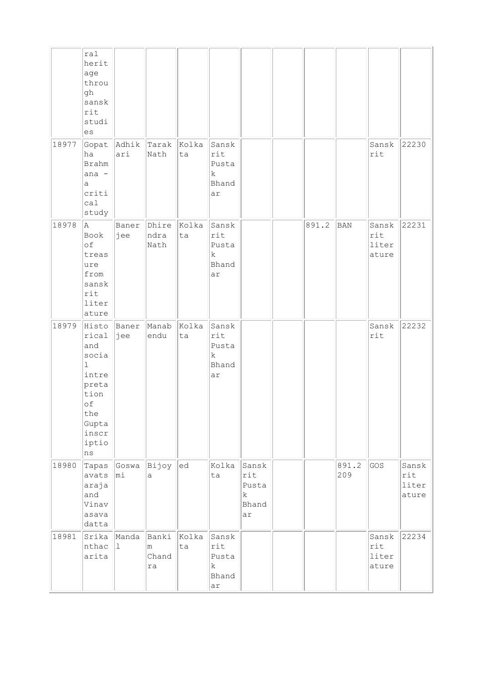|       | ral<br>herit<br>age<br>throu<br>gh<br>sansk<br>rit<br>studi<br>es                                                     |                 |                           |             |                                                     |                                                     |       |              |                                |                                |
|-------|-----------------------------------------------------------------------------------------------------------------------|-----------------|---------------------------|-------------|-----------------------------------------------------|-----------------------------------------------------|-------|--------------|--------------------------------|--------------------------------|
| 18977 | Gopat<br>ha<br><b>Brahm</b><br>ana -<br>a<br>criti<br>cal<br>study                                                    | Adhik<br>ari    | Tarak<br>Nath             | Kolka<br>ta | Sansk<br>rit<br>Pusta<br>k<br>Bhand<br>ar           |                                                     |       |              | Sansk<br>rit                   | 22230                          |
| 18978 | A<br>Book<br>of<br>treas<br>ure<br>from<br>sansk<br>rit<br>liter<br>ature                                             | Baner<br>jee    | Dhire<br>ndra<br>Nath     | Kolka<br>ta | Sansk<br>rit<br>Pusta<br>$\mathbf k$<br>Bhand<br>ar |                                                     | 891.2 | BAN          | Sansk<br>rit<br>liter<br>ature | 22231                          |
| 18979 | Histo<br>rical<br>and<br>socia<br>$\mathbf 1$<br>intre<br>preta<br>tion<br>of<br>the<br>Gupta<br>inscr<br>iptio<br>ns | Baner<br>jee    | Manab<br>endu             | Kolka<br>ta | Sansk<br>rit<br>Pusta<br>k<br>Bhand<br>ar           |                                                     |       |              | Sansk<br>rit                   | 22232                          |
| 18980 | Tapas<br>avats<br>araja<br>and<br>Vinav<br>asava<br>datta                                                             | Goswa<br>$ m_1$ | Bijoy<br>a                | ed          | Kolka<br>ta                                         | Sansk<br>rit<br>Pusta<br>$\mathbf k$<br>Bhand<br>ar |       | 891.2<br>209 | GOS                            | Sansk<br>rit<br>liter<br>ature |
| 18981 | Srika<br>nthac<br>arita                                                                                               | Manda<br>1      | Banki<br>m<br>Chand<br>ra | Kolka<br>ta | Sansk<br>rit<br>Pusta<br>$\mathbf k$<br>Bhand<br>ar |                                                     |       |              | Sansk<br>rit<br>liter<br>ature | 22234                          |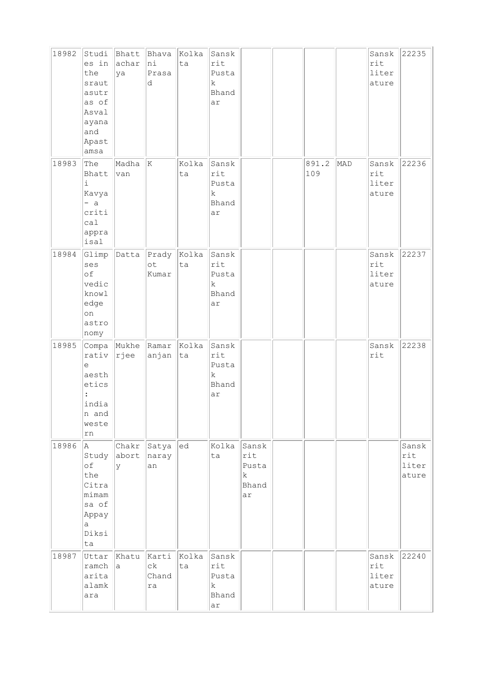| 18982 | Studi<br>es in<br>the<br>sraut<br>asutr<br>as of<br>Asval<br>ayana<br>and<br>Apast<br>amsa | achar<br>ya               | Bhatt Bhava<br>hi<br>Prasa<br>d         | Kolka<br>ta | Sansk<br>rit<br>Pusta<br>k<br>Bhand<br>ar       |                                                     |              |     | Sansk<br>rit<br>liter<br>ature | 22235                          |
|-------|--------------------------------------------------------------------------------------------|---------------------------|-----------------------------------------|-------------|-------------------------------------------------|-----------------------------------------------------|--------------|-----|--------------------------------|--------------------------------|
| 18983 | The<br>Bhatt<br>i<br>Kavya<br>$- a$<br>criti<br>ca1<br>appra<br>isal                       | Madha<br>van              | ΙK                                      | Kolka<br>ta | Sansk<br>rit<br>Pusta<br>$\rm k$<br>Bhand<br>ar |                                                     | 891.2<br>109 | MAD | Sansk<br>rit<br>liter<br>ature | 22236                          |
| 18984 | Glimp<br>ses<br>оf<br>vedic<br>knowl<br>edge<br>on<br>astro<br>nomy                        |                           | Datta Prady Kolka<br>$\circ t$<br>Kumar | ta          | Sansk<br>rit<br>Pusta<br>k<br>Bhand<br>ar       |                                                     |              |     | Sansk<br>rit<br>liter<br>ature | 22237                          |
| 18985 | rativ<br>е<br>aesth<br>etics<br>india<br>n and<br>weste<br>rn                              | Compa Mukhe Ramar<br>rjee | anjan                                   | Kolka<br>ta | Sansk<br>rit<br>Pusta<br>k<br>Bhand<br>ar       |                                                     |              |     | Sansk<br>rit                   | 22238                          |
| 18986 | la.<br>Study<br>оf<br>the<br>Citra<br>mimam<br>sa of<br>Appay<br>а<br>Diksi<br>ta          | abort naray<br>y          | Chakr Satya<br>an                       | ed          | Kolka<br>ta                                     | Sansk<br>rit<br>Pusta<br>$\mathbf k$<br>Bhand<br>ar |              |     |                                | Sansk<br>rit<br>liter<br>ature |
| 18987 | Uttar<br>ramch<br>arita<br>alamk<br>ara                                                    | Khatu<br>$\mathsf{a}$     | Karti<br>сk<br>Chand<br>ra              | Kolka<br>ta | Sansk<br>rit<br>Pusta<br>k<br>Bhand<br>ar       |                                                     |              |     | Sansk<br>rit<br>liter<br>ature | 22240                          |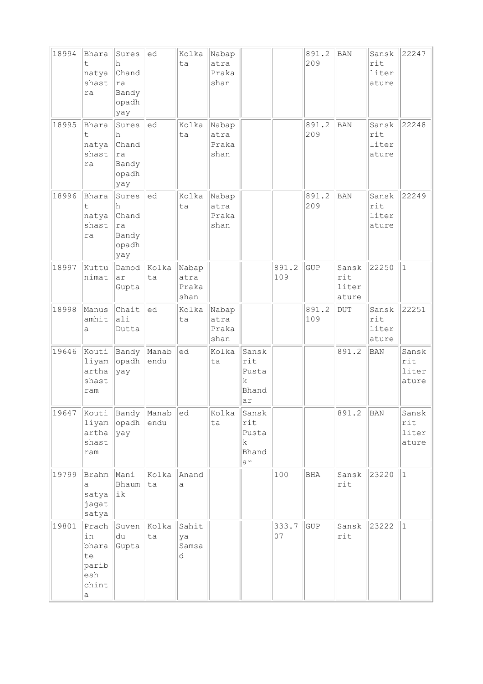| 18994 | Bhara<br>t<br>natya<br>shast<br>ra                       | Sures<br>h<br>Chand<br>ra<br>Bandy<br>opadh<br>yay | ed            | Kolka<br>ta                    | Nabap<br>atra<br>Praka<br>shan |                                           |              | 891.2<br>209 | <b>BAN</b>                     | Sansk<br>rit<br>liter<br>ature | 22247                          |
|-------|----------------------------------------------------------|----------------------------------------------------|---------------|--------------------------------|--------------------------------|-------------------------------------------|--------------|--------------|--------------------------------|--------------------------------|--------------------------------|
| 18995 | Bhara<br>t<br>natya<br>shast<br>ra                       | Sures<br>h<br>Chand<br>ra<br>Bandy<br>opadh<br>yay | ed            | Kolka<br>ta                    | Nabap<br>atra<br>Praka<br>shan |                                           |              | 891.2<br>209 | <b>BAN</b>                     | Sansk<br>rit<br>liter<br>ature | 22248                          |
| 18996 | Bhara<br>t<br>natya<br>shast<br>ra                       | Sures<br>h<br>Chand<br>ra<br>Bandy<br>opadh<br>yay | $ $ ed        | Kolka<br>ta                    | Nabap<br>atra<br>Praka<br>shan |                                           |              | 891.2<br>209 | <b>BAN</b>                     | Sansk<br>rit<br>liter<br>ature | 22249                          |
| 18997 | Kuttu<br>nimat                                           | Damod<br>ar<br>Gupta                               | Kolka<br>ta   | Nabap<br>atra<br>Praka<br>shan |                                |                                           | 891.2<br>109 | GUP          | Sansk<br>rit<br>liter<br>ature | 22250                          | $\vert$ 1                      |
| 18998 | Manus<br>amhit<br>a                                      | Chait<br>ali<br>Dutta                              | led           | Kolka<br>ta                    | Nabap<br>atra<br>Praka<br>shan |                                           |              | 891.2<br>109 | <b>DUT</b>                     | Sansk<br>rit<br>liter<br>ature | 22251                          |
| 19646 | Kouti<br>liyam<br>artha<br>shast<br>ram                  | Bandy Manab<br>opadh<br>yay                        | endu          | ed                             | Kolka<br>ta                    | Sansk<br>rit<br>Pusta<br>k<br>Bhand<br>ar |              |              | 891.2                          | <b>BAN</b>                     | Sansk<br>rit<br>liter<br>ature |
| 19647 | Kouti<br>liyam<br>artha<br>shast<br>ram                  | Bandy<br>opadh<br> yay                             | Manab<br>endu | ed                             | Kolka<br>ta                    | Sansk<br>rit<br>Pusta<br>k<br>Bhand<br>ar |              |              | 891.2                          | BAN                            | Sansk<br>rit<br>liter<br>ature |
| 19799 | Brahm<br>а<br>satya<br>jagat<br>satya                    | Mani<br>Bhaum<br> ik                               | Kolka<br>ta   | Anand<br>а                     |                                |                                           | 100          | BHA          | Sansk<br>rit                   | 23220                          | $ 1\rangle$                    |
| 19801 | Prach<br>in<br>bhara<br>te<br>parib<br>esh<br>chint<br>а | Suven<br>du<br>Gupta                               | Kolka<br>ta   | Sahit<br>ya<br>Samsa<br>d      |                                |                                           | 333.7<br>07  | <b>GUP</b>   | Sansk<br>rit                   | 23222                          | $ 1\rangle$                    |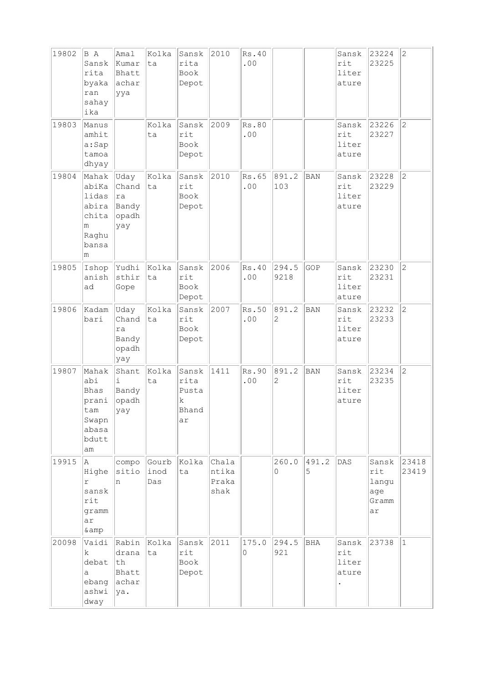| 19802 | B A<br>Sansk<br>rita<br>byaka<br>ran<br>sahay<br>ika                         | Amal<br>Kumar<br>Bhatt<br>achar<br>ууа        | Kolka<br>ta          | Sansk<br>rita<br>Book<br>Depot             | 2010                            | Rs.40<br>$\boldsymbol{\mathsf{.00}}$ |                         |            | Sansk<br>rit<br>liter<br>ature | 23224<br>23225                              | $\overline{2}$ |
|-------|------------------------------------------------------------------------------|-----------------------------------------------|----------------------|--------------------------------------------|---------------------------------|--------------------------------------|-------------------------|------------|--------------------------------|---------------------------------------------|----------------|
| 19803 | Manus<br>amhit<br>a:Sap<br>tamoa<br>dhyay                                    |                                               | Kolka<br>ta          | Sansk<br>rit<br>Book<br>Depot              | 2009                            | Rs.80<br>.00                         |                         |            | Sansk<br>rit<br>liter<br>ature | 23226<br>23227                              | $\overline{2}$ |
| 19804 | Mahak<br>abiKa<br>lidas<br>abira<br>chita<br>m<br>Raghu<br>bansa<br>m        | Uday<br>Chand<br>ra<br>Bandy<br>opadh<br>yay  | Kolka<br>ta          | Sansk<br>rit<br>Book<br>Depot              | 2010                            | Rs.65<br>.00                         | 891.2<br>103            | <b>BAN</b> | Sansk<br>rit<br>liter<br>ature | 23228<br>23229                              | $\overline{c}$ |
| 19805 | Ishop<br>anish<br>ad                                                         | Yudhi<br>sthir<br>Gope                        | Kolka<br>ta          | Sansk<br>rit<br>Book<br>Depot              | 2006                            | Rs.40<br>.00                         | 294.5<br>9218           | GOP        | Sansk<br>rit<br>liter<br>ature | 23230<br>23231                              | $\overline{2}$ |
| 19806 | Kadam<br>bari                                                                | Uday<br>Chand<br>ra<br>Bandy<br>opadh<br>yay  | Kolka<br>ta          | Sansk<br>rit<br>Book<br>Depot              | 2007                            | Rs.50<br>$\boldsymbol{\mathsf{.00}}$ | 891.2<br>$\overline{c}$ | <b>BAN</b> | Sansk<br>rit<br>liter<br>ature | 23232<br>23233                              | $ 2\rangle$    |
| 19807 | Mahak<br>abi<br><b>Bhas</b><br>prani<br>tam<br>Swapn<br>abasa<br>bdutt<br>am | Shant<br>i<br>Bandy<br>opadh<br>yay           | Kolka<br>ta          | Sansk<br>rita<br>Pusta<br>k<br>Bhand<br>ar | 1411                            | Rs.90<br>.00                         | 891.2<br>$\overline{c}$ | <b>BAN</b> | Sansk<br>rit<br>liter<br>ature | 23234<br>23235                              | $\overline{c}$ |
| 19915 | A<br>Highe<br>r<br>sansk<br>rit<br>gramm<br>ar<br>& amp                      | compo<br>sitio<br>n                           | Gourb<br>inod<br>Das | Kolka<br>ta                                | Chala<br>ntika<br>Praka<br>shak |                                      | 260.0<br>0              | 491.2<br>5 | DAS                            | Sansk<br>rit<br>langu<br>age<br>Gramm<br>ar | 23418<br>23419 |
| 20098 | Vaidi<br>k.<br>debat<br>a<br>ebang<br>ashwi<br>dway                          | Rabin<br>drana<br>th<br>Bhatt<br>achar<br>ya. | Kolka<br>ta          | Sansk<br>rit<br>Book<br>Depot              | 2011                            | 175.0<br>0                           | 294.5<br>921            | <b>BHA</b> | Sansk<br>rit<br>liter<br>ature | 23738                                       | $\vert$ 1      |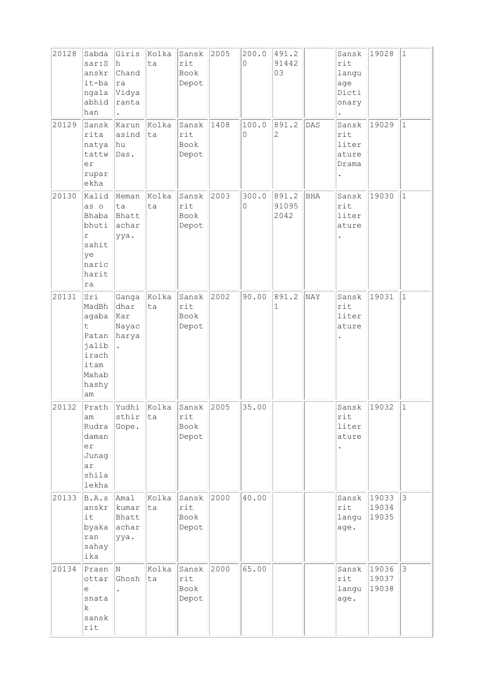| 20128 | Sabda<br>sar:S<br>anskr<br>it-ba<br>ngala<br>abhid<br>han                             | Giris<br>h.<br>Chand<br> ra<br> Vidya<br>ranta | Kolka<br>ta | Sansk<br>rit<br>Book<br>Depot | 2005 | 200.0<br>0 | 491.2<br>91442<br>03   |            | Sansk<br>rit<br>langu<br>age<br>Dicti<br>onary                  | 19028                   | $\vert$ 1      |
|-------|---------------------------------------------------------------------------------------|------------------------------------------------|-------------|-------------------------------|------|------------|------------------------|------------|-----------------------------------------------------------------|-------------------------|----------------|
| 20129 | Sansk<br>rita<br>natya<br>tattw<br>er<br>rupar<br>ekha                                | Karun<br>asind<br>hu<br>Das.                   | Kolka<br>ta | Sansk<br>rit<br>Book<br>Depot | 1408 | 100.0<br>0 | 891.2<br>2             | DAS        | Sansk<br>rit<br>liter<br>ature<br>Drama<br>$\ddot{\phantom{0}}$ | 19029                   | $\vert$ 1      |
| 20130 | Kalid<br>as o<br>Bhaba<br>bhuti<br>$\Upsilon$<br>sahit<br>ye<br>naric<br>harit<br>ra  | Heman<br>ta<br>Bhatt<br>achar<br>ууа.          | Kolka<br>ta | Sansk<br>rit<br>Book<br>Depot | 2003 | 300.0<br>0 | 891.2<br>91095<br>2042 | <b>BHA</b> | Sansk<br>rit<br>liter<br>ature                                  | 19030                   | $\vert$ 1      |
| 20131 | Sri<br>MadBh<br>agaba<br>t<br>Patan<br>jalib<br>irach<br>itam<br>Mahab<br>hashy<br>am | Ganga<br>dhar<br>kar<br>Nayac<br>harya         | Kolka<br>ta | Sansk<br>rit<br>Book<br>Depot | 2002 | 90.00      | 891.2<br>1             | NAY        | Sansk<br>rit<br>liter<br>ature                                  | 19031                   | $\vert$ 1      |
| 20132 | Prath<br>am<br>Rudra<br>daman<br>er<br>Junag<br>ar<br>shila<br>lekha                  | Yudhi<br>sthir<br>Gope.                        | Kolka<br>ta | Sansk<br>rit<br>Book<br>Depot | 2005 | 35.00      |                        |            | Sansk<br>rit<br>liter<br>ature                                  | 19032                   | 11.            |
| 20133 | B.A.s<br>anskr<br>it<br>byaka<br>ran<br>sahay<br>ika                                  | Amal<br>kumar<br>Bhatt<br>achar<br>ууа.        | Kolka<br>ta | Sansk<br>rit<br>Book<br>Depot | 2000 | 40.00      |                        |            | Sansk<br>rit<br>langu<br>age.                                   | 19033<br>19034<br>19035 | $\mathbf{3}$   |
| 20134 | Prasn<br>ottar<br>e<br>snata<br>$\mathbf k$<br>sansk<br>rit                           | N.<br>Ghosh                                    | Kolka<br>ta | Sansk<br>rit<br>Book<br>Depot | 2000 | 65.00      |                        |            | Sansk<br>rit<br>langu<br>age.                                   | 19036<br>19037<br>19038 | $\mathfrak{Z}$ |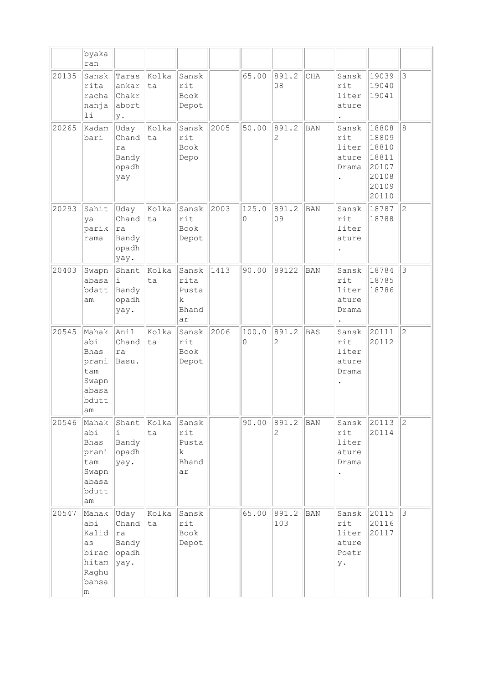|       | byaka<br>ran                                                                 |                                                |             |                                            |      |            |                         |            |                                               |                                                                      |                |
|-------|------------------------------------------------------------------------------|------------------------------------------------|-------------|--------------------------------------------|------|------------|-------------------------|------------|-----------------------------------------------|----------------------------------------------------------------------|----------------|
| 20135 | Sansk<br>rita<br>racha<br>nanja<br>$1\,\mathrm{i}$                           | Taras<br>ankar<br>Chakr<br>abort<br>у.         | Kolka<br>ta | Sansk<br>rit<br>Book<br>Depot              |      | 65.00      | 891.2<br>08             | CHA        | Sansk<br>rit<br>liter<br>ature                | 19039<br>19040<br>19041                                              | 3              |
| 20265 | Kadam<br>bari                                                                | Uday<br>Chand<br>ra<br>Bandy<br>opadh<br>yay   | Kolka<br>ta | Sansk<br>rit<br>Book<br>Depo               | 2005 | 50.00      | 891.2<br>2              | <b>BAN</b> | Sansk<br>rit<br>liter<br>ature<br>Drama       | 18808<br>18809<br>18810<br>18811<br>20107<br>20108<br>20109<br>20110 | 8              |
| 20293 | Sahit<br>ya<br>parik<br>rama                                                 | Uday<br>Chand<br>ra<br>Bandy<br>opadh<br>yay.  | Kolka<br>ta | Sansk<br>rit<br>Book<br>Depot              | 2003 | 125.0<br>0 | 891.2<br>09             | <b>BAN</b> | Sansk<br>rit<br>liter<br>ature                | 18787<br>18788                                                       | $\overline{c}$ |
| 20403 | Swapn<br>abasa<br>bdatt<br>am                                                | Shant<br>i.<br>Bandy<br>opadh<br>yay.          | Kolka<br>ta | Sansk<br>rita<br>Pusta<br>k<br>Bhand<br>ar | 1413 | 90.00      | 89122                   | BAN        | Sansk<br>rit<br>liter<br>ature<br>Drama       | 18784<br>18785<br>18786                                              | 3              |
| 20545 | Mahak<br>abi<br><b>Bhas</b><br>prani<br>tam<br>Swapn<br>abasa<br>bdutt<br>am | Anil<br>Chand<br>ra<br>Basu.                   | Kolka<br>ta | Sansk<br>rit<br>Book<br>Depot              | 2006 | 100.0<br>0 | 891.2<br>$\overline{c}$ | <b>BAS</b> | Sansk<br>rit<br>liter<br>ature<br>Drama       | 20111<br>20112                                                       | $\overline{c}$ |
| 20546 | Mahak<br>abi<br>Bhas<br>prani<br>tam<br>Swapn<br>abasa<br>bdutt<br>am        | Shant<br>i<br>Bandy<br>opadh<br>yay.           | Kolka<br>ta | Sansk<br>rit<br>Pusta<br>k<br>Bhand<br>ar  |      | 90.00      | 891.2<br>2              | <b>BAN</b> | Sansk<br>rit<br>liter<br>ature<br>Drama       | 20113<br>20114                                                       | $\overline{c}$ |
| 20547 | Mahak<br>abi<br>Kalid<br>as<br>birac<br>hitam<br>Raghu<br>bansa<br>m         | Uday<br>Chand<br> ra<br>Bandy<br>opadh<br>yay. | Kolka<br>ta | Sansk<br>rit<br>Book<br>Depot              |      | 65.00      | 891.2<br>103            | <b>BAN</b> | Sansk<br>rit<br>liter<br>ature<br>Poetr<br>у. | 20115<br>20116<br>20117                                              | 3              |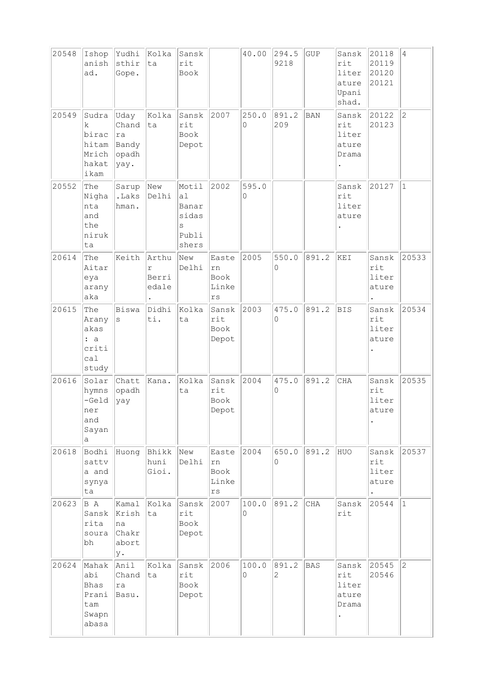| 20548 | Ishop<br>anish<br>ad.                                  | Yudhi<br>sthir<br>Gope.                       | Kolka<br>ta                           | Sansk<br>rit<br>Book                                 |                                                        | 40.00      | 294.5<br>9218        | <b>GUP</b> | Sansk<br>rit<br>liter<br>ature<br>Upani<br>shad. | 20118<br>20119<br>20120<br>20121 | $\overline{4}$ |
|-------|--------------------------------------------------------|-----------------------------------------------|---------------------------------------|------------------------------------------------------|--------------------------------------------------------|------------|----------------------|------------|--------------------------------------------------|----------------------------------|----------------|
| 20549 | Sudra<br>k<br>birac<br>hitam<br>Mrich<br>hakat<br>ikam | Uday<br>Chand<br>ra<br>Bandy<br>opadh<br>yay. | Kolka<br>lta                          | Sansk<br>rit<br>Book<br>Depot                        | 2007                                                   | 250.0<br>0 | 891.2<br>209         | <b>BAN</b> | Sansk<br>rit<br>liter<br>ature<br>Drama          | 20122<br>20123                   | $\overline{c}$ |
| 20552 | The<br>Nigha<br>nta<br>and<br>the<br>niruk<br>ta       | Sarup<br>.Laks<br>hman.                       | New<br>Delhi                          | Motil<br>a1<br>Banar<br>sidas<br>S<br>Publi<br>shers | 2002                                                   | 595.0<br>0 |                      |            | Sansk<br>rit<br>liter<br>ature                   | 20127                            | $\mathbf{1}$   |
| 20614 | The<br>Aitar<br>eya<br>arany<br>aka                    | Keith                                         | Arthu<br>$\Upsilon$<br>Berri<br>edale | New<br>Delhi                                         | Easte<br>rn<br>Book<br>Linke<br>rs                     | 2005       | 550.0<br>0           | 891.2      | KEI                                              | Sansk<br>rit<br>liter<br>ature   | 20533          |
| 20615 | The<br>Arany<br>akas<br>: a<br>criti<br>ca1<br>study   | Biswa<br>$\rm s$                              | Didhi<br>ti.                          | Kolka<br>ta                                          | Sansk<br>rit<br>Book<br>Depot                          | 2003       | 475.0<br>0           | 891.2      | <b>BIS</b>                                       | Sansk<br>rit<br>liter<br>ature   | 20534          |
| 20616 | Solar<br>hymns<br>$-Ge1d$<br>ner<br>and<br>Sayan<br>а  | Chatt<br>opadh<br>yay                         | Kana.                                 | Kolka<br>ta                                          | Sansk<br>rit<br>Book<br>Depot                          | 2004       | 475.0<br>$\mathbf 0$ | 891.2      | <b>CHA</b>                                       | Sansk<br>rit<br>liter<br>ature   | 20535          |
| 20618 | Bodhi<br>sattv<br>a and<br>synya<br>ta                 | Huong                                         | Bhikk<br>huni<br>Gioi.                | New<br>Delhi                                         | Easte<br>rn<br>Book<br>Linke<br>$\mathtt{r}\mathtt{s}$ | 2004       | 650.0<br>0           | 891.2      | HUO                                              | Sansk<br>rit<br>liter<br>ature   | 20537          |
| 20623 | B A<br>Sansk<br>rita<br>soura<br>bh                    | Kamal<br>Krish<br> na<br>Chakr<br>abort<br>y. | Kolka<br> ta                          | Sansk<br>rit<br>Book<br>Depot                        | 2007                                                   | 100.0<br>0 | 891.2                | <b>CHA</b> | Sansk<br>rit                                     | 20544                            | $\vert$ 1      |
| 20624 | Mahak<br>abi<br>Bhas<br>Prani<br>tam<br>Swapn<br>abasa | Anil<br>Chand<br>ra<br>Basu.                  | Kolka<br> ta                          | Sansk<br>rit<br>Book<br>Depot                        | 2006                                                   | 100.0<br>0 | 891.2<br>2           | BAS        | Sansk<br>rit<br>liter<br>ature<br>Drama          | 20545<br>20546                   | $\overline{c}$ |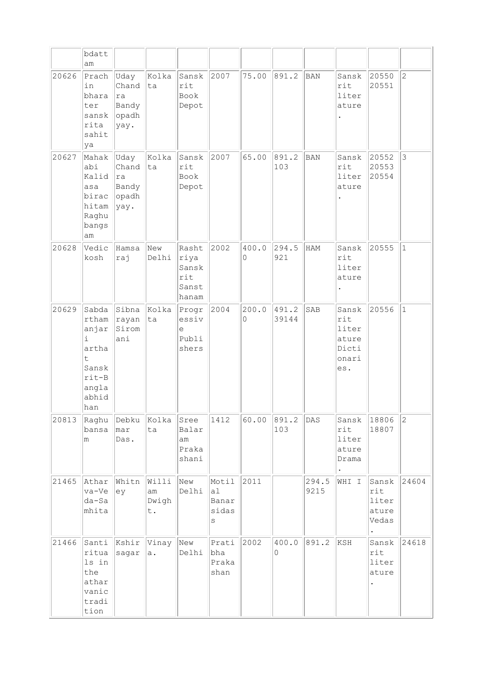|       | bdatt<br>am                                                                                              |                                               |                            |                                                 |                                    |            |                |               |                                                         |                                                                 |                |
|-------|----------------------------------------------------------------------------------------------------------|-----------------------------------------------|----------------------------|-------------------------------------------------|------------------------------------|------------|----------------|---------------|---------------------------------------------------------|-----------------------------------------------------------------|----------------|
| 20626 | Prach<br>in<br>bhara<br>ter<br>sansk<br>rita<br>sahit<br>ya                                              | Uday<br>Chand<br>ra<br>Bandy<br>opadh<br>yay. | Kolka<br>ta                | Sansk<br>rit<br>Book<br>Depot                   | 2007                               | 75.00      | 891.2          | BAN           | Sansk<br>rit<br>liter<br>ature                          | 20550<br>20551                                                  | $\overline{2}$ |
| 20627 | Mahak<br>abi<br>Kalid<br>asa<br>birac<br>hitam<br>Raghu<br>bangs<br>am                                   | Uday<br>Chand<br>ra<br>Bandy<br>opadh<br>yay. | Kolka<br>ta                | Sansk<br>rit<br>Book<br>Depot                   | 2007                               | 65.00      | 891.2<br>103   | BAN           | Sansk<br>rit<br>liter<br>ature                          | 20552<br>20553<br>20554                                         | 3              |
| 20628 | Vedic<br>kosh                                                                                            | Hamsa<br>raj                                  | New<br>Delhi               | Rasht<br>riya<br>Sansk<br>rit<br>Sanst<br>hanam | 2002                               | 400.0<br>0 | 294.5<br>921   | HAM           | Sansk<br>rit<br>liter<br>ature                          | 20555                                                           | $\mathbf{1}$   |
| 20629 | Sabda<br>rtham<br>anjar<br>$\dot{\mathbb{1}}$<br>artha<br>t<br>Sansk<br>$rit-B$<br>angla<br>abhid<br>han | Sibna<br>rayan<br>Sirom<br>ani                | Kolka<br>ta                | Progr<br>essiv<br>e<br>Publi<br>shers           | 2004                               | 200.0<br>0 | 491.2<br>39144 | SAB           | Sansk<br>rit<br>liter<br>ature<br>Dicti<br>onari<br>es. | 20556                                                           | $\mathbf{1}$   |
| 20813 | Raghu<br>bansa<br>m                                                                                      | Debku<br>mar<br>Das.                          | Kolka<br>ta                | Sree<br>Balar<br>am<br>Praka<br>shani           | 1412                               | 60.00      | 891.2<br>103   | DAS           | Sansk<br>rit<br>liter<br>ature<br>Drama                 | 18806<br>18807                                                  | $\overline{2}$ |
| 21465 | Athar<br>va-Ve<br>da-Sa<br>mhita                                                                         | Whitn<br>ey                                   | Willi<br>am<br>Dwigh<br>t. | New<br>Delhi                                    | Motil<br>al<br>Banar<br>sidas<br>S | 2011       |                | 294.5<br>9215 | WHI I                                                   | Sansk<br>$\texttt{rit}$<br>liter<br>ature<br>Vedas<br>$\bullet$ | 24604          |
| 21466 | Santi<br>ritua<br>ls in<br>the<br>athar<br>vanic<br>tradi<br>tion                                        | Kshir<br>sagar                                | Vinay<br>a.                | New<br>Delhi                                    | Prati<br>bha<br>Praka<br>shan      | 2002       | 400.0<br>0     | 891.2         | KSH                                                     | Sansk<br>rit<br>liter<br>ature                                  | 24618          |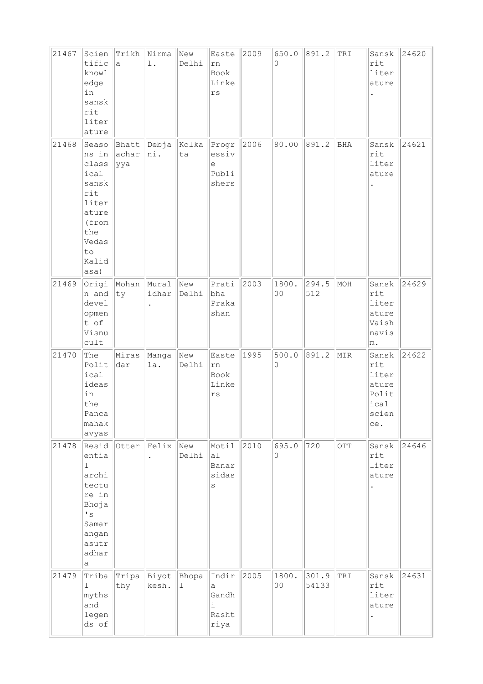| 21467 | Scien                                                                                                                       | Trikh                   | Nirma          | New                  | Easte                                         | 2009 | 650.0       | 891.2          | TRI | Sansk                                                           | 24620 |
|-------|-----------------------------------------------------------------------------------------------------------------------------|-------------------------|----------------|----------------------|-----------------------------------------------|------|-------------|----------------|-----|-----------------------------------------------------------------|-------|
|       | tific<br>knowl<br>edge<br>in<br>sansk<br>rit<br>liter<br>ature                                                              | a                       | l.             | Delhi                | rn<br>Book<br>Linke<br>$\mathtt{rs}$          |      | $\circ$     |                |     | rit<br>liter<br>ature                                           |       |
| 21468 | Seaso<br>ns in<br>class<br>ical<br>sansk<br>rit<br>liter<br>ature<br>(from<br>the<br>Vedas<br>to<br>Kalid<br>asa)           | Bhatt<br>achar<br>ууа   | Debja<br>ni.   | Kolka<br>ta          | Progr<br>essiv<br>е<br>Publi<br>shers         | 2006 | 80.00       | 891.2          | BHA | Sansk<br>rit<br>liter<br>ature                                  | 24621 |
| 21469 | n and<br>devel<br>opmen<br>t of<br>Visnu<br>cutt                                                                            | Origi Mohan Mural<br>ty | idhar          | New<br>Delhi         | Prati<br>bha<br>Praka<br>shan                 | 2003 | 1800.<br>00 | 294.5<br>512   | MOH | Sansk<br>rit<br>liter<br>ature<br>Vaish<br>navis<br>m.          | 24629 |
| 21470 | The<br>Polit<br>ical<br>ideas<br>in<br>the<br>Panca<br>mahak<br>avyas                                                       | Miras<br>dar            | Manga<br>la.   | New<br>Delhi         | Easte<br>rn<br>Book<br>Linke<br>$\mathtt{rs}$ | 1995 | 500.0<br>0  | 891.2          | MIR | Sansk<br>rit<br>liter<br>ature<br>Polit<br>ical<br>scien<br>ce. | 24622 |
| 21478 | Resid<br>entia<br>$\mathbf{1}$<br>archi<br>tectu<br>re in<br>Bhoja<br>$\mathbf{F}$<br>Samar<br>angan<br>asutr<br>adhar<br>а | Otter                   | Felix          | New<br>Delhi         | Motil<br>a1<br>Banar<br>sidas<br>$\rm s$      | 2010 | 695.0<br>0  | 720            | OTT | Sansk<br>rit<br>liter<br>ature                                  | 24646 |
| 21479 | Triba<br>$\mathbf{1}$<br>myths<br>and<br>legen<br>ds of                                                                     | Tripa<br>thy            | Biyot<br>kesh. | Bhopa<br>$\mathbf 1$ | Indir<br>a<br>Gandh<br>i<br>Rasht<br>riya     | 2005 | 1800.<br>00 | 301.9<br>54133 | TRI | Sansk<br>rit<br>liter<br>ature                                  | 24631 |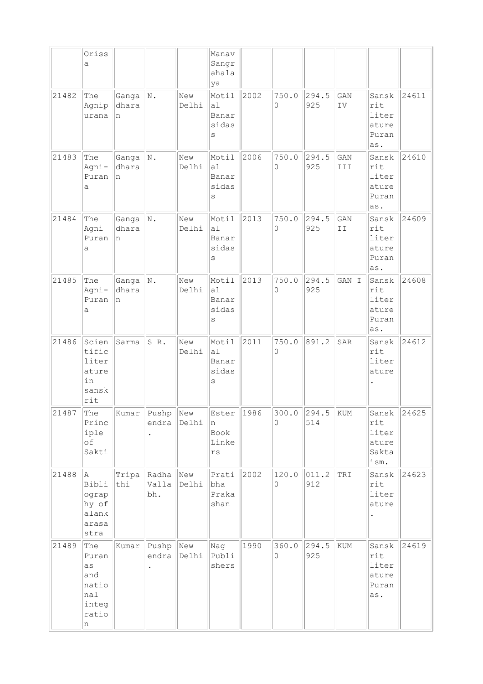|       | Oriss<br>a                                                       |                       |                           |              | Manav<br>Sangr<br>ahala<br>ya                |      |                        |              |            |                                                 |       |
|-------|------------------------------------------------------------------|-----------------------|---------------------------|--------------|----------------------------------------------|------|------------------------|--------------|------------|-------------------------------------------------|-------|
| 21482 | The<br>Agnip<br>urana                                            | Ganga<br>dhara<br>n   | N.                        | New<br>Delhi | Motil<br>al<br>Banar<br>sidas<br>S           | 2002 | 750.0<br>0             | 294.5<br>925 | GAN<br>IV  | Sansk<br>rit<br>liter<br>ature<br>Puran<br>as.  | 24611 |
| 21483 | The<br>Agni-<br>Puran<br>a                                       | Ganga<br>dhara<br>n   | $ N$ .                    | New<br>Delhi | Motil<br>a1<br>Banar<br>sidas<br>S           | 2006 | 750.0<br>0             | 294.5<br>925 | GAN<br>III | Sansk<br>rit<br>liter<br>ature<br>Puran<br>as.  | 24610 |
| 21484 | The<br>Agni<br>Puran<br>a                                        | Ganga<br>dhara<br>n   | $ N$ .                    | New<br>Delhi | Motil<br>a1<br>Banar<br>sidas<br>S           | 2013 | 750.0<br>0             | 294.5<br>925 | GAN<br>ΙI  | Sansk<br>rit<br>liter<br>ature<br>Puran<br>as.  | 24609 |
| 21485 | The<br>Agni-<br>Puran<br>a                                       | Ganga<br>dhara<br>In. | $ N$ .                    | New<br>Delhi | Motil<br>al<br>Banar<br>sidas<br>S           | 2013 | 750.0<br>0             | 294.5<br>925 | GAN I      | Sansk<br>rit<br>liter<br>ature<br>Puran<br>as.  | 24608 |
| 21486 | Scien<br>tific<br>liter<br>ature<br>in<br>sansk<br>rit           | Sarma                 | SR.                       | New<br>Delhi | Motil<br>a1<br>Banar<br>sidas<br>S           | 2011 | 750.0<br>0             | 891.2        | SAR        | Sansk<br>rit<br>liter<br>ature                  | 24612 |
| 21487 | The<br>Princ<br>iple<br>of<br>Sakti                              |                       | Kumar Pushp New<br>endra  | Delhi        | Ester<br>n<br>Book<br>Linke<br>$\mathtt{rs}$ | 1986 | $300.0$ 294.5 KUM<br>0 | 514          |            | Sansk<br>rit<br>liter<br>ature<br>Sakta<br>ism. | 24625 |
| 21488 | A<br>Bibli<br>ograp<br>hy of<br>alank<br>arasa<br>stra           | Tripa<br>thi          | Radha New<br>Valla<br>bh. | Delhi        | Prati<br>bha<br>Praka<br>shan                | 2002 | 120.0<br>0             | 011.2<br>912 | TRI        | Sansk<br>rit<br>liter<br>ature                  | 24623 |
| 21489 | The<br>Puran<br>as<br>and<br>natio<br>nal<br>integ<br>ratio<br>n | Kumar                 | Pushp New                 | endra Delhi  | Nag<br>Publi<br>shers                        | 1990 | 360.0<br>0             | 294.5<br>925 | KUM        | Sansk<br>rit<br>liter<br>ature<br>Puran<br>as.  | 24619 |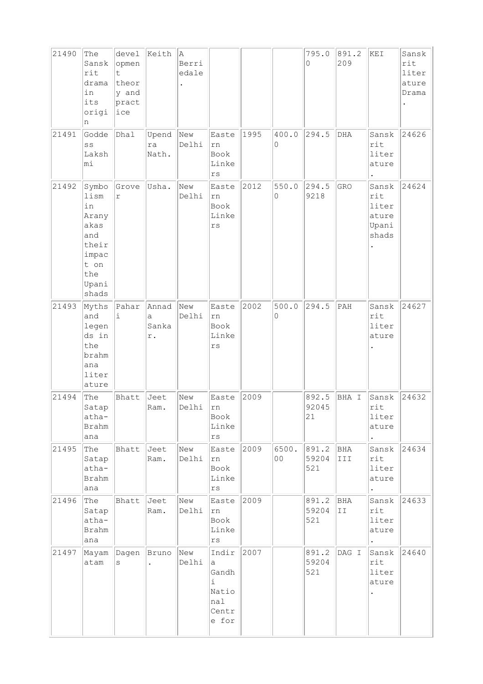| 21490 | The<br>Sansk<br>rit<br>drama<br>in<br>its<br>origi<br>n                                        | devel<br>opmen<br>t.<br>theor<br>y and<br>pract<br>lice | Keith                     | A<br>Berri<br>edale |                                                                |      |             | 795.0<br>0            | 891.2<br>209   | KEI                                              | Sansk<br>rit<br>liter<br>ature<br>Drama |
|-------|------------------------------------------------------------------------------------------------|---------------------------------------------------------|---------------------------|---------------------|----------------------------------------------------------------|------|-------------|-----------------------|----------------|--------------------------------------------------|-----------------------------------------|
| 21491 | Godde<br>$\mathbf S\mathbf S$<br>Laksh<br>mi                                                   | Dhal                                                    | Upend<br>ra<br>Nath.      | New<br>Delhi        | Easte<br>rn<br>Book<br>Linke<br>$\mathtt{r}\mathtt{s}$         | 1995 | 400.0<br>0  | 294.5                 | $_{\rm DHA}$   | Sansk<br>rit<br>liter<br>ature                   | 24626                                   |
| 21492 | Symbo<br>lism<br>in<br>Arany<br>akas<br>and<br>their<br>impac<br>t on<br>the<br>Upani<br>shads | Grove<br>$\Upsilon$                                     | Usha.                     | New<br>Delhi        | Easte<br>rn<br>Book<br>Linke<br>rs                             | 2012 | 550.0<br>0  | 294.5<br>9218         | GRO            | Sansk<br>rit<br>liter<br>ature<br>Upani<br>shads | 24624                                   |
| 21493 | Myths<br>and<br>legen<br>ds in<br>the<br>brahm<br>ana<br>liter<br>ature                        | Pahar<br>i                                              | Annad<br>a<br>Sanka<br>r. | New<br>Delhi        | Easte<br>rn<br>Book<br>Linke<br>rs                             | 2002 | 500.0<br>0  | 294.5                 | $\mathtt{PAH}$ | Sansk<br>rit<br>liter<br>ature                   | 24627                                   |
| 21494 | The<br>Satap<br>atha-<br>Brahm<br>ana                                                          | Bhatt                                                   | Jeet<br>Ram.              | New<br>Delhi        | Easte<br>rn<br>Book<br>Linke<br>$\mathtt{r}\mathtt{s}$         | 2009 |             | 892.5<br>92045<br>21  | BHA I          | Sansk<br>rit<br>liter<br>ature                   | 24632                                   |
| 21495 | The<br>Satap<br>atha-<br><b>Brahm</b><br>ana                                                   | Bhatt                                                   | Jeet<br>Ram.              | New<br>Delhi        | Easte<br>rn<br>Book<br>Linke<br>$\mathtt{rs}$                  | 2009 | 6500.<br>00 | 891.2<br>59204<br>521 | BHA<br>III     | Sansk<br>rit<br>liter<br>ature                   | 24634                                   |
| 21496 | The<br>Satap<br>atha-<br><b>Brahm</b><br>ana                                                   | Bhatt                                                   | Jeet<br>Ram.              | New<br>Delhi        | Easte<br>${\tt rn}$<br>Book<br>Linke<br>$\mathtt{r}\mathtt{s}$ | 2009 |             | 891.2<br>59204<br>521 | BHA<br>II      | Sansk<br>rit<br>liter<br>ature                   | 24633                                   |
| 21497 | Mayam<br>atam                                                                                  | Dagen<br>S                                              | Bruno                     | New<br>Delhi        | Indir<br>a<br>Gandh<br>i.<br>Natio<br>nal<br>Centr<br>e for    | 2007 |             | 891.2<br>59204<br>521 | DAG I          | Sansk<br>rit<br>liter<br>ature                   | 24640                                   |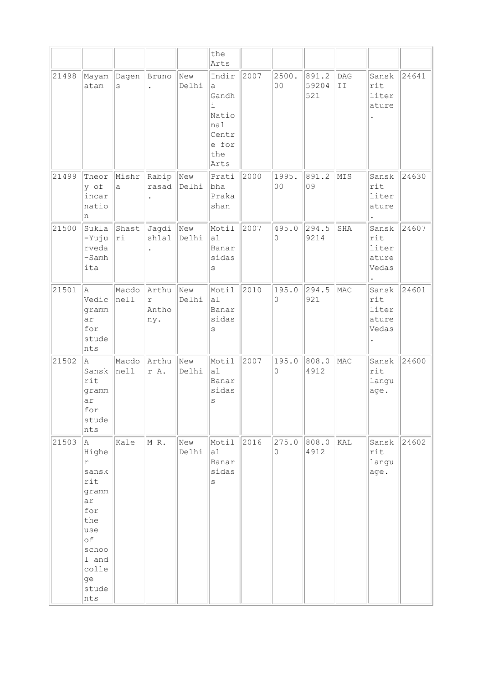|       |                                                                                                                                     |                   |                                     |              | the<br>Arts                                                               |      |                         |                       |           |                                         |       |
|-------|-------------------------------------------------------------------------------------------------------------------------------------|-------------------|-------------------------------------|--------------|---------------------------------------------------------------------------|------|-------------------------|-----------------------|-----------|-----------------------------------------|-------|
| 21498 | Mayam<br>atam                                                                                                                       | Dagen<br>S        | Bruno<br>$\ddot{\phantom{0}}$       | New<br>Delhi | Indir<br>a<br>Gandh<br>i<br>Natio<br>nal<br>Centr<br>e for<br>the<br>Arts | 2007 | 2500.<br>0 <sub>0</sub> | 891.2<br>59204<br>521 | DAG<br>II | Sansk<br>rit<br>liter<br>ature          | 24641 |
| 21499 | Theor<br>y of<br>incar<br>natio<br>n                                                                                                | Mishr<br>a        | Rabip New                           | rasad Delhi  | Prati<br>bha<br>Praka<br>shan                                             | 2000 | 1995.<br>0 <sub>0</sub> | 891.2<br>09           | MIS       | Sansk<br>rit<br>liter<br>ature          | 24630 |
| 21500 | Sukla<br>-Yuju<br>rveda<br>$-Samh$<br>ita                                                                                           | Shast<br> ri      | Jagdi New<br>shlal                  | Delhi        | Motil<br>al<br>Banar<br>sidas<br>$\rm S$                                  | 2007 | 495.0<br>0              | 294.5<br>9214         | SHA       | Sansk<br>rit<br>liter<br>ature<br>Vedas | 24607 |
| 21501 | A.<br>Vedic<br>gramm<br>ar<br>for<br>stude<br>nts                                                                                   | Macdo<br>$ $ nell | Arthu<br>$\Upsilon$<br>Antho<br>ny. | New<br>Delhi | Motil<br>al<br>Banar<br>sidas<br>S                                        | 2010 | 195.0<br>0              | 294.5<br>921          | MAC       | Sansk<br>rit<br>liter<br>ature<br>Vedas | 24601 |
| 21502 | A<br>Sansk<br>rit<br>gramm<br>ar<br>for<br>stude<br>nts                                                                             | Macdo<br> nel1    | Arthu<br>r A.                       | New<br>Delhi | Motil<br>al<br>Banar<br>sidas<br>S                                        | 2007 | 195.0<br>0              | 808.0<br>4912         | MAC       | Sansk<br>rit<br>langu<br>age.           | 24600 |
| 21503 | A<br>Highe<br>$\Upsilon$<br>sansk<br>rit<br>gramm<br>ar<br>for<br>the<br>use<br>оf<br>schoo<br>1 and<br>colle<br>ge<br>stude<br>nts | Kale              | MR.                                 | New<br>Delhi | Motil<br> a1 <br>Banar<br>sidas<br>S                                      | 2016 | 275.0<br>0              | 808.0<br>4912         | KAL       | Sansk<br>rit<br>langu<br>age.           | 24602 |